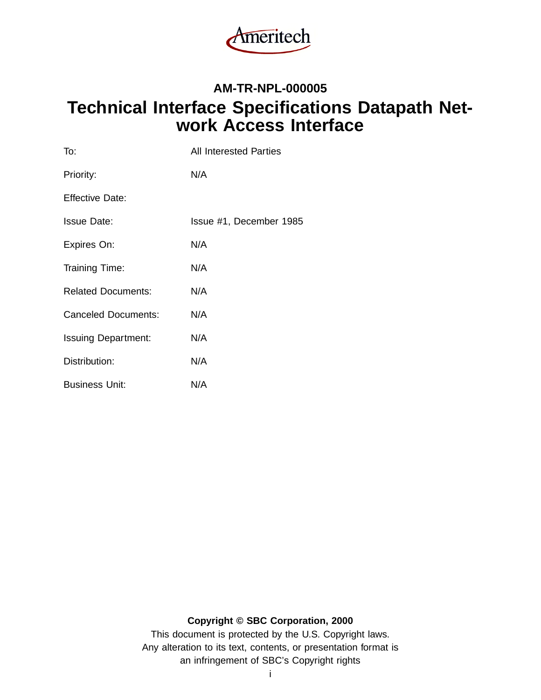

# **AM-TR-NPL-000005 Technical Interface Specifications Datapath Network Access Interface**

| To:                        | All Interested Parties  |
|----------------------------|-------------------------|
| Priority:                  | N/A                     |
| <b>Effective Date:</b>     |                         |
| <b>Issue Date:</b>         | Issue #1, December 1985 |
| Expires On:                | N/A                     |
| Training Time:             | N/A                     |
| <b>Related Documents:</b>  | N/A                     |
| <b>Canceled Documents:</b> | N/A                     |
| <b>Issuing Department:</b> | N/A                     |
| Distribution:              | N/A                     |
| <b>Business Unit:</b>      | N/A                     |

#### **Copyright © SBC Corporation, 2000**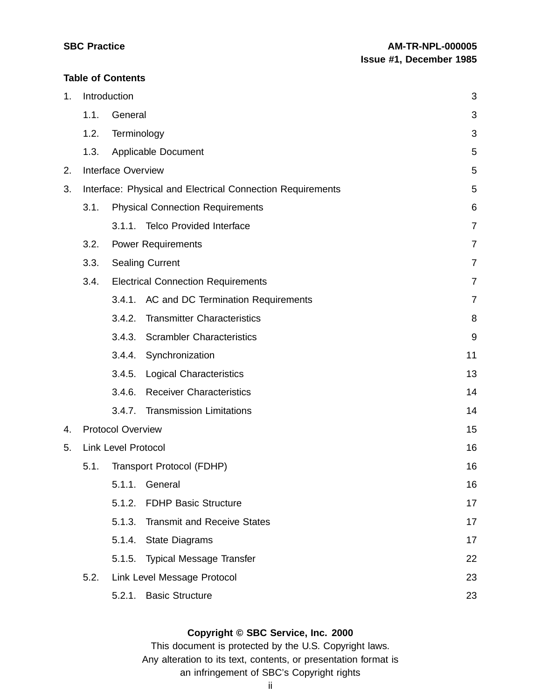#### **Table of Contents**

| 1. |      | Introduction               |                                                            | 3              |
|----|------|----------------------------|------------------------------------------------------------|----------------|
|    | 1.1. | General                    |                                                            | 3              |
|    | 1.2. | Terminology                |                                                            | 3              |
|    | 1.3. |                            | <b>Applicable Document</b>                                 | 5              |
| 2. |      | <b>Interface Overview</b>  |                                                            | 5              |
| 3. |      |                            | Interface: Physical and Electrical Connection Requirements | 5              |
|    | 3.1. |                            | <b>Physical Connection Requirements</b>                    | 6              |
|    |      |                            | 3.1.1. Telco Provided Interface                            | $\overline{7}$ |
|    | 3.2. |                            | <b>Power Requirements</b>                                  | 7              |
|    | 3.3. |                            | <b>Sealing Current</b>                                     | $\overline{7}$ |
|    | 3.4. |                            | <b>Electrical Connection Requirements</b>                  | $\overline{7}$ |
|    |      |                            | 3.4.1. AC and DC Termination Requirements                  | $\overline{7}$ |
|    |      | 3.4.2.                     | <b>Transmitter Characteristics</b>                         | 8              |
|    |      | 3.4.3.                     | <b>Scrambler Characteristics</b>                           | 9              |
|    |      | 3.4.4.                     | Synchronization                                            | 11             |
|    |      | 3.4.5.                     | <b>Logical Characteristics</b>                             | 13             |
|    |      | 3.4.6.                     | <b>Receiver Characteristics</b>                            | 14             |
|    |      | 3.4.7.                     | <b>Transmission Limitations</b>                            | 14             |
| 4. |      | <b>Protocol Overview</b>   |                                                            | 15             |
| 5. |      | <b>Link Level Protocol</b> |                                                            | 16             |
|    | 5.1. |                            | Transport Protocol (FDHP)                                  | 16             |
|    |      |                            | 5.1.1. General                                             | 16             |
|    |      | 5.1.2.                     | <b>FDHP Basic Structure</b>                                | 17             |
|    |      | 5.1.3.                     | <b>Transmit and Receive States</b>                         | 17             |
|    |      | 5.1.4.                     | <b>State Diagrams</b>                                      | 17             |
|    |      | 5.1.5.                     | <b>Typical Message Transfer</b>                            | 22             |
|    | 5.2. |                            | Link Level Message Protocol                                | 23             |
|    |      | 5.2.1.                     | <b>Basic Structure</b>                                     | 23             |

# **Copyright © SBC Service, Inc. 2000**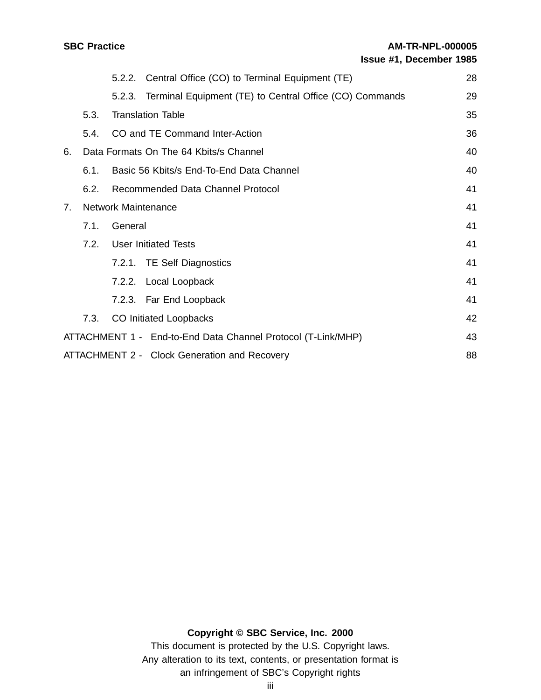|                |      |         | 5.2.2. Central Office (CO) to Terminal Equipment (TE)          | 28 |
|----------------|------|---------|----------------------------------------------------------------|----|
|                |      |         | 5.2.3. Terminal Equipment (TE) to Central Office (CO) Commands | 29 |
|                | 5.3. |         | <b>Translation Table</b>                                       | 35 |
|                | 5.4. |         | CO and TE Command Inter-Action                                 | 36 |
| 6.             |      |         | Data Formats On The 64 Kbits/s Channel                         | 40 |
|                | 6.1. |         | Basic 56 Kbits/s End-To-End Data Channel                       | 40 |
|                | 6.2. |         | Recommended Data Channel Protocol                              | 41 |
| 7 <sub>1</sub> |      |         | <b>Network Maintenance</b>                                     | 41 |
|                | 7.1. | General |                                                                | 41 |
|                | 7.2. |         | <b>User Initiated Tests</b>                                    | 41 |
|                |      |         | 7.2.1. TE Self Diagnostics                                     | 41 |
|                |      |         | 7.2.2. Local Loopback                                          | 41 |
|                |      |         | 7.2.3. Far End Loopback                                        | 41 |
|                | 7.3. |         | CO Initiated Loopbacks                                         | 42 |
|                |      |         | ATTACHMENT 1 - End-to-End Data Channel Protocol (T-Link/MHP)   | 43 |
|                |      |         | ATTACHMENT 2 - Clock Generation and Recovery                   | 88 |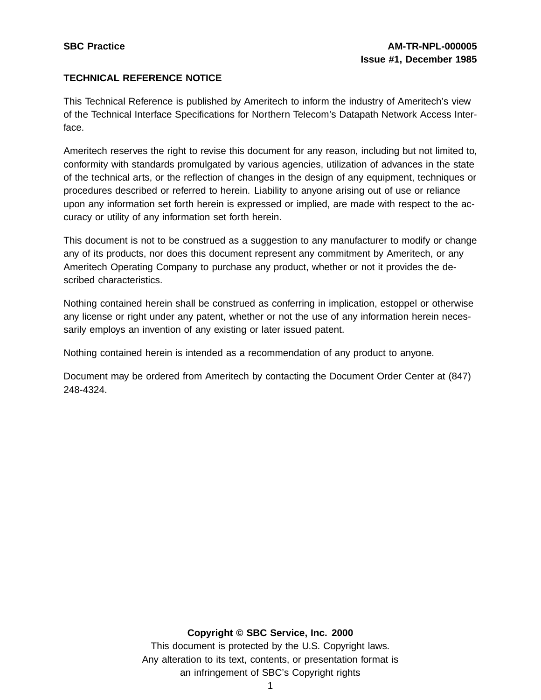# **TECHNICAL REFERENCE NOTICE**

This Technical Reference is published by Ameritech to inform the industry of Ameritech's view of the Technical Interface Specifications for Northern Telecom's Datapath Network Access Interface.

Ameritech reserves the right to revise this document for any reason, including but not limited to, conformity with standards promulgated by various agencies, utilization of advances in the state of the technical arts, or the reflection of changes in the design of any equipment, techniques or procedures described or referred to herein. Liability to anyone arising out of use or reliance upon any information set forth herein is expressed or implied, are made with respect to the accuracy or utility of any information set forth herein.

This document is not to be construed as a suggestion to any manufacturer to modify or change any of its products, nor does this document represent any commitment by Ameritech, or any Ameritech Operating Company to purchase any product, whether or not it provides the described characteristics.

Nothing contained herein shall be construed as conferring in implication, estoppel or otherwise any license or right under any patent, whether or not the use of any information herein necessarily employs an invention of any existing or later issued patent.

Nothing contained herein is intended as a recommendation of any product to anyone.

Document may be ordered from Ameritech by contacting the Document Order Center at (847) 248-4324.

#### **Copyright © SBC Service, Inc. 2000**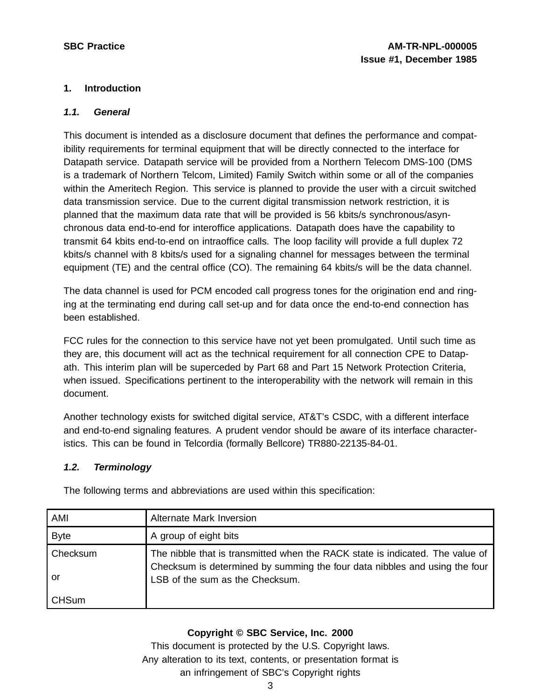# **1. Introduction**

### **1.1. General**

This document is intended as a disclosure document that defines the performance and compatibility requirements for terminal equipment that will be directly connected to the interface for Datapath service. Datapath service will be provided from a Northern Telecom DMS-100 (DMS is a trademark of Northern Telcom, Limited) Family Switch within some or all of the companies within the Ameritech Region. This service is planned to provide the user with a circuit switched data transmission service. Due to the current digital transmission network restriction, it is planned that the maximum data rate that will be provided is 56 kbits/s synchronous/asynchronous data end-to-end for interoffice applications. Datapath does have the capability to transmit 64 kbits end-to-end on intraoffice calls. The loop facility will provide a full duplex 72 kbits/s channel with 8 kbits/s used for a signaling channel for messages between the terminal equipment (TE) and the central office (CO). The remaining 64 kbits/s will be the data channel.

The data channel is used for PCM encoded call progress tones for the origination end and ringing at the terminating end during call set-up and for data once the end-to-end connection has been established.

FCC rules for the connection to this service have not yet been promulgated. Until such time as they are, this document will act as the technical requirement for all connection CPE to Datapath. This interim plan will be superceded by Part 68 and Part 15 Network Protection Criteria, when issued. Specifications pertinent to the interoperability with the network will remain in this document.

Another technology exists for switched digital service, AT&T's CSDC, with a different interface and end-to-end signaling features. A prudent vendor should be aware of its interface characteristics. This can be found in Telcordia (formally Bellcore) TR880-22135-84-01.

# **1.2. Terminology**

| AMI            | Alternate Mark Inversion                                                                                                                                                                       |
|----------------|------------------------------------------------------------------------------------------------------------------------------------------------------------------------------------------------|
| <b>Byte</b>    | A group of eight bits                                                                                                                                                                          |
| Checksum<br>or | The nibble that is transmitted when the RACK state is indicated. The value of<br>Checksum is determined by summing the four data nibbles and using the four<br>LSB of the sum as the Checksum. |
| <b>CHSum</b>   |                                                                                                                                                                                                |

The following terms and abbreviations are used within this specification:

# **Copyright © SBC Service, Inc. 2000**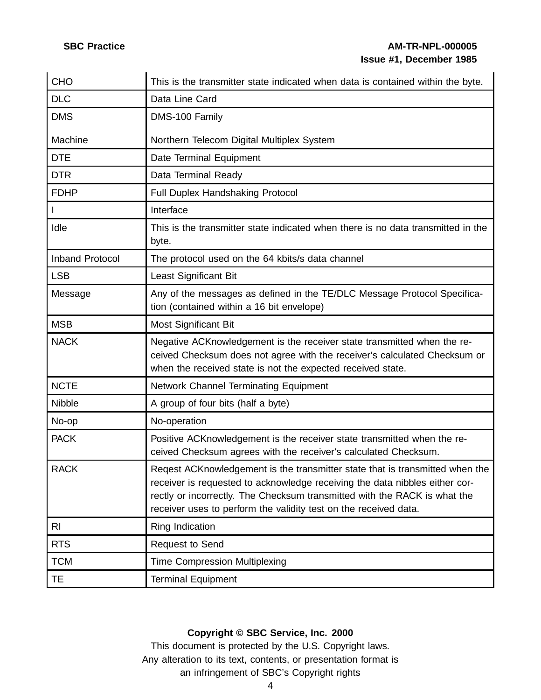# **SBC Practice AM-TR-NPL-000005 Issue #1, December 1985**

| <b>CHO</b>             | This is the transmitter state indicated when data is contained within the byte.                                                                                                                                                                                                                              |
|------------------------|--------------------------------------------------------------------------------------------------------------------------------------------------------------------------------------------------------------------------------------------------------------------------------------------------------------|
| <b>DLC</b>             | Data Line Card                                                                                                                                                                                                                                                                                               |
| <b>DMS</b>             | DMS-100 Family                                                                                                                                                                                                                                                                                               |
| Machine                | Northern Telecom Digital Multiplex System                                                                                                                                                                                                                                                                    |
| <b>DTE</b>             | Date Terminal Equipment                                                                                                                                                                                                                                                                                      |
| <b>DTR</b>             | Data Terminal Ready                                                                                                                                                                                                                                                                                          |
| <b>FDHP</b>            | Full Duplex Handshaking Protocol                                                                                                                                                                                                                                                                             |
|                        | Interface                                                                                                                                                                                                                                                                                                    |
| Idle                   | This is the transmitter state indicated when there is no data transmitted in the<br>byte.                                                                                                                                                                                                                    |
| <b>Inband Protocol</b> | The protocol used on the 64 kbits/s data channel                                                                                                                                                                                                                                                             |
| <b>LSB</b>             | Least Significant Bit                                                                                                                                                                                                                                                                                        |
| Message                | Any of the messages as defined in the TE/DLC Message Protocol Specifica-<br>tion (contained within a 16 bit envelope)                                                                                                                                                                                        |
| <b>MSB</b>             | Most Significant Bit                                                                                                                                                                                                                                                                                         |
| <b>NACK</b>            | Negative ACK nowledgement is the receiver state transmitted when the re-<br>ceived Checksum does not agree with the receiver's calculated Checksum or<br>when the received state is not the expected received state.                                                                                         |
| <b>NCTE</b>            | Network Channel Terminating Equipment                                                                                                                                                                                                                                                                        |
| Nibble                 | A group of four bits (half a byte)                                                                                                                                                                                                                                                                           |
| No-op                  | No-operation                                                                                                                                                                                                                                                                                                 |
| <b>PACK</b>            | Positive ACK nowledgement is the receiver state transmitted when the re-<br>ceived Checksum agrees with the receiver's calculated Checksum.                                                                                                                                                                  |
| <b>RACK</b>            | Reqest ACKnowledgement is the transmitter state that is transmitted when the<br>receiver is requested to acknowledge receiving the data nibbles either cor-<br>rectly or incorrectly. The Checksum transmitted with the RACK is what the<br>receiver uses to perform the validity test on the received data. |
| <b>RI</b>              | Ring Indication                                                                                                                                                                                                                                                                                              |
| <b>RTS</b>             | <b>Request to Send</b>                                                                                                                                                                                                                                                                                       |
| <b>TCM</b>             | <b>Time Compression Multiplexing</b>                                                                                                                                                                                                                                                                         |
| TE                     | <b>Terminal Equipment</b>                                                                                                                                                                                                                                                                                    |

# **Copyright © SBC Service, Inc. 2000**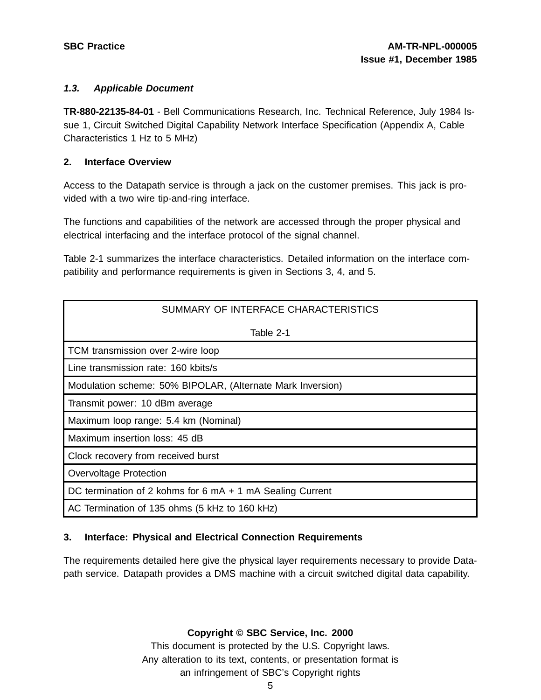### **1.3. Applicable Document**

**TR-880-22135-84-01** - Bell Communications Research, Inc. Technical Reference, July 1984 Issue 1, Circuit Switched Digital Capability Network Interface Specification (Appendix A, Cable Characteristics 1 Hz to 5 MHz)

### **2. Interface Overview**

Access to the Datapath service is through a jack on the customer premises. This jack is provided with a two wire tip-and-ring interface.

The functions and capabilities of the network are accessed through the proper physical and electrical interfacing and the interface protocol of the signal channel.

Table 2-1 summarizes the interface characteristics. Detailed information on the interface compatibility and performance requirements is given in Sections 3, 4, and 5.

| SUMMARY OF INTERFACE CHARACTERISTICS                       |
|------------------------------------------------------------|
| Table 2-1                                                  |
| TCM transmission over 2-wire loop                          |
| Line transmission rate: 160 kbits/s                        |
| Modulation scheme: 50% BIPOLAR, (Alternate Mark Inversion) |
| Transmit power: 10 dBm average                             |
| Maximum loop range: 5.4 km (Nominal)                       |
| Maximum insertion loss: 45 dB                              |
| Clock recovery from received burst                         |
| <b>Overvoltage Protection</b>                              |
| DC termination of 2 kohms for 6 mA + 1 mA Sealing Current  |
| AC Termination of 135 ohms (5 kHz to 160 kHz)              |

# **3. Interface: Physical and Electrical Connection Requirements**

The requirements detailed here give the physical layer requirements necessary to provide Datapath service. Datapath provides a DMS machine with a circuit switched digital data capability.

**Copyright © SBC Service, Inc. 2000**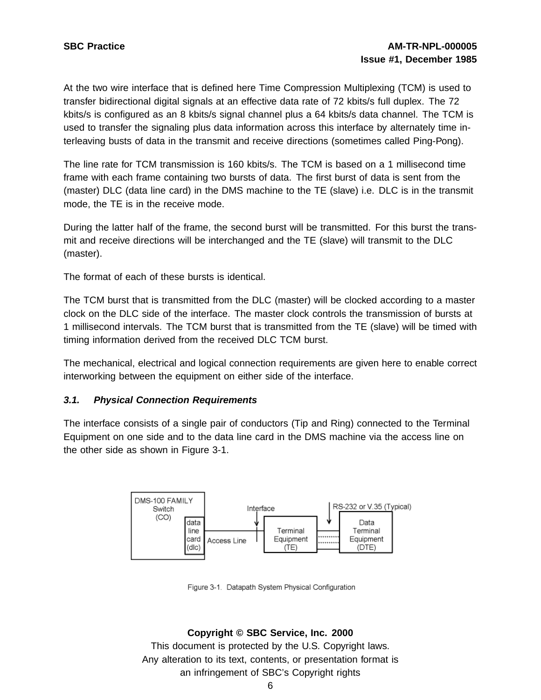At the two wire interface that is defined here Time Compression Multiplexing (TCM) is used to transfer bidirectional digital signals at an effective data rate of 72 kbits/s full duplex. The 72 kbits/s is configured as an 8 kbits/s signal channel plus a 64 kbits/s data channel. The TCM is used to transfer the signaling plus data information across this interface by alternately time interleaving busts of data in the transmit and receive directions (sometimes called Ping-Pong).

The line rate for TCM transmission is 160 kbits/s. The TCM is based on a 1 millisecond time frame with each frame containing two bursts of data. The first burst of data is sent from the (master) DLC (data line card) in the DMS machine to the TE (slave) i.e. DLC is in the transmit mode, the TE is in the receive mode.

During the latter half of the frame, the second burst will be transmitted. For this burst the transmit and receive directions will be interchanged and the TE (slave) will transmit to the DLC (master).

The format of each of these bursts is identical.

The TCM burst that is transmitted from the DLC (master) will be clocked according to a master clock on the DLC side of the interface. The master clock controls the transmission of bursts at 1 millisecond intervals. The TCM burst that is transmitted from the TE (slave) will be timed with timing information derived from the received DLC TCM burst.

The mechanical, electrical and logical connection requirements are given here to enable correct interworking between the equipment on either side of the interface.

#### **3.1. Physical Connection Requirements**

The interface consists of a single pair of conductors (Tip and Ring) connected to the Terminal Equipment on one side and to the data line card in the DMS machine via the access line on the other side as shown in Figure 3-1.



Figure 3-1. Datapath System Physical Configuration

#### **Copyright © SBC Service, Inc. 2000**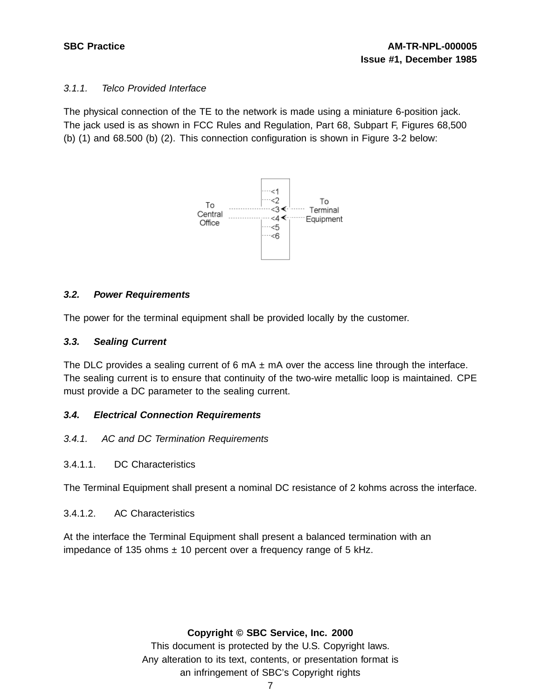# 3.1.1. Telco Provided Interface

The physical connection of the TE to the network is made using a miniature 6-position jack. The jack used is as shown in FCC Rules and Regulation, Part 68, Subpart F, Figures 68,500 (b) (1) and 68.500 (b) (2). This connection configuration is shown in Figure 3-2 below:



# **3.2. Power Requirements**

The power for the terminal equipment shall be provided locally by the customer.

# **3.3. Sealing Current**

The DLC provides a sealing current of 6 mA  $\pm$  mA over the access line through the interface. The sealing current is to ensure that continuity of the two-wire metallic loop is maintained. CPE must provide a DC parameter to the sealing current.

# **3.4. Electrical Connection Requirements**

- 3.4.1. AC and DC Termination Requirements
- 3.4.1.1. DC Characteristics

The Terminal Equipment shall present a nominal DC resistance of 2 kohms across the interface.

3.4.1.2. AC Characteristics

At the interface the Terminal Equipment shall present a balanced termination with an impedance of 135 ohms  $\pm$  10 percent over a frequency range of 5 kHz.

#### **Copyright © SBC Service, Inc. 2000**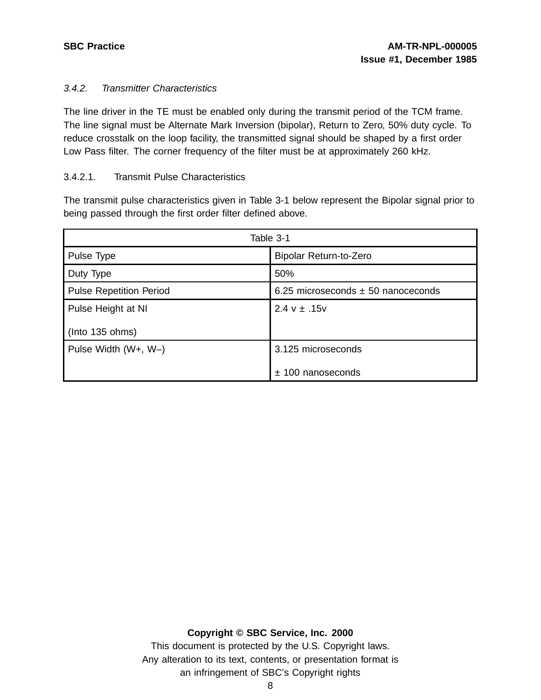# 3.4.2. Transmitter Characteristics

The line driver in the TE must be enabled only during the transmit period of the TCM frame. The line signal must be Alternate Mark Inversion (bipolar), Return to Zero, 50% duty cycle. To reduce crosstalk on the loop facility, the transmitted signal should be shaped by a first order Low Pass filter. The corner frequency of the filter must be at approximately 260 kHz.

# 3.4.2.1. Transmit Pulse Characteristics

The transmit pulse characteristics given in Table 3-1 below represent the Bipolar signal prior to being passed through the first order filter defined above.

| Table 3-1                      |                                        |  |  |
|--------------------------------|----------------------------------------|--|--|
| Pulse Type                     | Bipolar Return-to-Zero                 |  |  |
| Duty Type                      | 50%                                    |  |  |
| <b>Pulse Repetition Period</b> | 6.25 microseconds $\pm$ 50 nanoceconds |  |  |
| Pulse Height at NI             | $2.4 v \pm .15v$                       |  |  |
| $($ lnto 135 ohms $)$          |                                        |  |  |
| Pulse Width (W+, W-)           | 3.125 microseconds                     |  |  |
|                                | $±$ 100 nanoseconds                    |  |  |

#### **Copyright © SBC Service, Inc. 2000**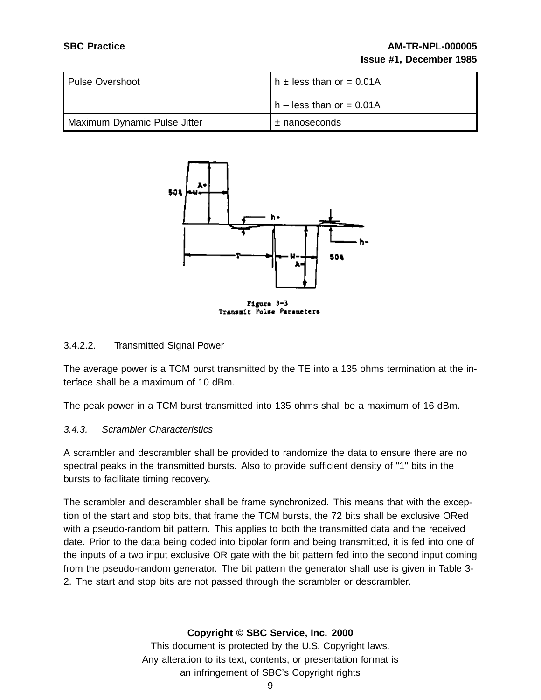# **SBC Practice AM-TR-NPL-000005 Issue #1, December 1985**

| l Pulse Overshoot            | $h \pm$ less than or = 0.01A |  |  |
|------------------------------|------------------------------|--|--|
|                              | $h$ – less than or = 0.01A   |  |  |
| Maximum Dynamic Pulse Jitter | $±$ nanoseconds              |  |  |



#### 3.4.2.2. Transmitted Signal Power

The average power is a TCM burst transmitted by the TE into a 135 ohms termination at the interface shall be a maximum of 10 dBm.

The peak power in a TCM burst transmitted into 135 ohms shall be a maximum of 16 dBm.

#### 3.4.3. Scrambler Characteristics

A scrambler and descrambler shall be provided to randomize the data to ensure there are no spectral peaks in the transmitted bursts. Also to provide sufficient density of "1" bits in the bursts to facilitate timing recovery.

The scrambler and descrambler shall be frame synchronized. This means that with the exception of the start and stop bits, that frame the TCM bursts, the 72 bits shall be exclusive ORed with a pseudo-random bit pattern. This applies to both the transmitted data and the received date. Prior to the data being coded into bipolar form and being transmitted, it is fed into one of the inputs of a two input exclusive OR gate with the bit pattern fed into the second input coming from the pseudo-random generator. The bit pattern the generator shall use is given in Table 3- 2. The start and stop bits are not passed through the scrambler or descrambler.

#### **Copyright © SBC Service, Inc. 2000**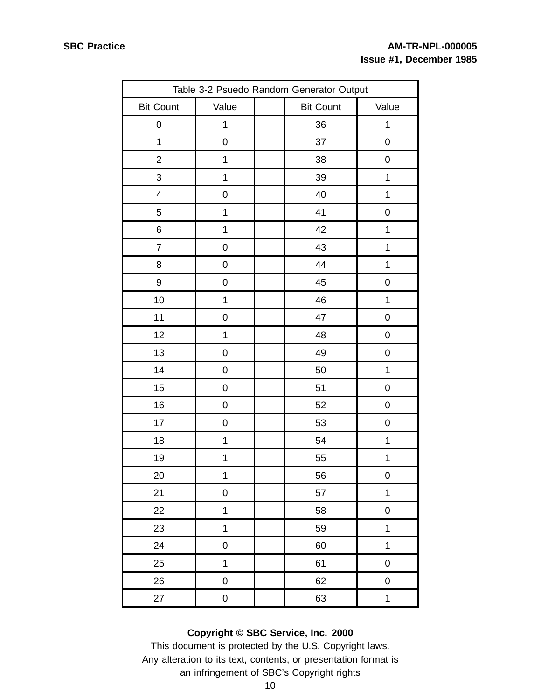| Table 3-2 Psuedo Random Generator Output |                     |  |                  |                  |
|------------------------------------------|---------------------|--|------------------|------------------|
| <b>Bit Count</b>                         | Value               |  | <b>Bit Count</b> | Value            |
| 0                                        | 1                   |  | 36               | $\mathbf 1$      |
| $\mathbf 1$                              | $\mathbf 0$         |  | 37               | $\pmb{0}$        |
| $\overline{2}$                           | 1                   |  | 38               | $\boldsymbol{0}$ |
| 3                                        | $\mathbf 1$         |  | 39               | $\mathbf{1}$     |
| $\overline{\mathbf{4}}$                  | $\mathbf 0$         |  | 40               | $\mathbf 1$      |
| 5                                        | 1                   |  | 41               | $\boldsymbol{0}$ |
| 6                                        | 1                   |  | 42               | $\mathbf{1}$     |
| $\overline{7}$                           | $\pmb{0}$           |  | 43               | $\mathbf 1$      |
| 8                                        | $\pmb{0}$           |  | 44               | $\mathbf{1}$     |
| 9                                        | $\mathbf 0$         |  | 45               | $\pmb{0}$        |
| 10                                       | 1                   |  | 46               | $\mathbf{1}$     |
| 11                                       | $\mathbf 0$         |  | 47               | $\pmb{0}$        |
| 12                                       | 1                   |  | 48               | 0                |
| 13                                       | $\pmb{0}$           |  | 49               | $\pmb{0}$        |
| 14                                       | $\mathbf 0$         |  | 50               | $\mathbf 1$      |
| 15                                       | $\mathbf 0$         |  | 51               | 0                |
| $16$                                     | $\pmb{0}$           |  | 52               | $\pmb{0}$        |
| 17                                       | $\mathbf 0$         |  | 53               | $\mathbf 0$      |
| 18                                       | $\mathbf 1$         |  | 54               | $\mathbf{1}$     |
| 19                                       | 1                   |  | 55               | $\mathbf{1}$     |
| 20                                       | 1                   |  | 56               | 0                |
| 21                                       | $\mathsf{O}\xspace$ |  | 57               | $\mathbf{1}$     |
| 22                                       | $\mathbf 1$         |  | 58               | $\pmb{0}$        |
| 23                                       | $\mathbf 1$         |  | 59               | $\mathbf 1$      |
| 24                                       | $\pmb{0}$           |  | 60               | $\mathbf 1$      |
| 25                                       | $\overline{1}$      |  | 61               | $\pmb{0}$        |
| 26                                       | $\mathbf 0$         |  | 62               | $\pmb{0}$        |
| 27                                       | $\mathbf 0$         |  | 63               | $\mathbf{1}$     |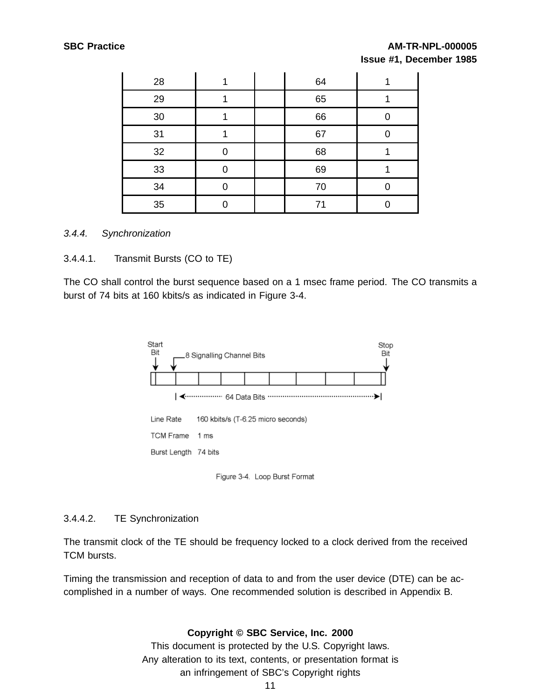# **SBC Practice AM-TR-NPL-000005 Issue #1, December 1985**

| 28 |  | 64 |  |
|----|--|----|--|
| 29 |  | 65 |  |
| 30 |  | 66 |  |
| 31 |  | 67 |  |
| 32 |  | 68 |  |
| 33 |  | 69 |  |
| 34 |  | 70 |  |
| 35 |  | 71 |  |

#### 3.4.4. Synchronization

#### 3.4.4.1. Transmit Bursts (CO to TE)

The CO shall control the burst sequence based on a 1 msec frame period. The CO transmits a burst of 74 bits at 160 kbits/s as indicated in Figure 3-4.



Figure 3-4. Loop Burst Format

#### 3.4.4.2. TE Synchronization

The transmit clock of the TE should be frequency locked to a clock derived from the received TCM bursts.

Timing the transmission and reception of data to and from the user device (DTE) can be accomplished in a number of ways. One recommended solution is described in Appendix B.

#### **Copyright © SBC Service, Inc. 2000**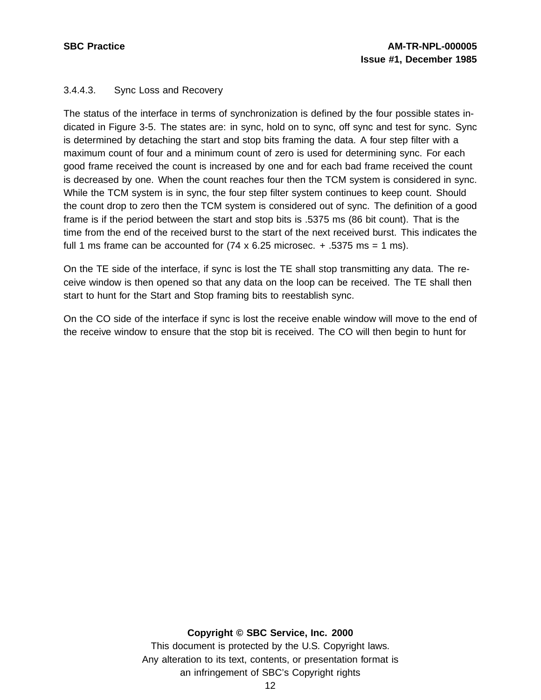# 3.4.4.3. Sync Loss and Recovery

The status of the interface in terms of synchronization is defined by the four possible states indicated in Figure 3-5. The states are: in sync, hold on to sync, off sync and test for sync. Sync is determined by detaching the start and stop bits framing the data. A four step filter with a maximum count of four and a minimum count of zero is used for determining sync. For each good frame received the count is increased by one and for each bad frame received the count is decreased by one. When the count reaches four then the TCM system is considered in sync. While the TCM system is in sync, the four step filter system continues to keep count. Should the count drop to zero then the TCM system is considered out of sync. The definition of a good frame is if the period between the start and stop bits is .5375 ms (86 bit count). That is the time from the end of the received burst to the start of the next received burst. This indicates the full 1 ms frame can be accounted for  $(74 \times 6.25 \text{ microscope.} + .5375 \text{ ms} = 1 \text{ ms}).$ 

On the TE side of the interface, if sync is lost the TE shall stop transmitting any data. The receive window is then opened so that any data on the loop can be received. The TE shall then start to hunt for the Start and Stop framing bits to reestablish sync.

On the CO side of the interface if sync is lost the receive enable window will move to the end of the receive window to ensure that the stop bit is received. The CO will then begin to hunt for

#### **Copyright © SBC Service, Inc. 2000**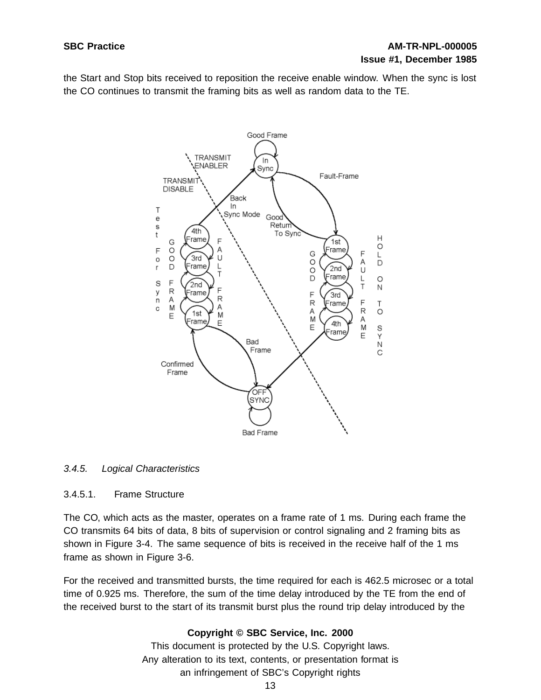the Start and Stop bits received to reposition the receive enable window. When the sync is lost the CO continues to transmit the framing bits as well as random data to the TE.



#### 3.4.5. Logical Characteristics

#### 3.4.5.1. Frame Structure

The CO, which acts as the master, operates on a frame rate of 1 ms. During each frame the CO transmits 64 bits of data, 8 bits of supervision or control signaling and 2 framing bits as shown in Figure 3-4. The same sequence of bits is received in the receive half of the 1 ms frame as shown in Figure 3-6.

For the received and transmitted bursts, the time required for each is 462.5 microsec or a total time of 0.925 ms. Therefore, the sum of the time delay introduced by the TE from the end of the received burst to the start of its transmit burst plus the round trip delay introduced by the

#### **Copyright © SBC Service, Inc. 2000**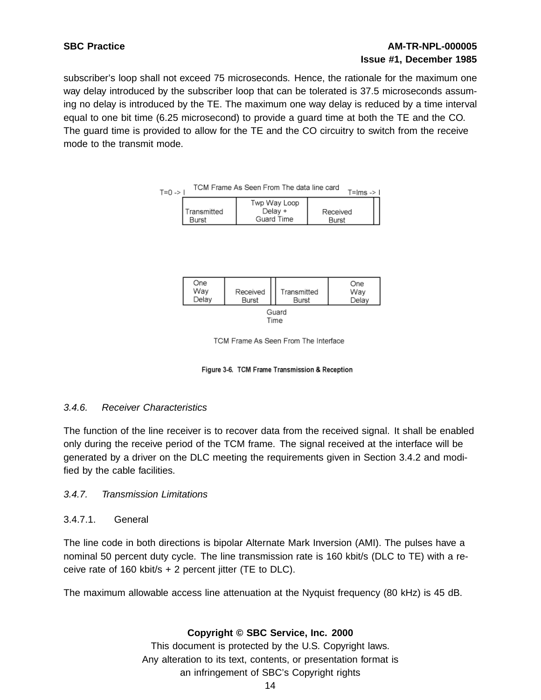# **SBC Practice AM-TR-NPL-000005 Issue #1, December 1985**

subscriber's loop shall not exceed 75 microseconds. Hence, the rationale for the maximum one way delay introduced by the subscriber loop that can be tolerated is 37.5 microseconds assuming no delay is introduced by the TE. The maximum one way delay is reduced by a time interval equal to one bit time (6.25 microsecond) to provide a guard time at both the TE and the CO. The guard time is provided to allow for the TE and the CO circuitry to switch from the receive mode to the transmit mode.



| One<br>Way<br>Delav | Received<br>Burst | Transmitted<br>Burst | One<br>Way<br>Delav |  |  |
|---------------------|-------------------|----------------------|---------------------|--|--|
| Guard               |                   |                      |                     |  |  |

TCM Frame As Seen From The Interface

Figure 3-6. TCM Frame Transmission & Reception

#### 3.4.6. Receiver Characteristics

The function of the line receiver is to recover data from the received signal. It shall be enabled only during the receive period of the TCM frame. The signal received at the interface will be generated by a driver on the DLC meeting the requirements given in Section 3.4.2 and modified by the cable facilities.

#### 3.4.7. Transmission Limitations

#### 3.4.7.1. General

The line code in both directions is bipolar Alternate Mark Inversion (AMI). The pulses have a nominal 50 percent duty cycle. The line transmission rate is 160 kbit/s (DLC to TE) with a receive rate of 160 kbit/s  $+ 2$  percent jitter (TE to DLC).

The maximum allowable access line attenuation at the Nyquist frequency (80 kHz) is 45 dB.

# **Copyright © SBC Service, Inc. 2000**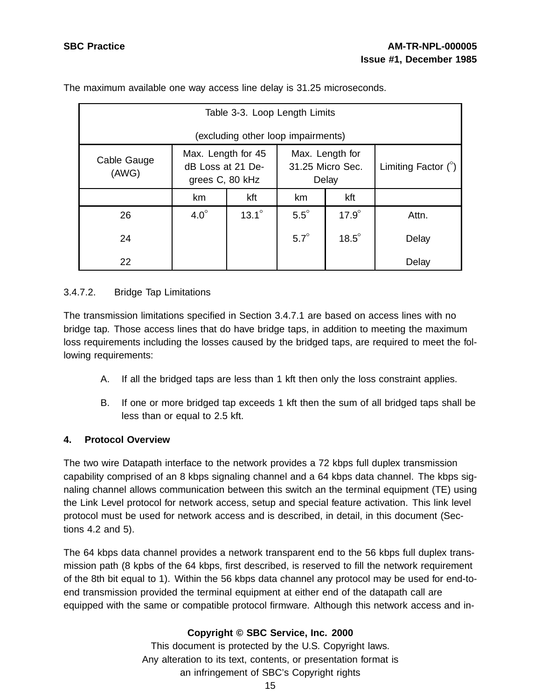| Table 3-3. Loop Length Limits      |                                                                                                            |              |             |                            |       |  |
|------------------------------------|------------------------------------------------------------------------------------------------------------|--------------|-------------|----------------------------|-------|--|
| (excluding other loop impairments) |                                                                                                            |              |             |                            |       |  |
| Cable Gauge<br>(AWG)               | Max. Length for 45<br>Max. Length for<br>31.25 Micro Sec.<br>dB Loss at 21 De-<br>grees C, 80 kHz<br>Delay |              |             | Limiting Factor $(^\circ)$ |       |  |
|                                    | km                                                                                                         | kft          | kft<br>km   |                            |       |  |
| 26                                 | $4.0^\circ$                                                                                                | $13.1^\circ$ | $5.5^\circ$ | $17.9^\circ$               | Attn. |  |
| 24                                 |                                                                                                            |              | $5.7^\circ$ | $18.5^\circ$               | Delay |  |
| 22                                 |                                                                                                            |              |             |                            | Delay |  |

The maximum available one way access line delay is 31.25 microseconds.

# 3.4.7.2. Bridge Tap Limitations

The transmission limitations specified in Section 3.4.7.1 are based on access lines with no bridge tap. Those access lines that do have bridge taps, in addition to meeting the maximum loss requirements including the losses caused by the bridged taps, are required to meet the following requirements:

- A. If all the bridged taps are less than 1 kft then only the loss constraint applies.
- B. If one or more bridged tap exceeds 1 kft then the sum of all bridged taps shall be less than or equal to 2.5 kft.

#### **4. Protocol Overview**

The two wire Datapath interface to the network provides a 72 kbps full duplex transmission capability comprised of an 8 kbps signaling channel and a 64 kbps data channel. The kbps signaling channel allows communication between this switch an the terminal equipment (TE) using the Link Level protocol for network access, setup and special feature activation. This link level protocol must be used for network access and is described, in detail, in this document (Sections 4.2 and 5).

The 64 kbps data channel provides a network transparent end to the 56 kbps full duplex transmission path (8 kpbs of the 64 kbps, first described, is reserved to fill the network requirement of the 8th bit equal to 1). Within the 56 kbps data channel any protocol may be used for end-toend transmission provided the terminal equipment at either end of the datapath call are equipped with the same or compatible protocol firmware. Although this network access and in-

# **Copyright © SBC Service, Inc. 2000**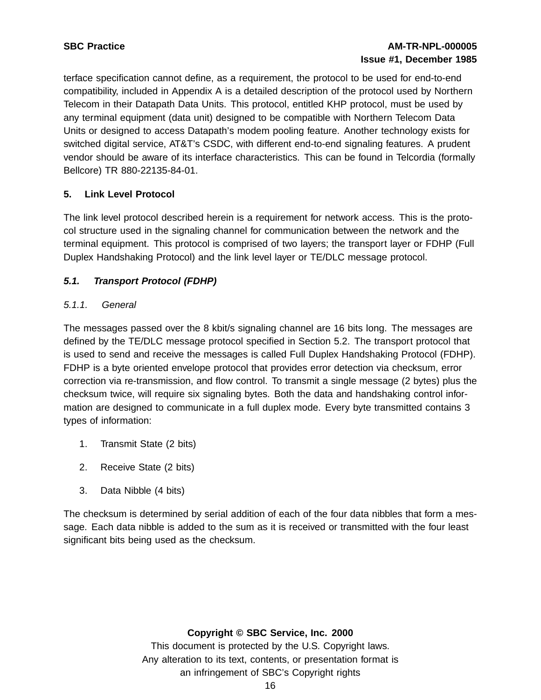terface specification cannot define, as a requirement, the protocol to be used for end-to-end compatibility, included in Appendix A is a detailed description of the protocol used by Northern Telecom in their Datapath Data Units. This protocol, entitled KHP protocol, must be used by any terminal equipment (data unit) designed to be compatible with Northern Telecom Data Units or designed to access Datapath's modem pooling feature. Another technology exists for switched digital service, AT&T's CSDC, with different end-to-end signaling features. A prudent vendor should be aware of its interface characteristics. This can be found in Telcordia (formally Bellcore) TR 880-22135-84-01.

# **5. Link Level Protocol**

The link level protocol described herein is a requirement for network access. This is the protocol structure used in the signaling channel for communication between the network and the terminal equipment. This protocol is comprised of two layers; the transport layer or FDHP (Full Duplex Handshaking Protocol) and the link level layer or TE/DLC message protocol.

# **5.1. Transport Protocol (FDHP)**

# 5.1.1. General

The messages passed over the 8 kbit/s signaling channel are 16 bits long. The messages are defined by the TE/DLC message protocol specified in Section 5.2. The transport protocol that is used to send and receive the messages is called Full Duplex Handshaking Protocol (FDHP). FDHP is a byte oriented envelope protocol that provides error detection via checksum, error correction via re-transmission, and flow control. To transmit a single message (2 bytes) plus the checksum twice, will require six signaling bytes. Both the data and handshaking control information are designed to communicate in a full duplex mode. Every byte transmitted contains 3 types of information:

- 1. Transmit State (2 bits)
- 2. Receive State (2 bits)
- 3. Data Nibble (4 bits)

The checksum is determined by serial addition of each of the four data nibbles that form a message. Each data nibble is added to the sum as it is received or transmitted with the four least significant bits being used as the checksum.

#### **Copyright © SBC Service, Inc. 2000**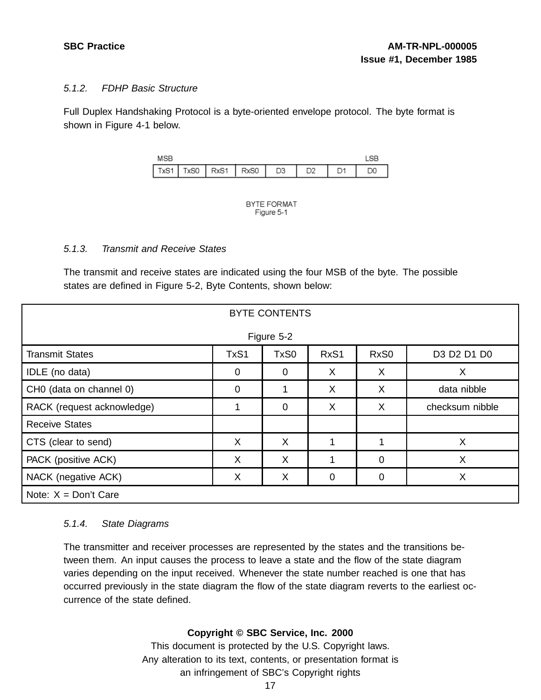### 5.1.2. FDHP Basic Structure

Full Duplex Handshaking Protocol is a byte-oriented envelope protocol. The byte format is shown in Figure 4-1 below.





#### 5.1.3. Transmit and Receive States

The transmit and receive states are indicated using the four MSB of the byte. The possible states are defined in Figure 5-2, Byte Contents, shown below:

| <b>BYTE CONTENTS</b>       |             |             |             |                  |                 |  |  |  |
|----------------------------|-------------|-------------|-------------|------------------|-----------------|--|--|--|
| Figure 5-2                 |             |             |             |                  |                 |  |  |  |
| <b>Transmit States</b>     | TxS1        | TxS0        | RxS1        | RxS <sub>0</sub> | D3 D2 D1 D0     |  |  |  |
| IDLE (no data)             | $\mathbf 0$ | $\mathbf 0$ | X           | X                | X               |  |  |  |
| CH0 (data on channel 0)    | $\mathbf 0$ | 1           | X           | X                | data nibble     |  |  |  |
| RACK (request acknowledge) | 1           | $\mathbf 0$ | X           | X                | checksum nibble |  |  |  |
| <b>Receive States</b>      |             |             |             |                  |                 |  |  |  |
| CTS (clear to send)        | X           | X           |             | 1                | X               |  |  |  |
| PACK (positive ACK)        | X           | X           | 1           | 0                | X               |  |  |  |
| NACK (negative ACK)        | X           | X           | $\mathbf 0$ | 0                | X               |  |  |  |
| Note: $X = Don't Care$     |             |             |             |                  |                 |  |  |  |

#### 5.1.4. State Diagrams

The transmitter and receiver processes are represented by the states and the transitions between them. An input causes the process to leave a state and the flow of the state diagram varies depending on the input received. Whenever the state number reached is one that has occurred previously in the state diagram the flow of the state diagram reverts to the earliest occurrence of the state defined.

# **Copyright © SBC Service, Inc. 2000**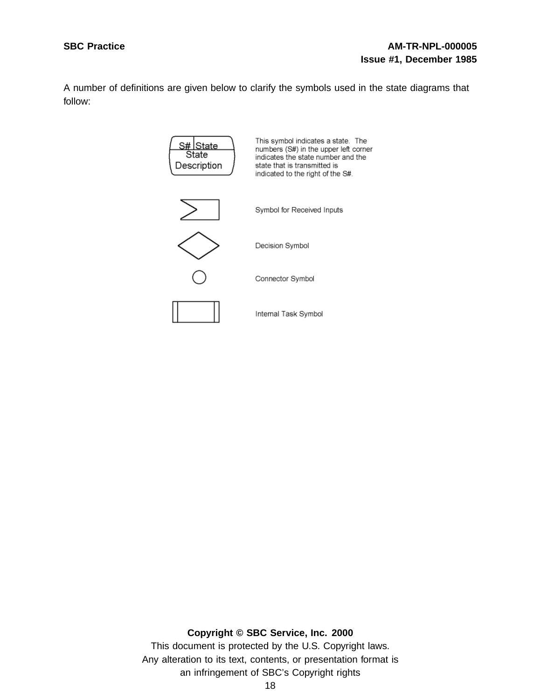A number of definitions are given below to clarify the symbols used in the state diagrams that follow:



**Copyright © SBC Service, Inc. 2000**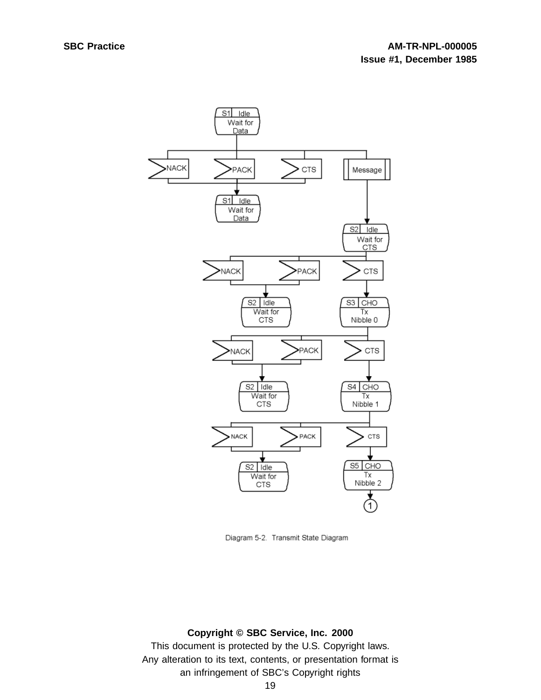

Diagram 5-2. Transmit State Diagram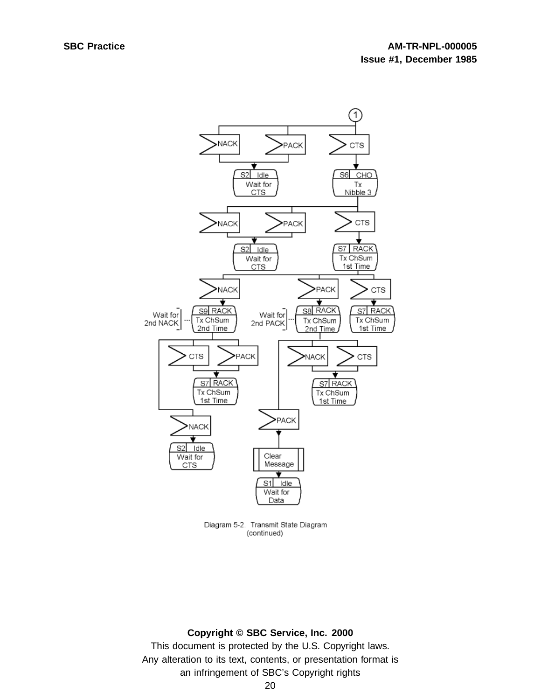

Diagram 5-2. Transmit State Diagram (continued)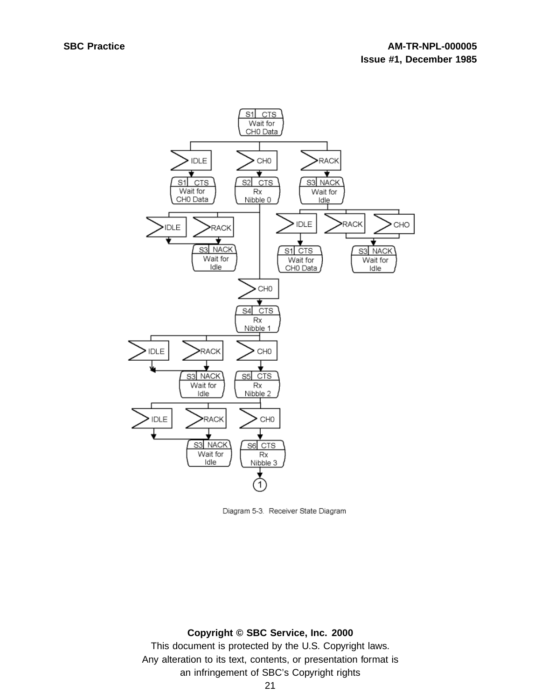

Diagram 5-3. Receiver State Diagram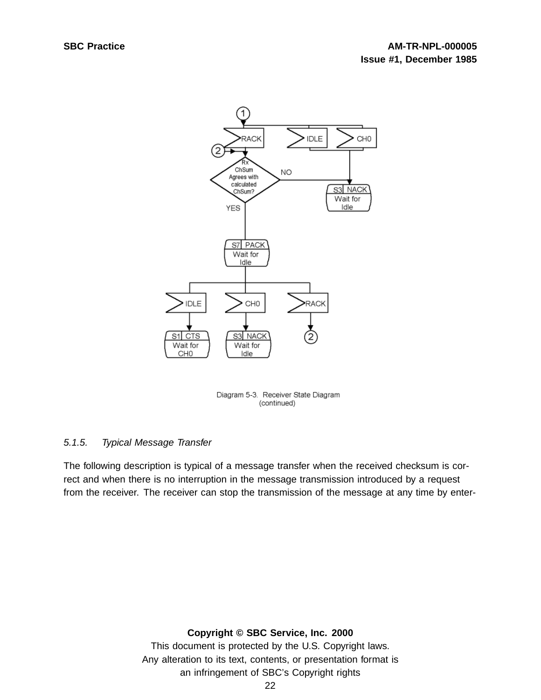

Diagram 5-3. Receiver State Diagram (continued)

# 5.1.5. Typical Message Transfer

The following description is typical of a message transfer when the received checksum is correct and when there is no interruption in the message transmission introduced by a request from the receiver. The receiver can stop the transmission of the message at any time by enter-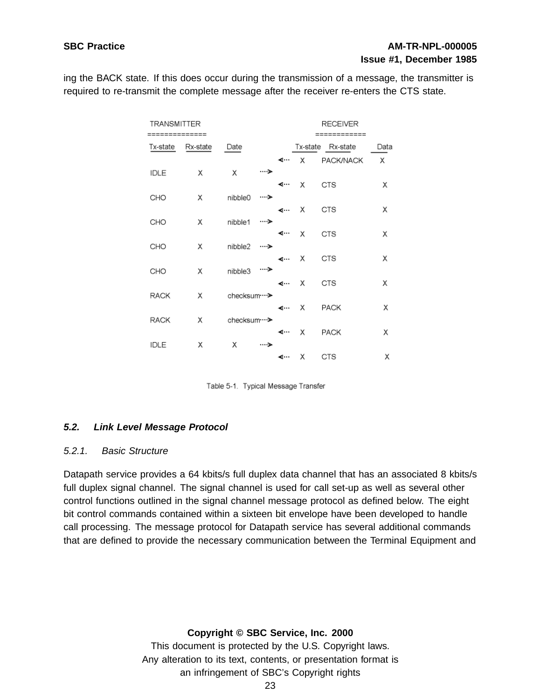# **SBC Practice AM-TR-NPL-000005 Issue #1, December 1985**

ing the BACK state. If this does occur during the transmission of a message, the transmitter is required to re-transmit the complete message after the receiver re-enters the CTS state.

| TRANSMITTER |          |                 |        |       | <b>RECEIVER</b> |                   |      |
|-------------|----------|-----------------|--------|-------|-----------------|-------------------|------|
|             |          |                 |        |       |                 | =========         |      |
| Tx-state    | Rx-state | Date            |        |       |                 | Tx-state Rx-state | Data |
|             |          |                 |        | ⋖…    |                 | X PACK/NACK       | Χ    |
| IDLE        | X        | X               | ……≫    |       |                 |                   |      |
|             |          |                 |        | ⊸     | X               | <b>CTS</b>        | Х    |
| CHO         | Χ        | nibble0         | ۰۰۰۰ ک |       |                 |                   |      |
|             |          |                 |        |       | k… X            | <b>CTS</b>        | х    |
| CHO         | Χ        | nibble1         | …>     |       |                 |                   |      |
|             |          |                 |        | ⋖…    | X               | <b>CTS</b>        | х    |
| CHO         | Χ        | nibble2         | ……>    |       |                 |                   |      |
|             |          |                 |        | -∢… X |                 | <b>CTS</b>        | Х    |
| CHO         | Х        | nibble3         | ….≽    |       |                 |                   |      |
|             |          |                 |        | k⊸ X  |                 | <b>CTS</b>        | Х    |
|             |          |                 |        |       |                 |                   |      |
| RACK        | X        | checksum ··· >  |        |       |                 |                   |      |
|             |          |                 |        |       | -z… X           | <b>PACK</b>       | Х    |
| <b>RACK</b> | Х        | checksum ···· > |        |       |                 |                   |      |
|             |          |                 |        | ⋖┈    | Χ               | <b>PACK</b>       | х    |
| IDLE        | Χ        | Χ               | ⊸…۔    |       |                 |                   |      |
|             |          |                 |        | ⋖…    | X.              | <b>CTS</b>        | х    |

Table 5-1. Typical Message Transfer

#### **5.2. Link Level Message Protocol**

#### 5.2.1. Basic Structure

Datapath service provides a 64 kbits/s full duplex data channel that has an associated 8 kbits/s full duplex signal channel. The signal channel is used for call set-up as well as several other control functions outlined in the signal channel message protocol as defined below. The eight bit control commands contained within a sixteen bit envelope have been developed to handle call processing. The message protocol for Datapath service has several additional commands that are defined to provide the necessary communication between the Terminal Equipment and

#### **Copyright © SBC Service, Inc. 2000**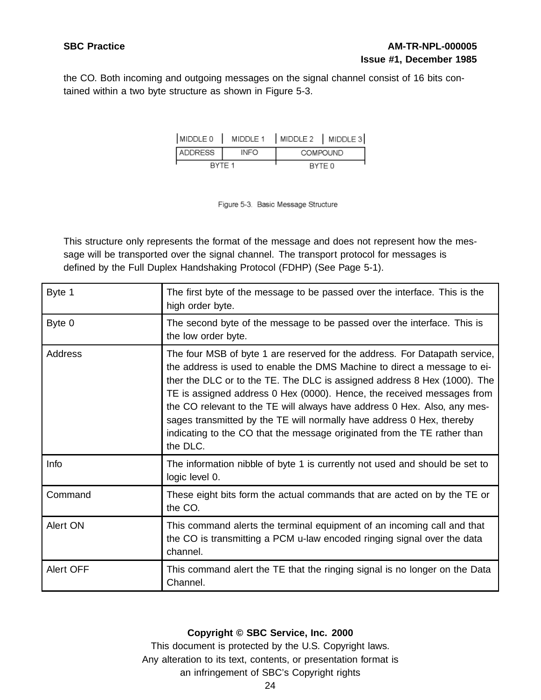the CO. Both incoming and outgoing messages on the signal channel consist of 16 bits contained within a two byte structure as shown in Figure 5-3.

| MIDDLE 0 |             | MIDDLE 1   MIDDLE 2   MIDDLE 3 |                 |
|----------|-------------|--------------------------------|-----------------|
| ADDRESS  | <b>INFO</b> |                                | <b>COMPOUND</b> |
| RYTE 1   |             |                                | BYTE 0          |

Figure 5-3. Basic Message Structure

This structure only represents the format of the message and does not represent how the message will be transported over the signal channel. The transport protocol for messages is defined by the Full Duplex Handshaking Protocol (FDHP) (See Page 5-1).

| Byte 1    | The first byte of the message to be passed over the interface. This is the<br>high order byte.                                                                                                                                                                                                                                                                                                                                                                                                                                                            |
|-----------|-----------------------------------------------------------------------------------------------------------------------------------------------------------------------------------------------------------------------------------------------------------------------------------------------------------------------------------------------------------------------------------------------------------------------------------------------------------------------------------------------------------------------------------------------------------|
| Byte 0    | The second byte of the message to be passed over the interface. This is<br>the low order byte.                                                                                                                                                                                                                                                                                                                                                                                                                                                            |
| Address   | The four MSB of byte 1 are reserved for the address. For Datapath service,<br>the address is used to enable the DMS Machine to direct a message to ei-<br>ther the DLC or to the TE. The DLC is assigned address 8 Hex (1000). The<br>TE is assigned address 0 Hex (0000). Hence, the received messages from<br>the CO relevant to the TE will always have address 0 Hex. Also, any mes-<br>sages transmitted by the TE will normally have address 0 Hex, thereby<br>indicating to the CO that the message originated from the TE rather than<br>the DLC. |
| Info      | The information nibble of byte 1 is currently not used and should be set to<br>logic level 0.                                                                                                                                                                                                                                                                                                                                                                                                                                                             |
| Command   | These eight bits form the actual commands that are acted on by the TE or<br>the CO.                                                                                                                                                                                                                                                                                                                                                                                                                                                                       |
| Alert ON  | This command alerts the terminal equipment of an incoming call and that<br>the CO is transmitting a PCM u-law encoded ringing signal over the data<br>channel.                                                                                                                                                                                                                                                                                                                                                                                            |
| Alert OFF | This command alert the TE that the ringing signal is no longer on the Data<br>Channel.                                                                                                                                                                                                                                                                                                                                                                                                                                                                    |

# **Copyright © SBC Service, Inc. 2000**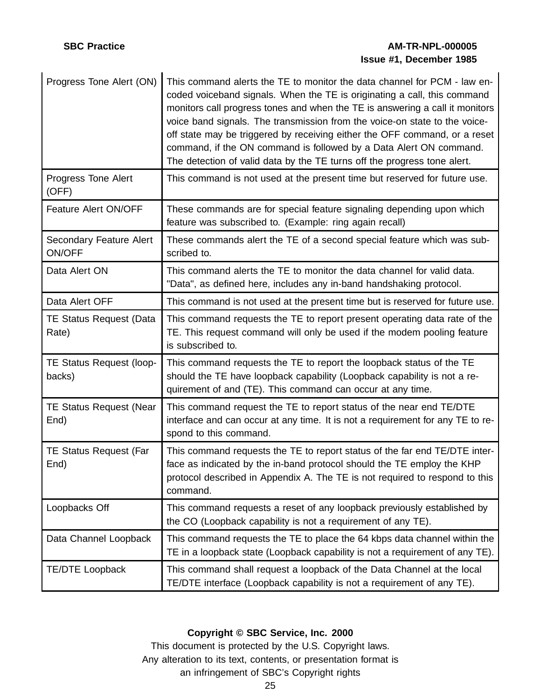# **SBC Practice AM-TR-NPL-000005 Issue #1, December 1985**

| Progress Tone Alert (ON)                 | This command alerts the TE to monitor the data channel for PCM - law en-<br>coded voiceband signals. When the TE is originating a call, this command<br>monitors call progress tones and when the TE is answering a call it monitors<br>voice band signals. The transmission from the voice-on state to the voice-<br>off state may be triggered by receiving either the OFF command, or a reset<br>command, if the ON command is followed by a Data Alert ON command.<br>The detection of valid data by the TE turns off the progress tone alert. |
|------------------------------------------|----------------------------------------------------------------------------------------------------------------------------------------------------------------------------------------------------------------------------------------------------------------------------------------------------------------------------------------------------------------------------------------------------------------------------------------------------------------------------------------------------------------------------------------------------|
| Progress Tone Alert<br>(OFF)             | This command is not used at the present time but reserved for future use.                                                                                                                                                                                                                                                                                                                                                                                                                                                                          |
| Feature Alert ON/OFF                     | These commands are for special feature signaling depending upon which<br>feature was subscribed to. (Example: ring again recall)                                                                                                                                                                                                                                                                                                                                                                                                                   |
| Secondary Feature Alert<br><b>ON/OFF</b> | These commands alert the TE of a second special feature which was sub-<br>scribed to.                                                                                                                                                                                                                                                                                                                                                                                                                                                              |
| Data Alert ON                            | This command alerts the TE to monitor the data channel for valid data.<br>"Data", as defined here, includes any in-band handshaking protocol.                                                                                                                                                                                                                                                                                                                                                                                                      |
| Data Alert OFF                           | This command is not used at the present time but is reserved for future use.                                                                                                                                                                                                                                                                                                                                                                                                                                                                       |
| <b>TE Status Request (Data</b><br>Rate)  | This command requests the TE to report present operating data rate of the<br>TE. This request command will only be used if the modem pooling feature<br>is subscribed to.                                                                                                                                                                                                                                                                                                                                                                          |
| TE Status Request (loop-<br>backs)       | This command requests the TE to report the loopback status of the TE<br>should the TE have loopback capability (Loopback capability is not a re-<br>quirement of and (TE). This command can occur at any time.                                                                                                                                                                                                                                                                                                                                     |
| <b>TE Status Request (Near</b><br>End)   | This command request the TE to report status of the near end TE/DTE<br>interface and can occur at any time. It is not a requirement for any TE to re-<br>spond to this command.                                                                                                                                                                                                                                                                                                                                                                    |
| <b>TE Status Request (Far</b><br>End)    | This command requests the TE to report status of the far end TE/DTE inter-<br>face as indicated by the in-band protocol should the TE employ the KHP<br>protocol described in Appendix A. The TE is not required to respond to this<br>command.                                                                                                                                                                                                                                                                                                    |
| Loopbacks Off                            | This command requests a reset of any loopback previously established by<br>the CO (Loopback capability is not a requirement of any TE).                                                                                                                                                                                                                                                                                                                                                                                                            |
| Data Channel Loopback                    | This command requests the TE to place the 64 kbps data channel within the<br>TE in a loopback state (Loopback capability is not a requirement of any TE).                                                                                                                                                                                                                                                                                                                                                                                          |
| <b>TE/DTE Loopback</b>                   | This command shall request a loopback of the Data Channel at the local<br>TE/DTE interface (Loopback capability is not a requirement of any TE).                                                                                                                                                                                                                                                                                                                                                                                                   |

# **Copyright © SBC Service, Inc. 2000**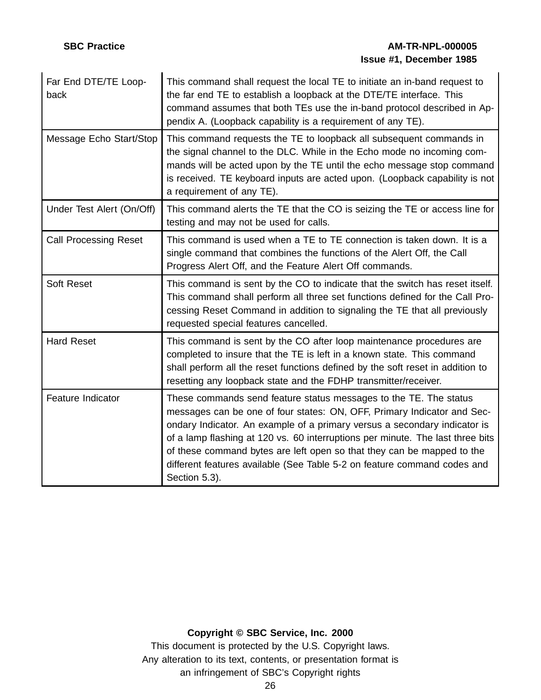# **SBC Practice AM-TR-NPL-000005 Issue #1, December 1985**

| Far End DTE/TE Loop-<br>back | This command shall request the local TE to initiate an in-band request to<br>the far end TE to establish a loopback at the DTE/TE interface. This<br>command assumes that both TEs use the in-band protocol described in Ap-<br>pendix A. (Loopback capability is a requirement of any TE).                                                                                                                                                                                        |
|------------------------------|------------------------------------------------------------------------------------------------------------------------------------------------------------------------------------------------------------------------------------------------------------------------------------------------------------------------------------------------------------------------------------------------------------------------------------------------------------------------------------|
| Message Echo Start/Stop      | This command requests the TE to loopback all subsequent commands in<br>the signal channel to the DLC. While in the Echo mode no incoming com-<br>mands will be acted upon by the TE until the echo message stop command<br>is received. TE keyboard inputs are acted upon. (Loopback capability is not<br>a requirement of any TE).                                                                                                                                                |
| Under Test Alert (On/Off)    | This command alerts the TE that the CO is seizing the TE or access line for<br>testing and may not be used for calls.                                                                                                                                                                                                                                                                                                                                                              |
| <b>Call Processing Reset</b> | This command is used when a TE to TE connection is taken down. It is a<br>single command that combines the functions of the Alert Off, the Call<br>Progress Alert Off, and the Feature Alert Off commands.                                                                                                                                                                                                                                                                         |
| <b>Soft Reset</b>            | This command is sent by the CO to indicate that the switch has reset itself.<br>This command shall perform all three set functions defined for the Call Pro-<br>cessing Reset Command in addition to signaling the TE that all previously<br>requested special features cancelled.                                                                                                                                                                                                 |
| <b>Hard Reset</b>            | This command is sent by the CO after loop maintenance procedures are<br>completed to insure that the TE is left in a known state. This command<br>shall perform all the reset functions defined by the soft reset in addition to<br>resetting any loopback state and the FDHP transmitter/receiver.                                                                                                                                                                                |
| Feature Indicator            | These commands send feature status messages to the TE. The status<br>messages can be one of four states: ON, OFF, Primary Indicator and Sec-<br>ondary Indicator. An example of a primary versus a secondary indicator is<br>of a lamp flashing at 120 vs. 60 interruptions per minute. The last three bits<br>of these command bytes are left open so that they can be mapped to the<br>different features available (See Table 5-2 on feature command codes and<br>Section 5.3). |

# **Copyright © SBC Service, Inc. 2000**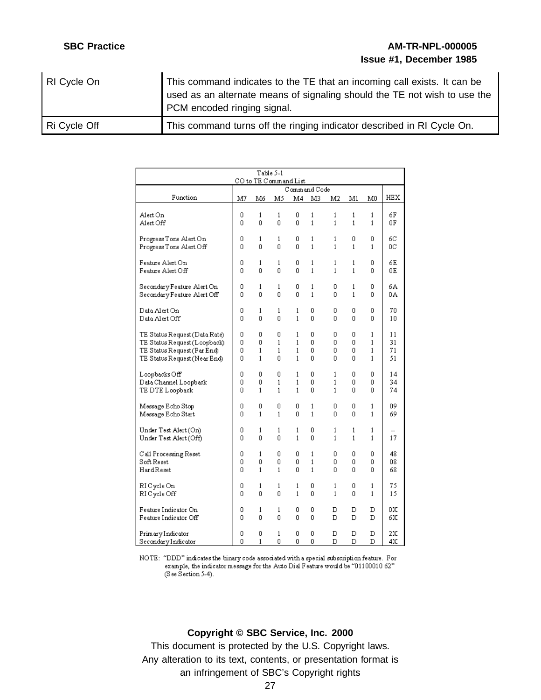# **SBC Practice AM-TR-NPL-000005 Issue #1, December 1985**

| RI Cycle On  | This command indicates to the TE that an incoming call exists. It can be<br>used as an alternate means of signaling should the TE not wish to use the<br>PCM encoded ringing signal. |
|--------------|--------------------------------------------------------------------------------------------------------------------------------------------------------------------------------------|
| Ri Cycle Off | This command turns off the ringing indicator described in RI Cycle On.                                                                                                               |

| Table 5-1<br>CO to TE Command List       |        |        |        |              |                   |                   |        |                   |          |
|------------------------------------------|--------|--------|--------|--------------|-------------------|-------------------|--------|-------------------|----------|
|                                          |        |        |        | Command Code |                   |                   |        |                   |          |
| Function                                 | M7     | M6     | M5     | M4           | M3                | M2                | M1     | M0                | HEX      |
|                                          |        |        |        |              |                   |                   |        |                   |          |
| Alert On<br>Alert Off                    | 0<br>0 | 1<br>0 | 1<br>0 | 0<br>0       | 1<br>$\mathbf{1}$ | 1<br>$\mathbf{1}$ | 1<br>1 | 1<br>$\mathbf{1}$ | 6F<br>ΟF |
|                                          |        |        |        |              |                   |                   |        |                   |          |
| Progress Tone Alert On                   | ۵      | 1      | 1      | 0            | 1                 | 1                 | 0      | 0                 | 6C       |
| Progress Tone Alert Off                  | 0      | 0      | 0      | 0            | 1                 | 1                 | 1      | 1                 | ОC       |
| Feature Alert On                         | 0      | 1      | 1      | 0            | 1                 | 1                 | 1      | 0                 | 6Е       |
| Feature Alert Off                        | 0      | 0      | 0      | 0            | 1                 | $\mathbf{1}$      | 1      | 0                 | 0E       |
|                                          |        |        |        |              |                   |                   |        |                   |          |
| Secondary Feature Alert On               | 0      | 1      | 1      | 0            | 1                 | 0                 | 1      | 0                 | бA       |
| Secondary Feature Alert Off              | 0      | 0      | 0      | 0            | $\mathbf{1}$      | 0                 | 1      | 0                 | 0A       |
| Data Alert On                            | 0      | 1      | 1      | 1            | 0                 | 0                 | 0      | 0                 | 70       |
| Data Alert Off                           | 0      | 0      | 0      | $\mathbf{1}$ | 0                 | 0                 | 0      | 0                 | 10       |
| TE Status Request (Data Rate)            | 0      | 0      | 0      | 1            | 0                 | 0                 | 0      | 1                 | 11       |
| TE Status Request (Loopback)             | 0      | 0      | 1      | 1            | 0                 | 0                 | 0      | 1                 | 31       |
| TE Status Request (Far End)              | 0      | 1      | 1      | 1            | 0                 | 0                 | 0      | 1                 | 71       |
| TE Status Request (Near End)             | 0      | 1      | 0      | 1            | 0                 | 0                 | 0      | 1                 | 51       |
|                                          |        |        |        |              |                   |                   |        |                   |          |
| Loopbacks Off                            | 0<br>0 | 0<br>0 | 0<br>1 | 1<br>1       | 0<br>0            | $\mathbf{1}$<br>1 | 0<br>0 | 0<br>0            | 14<br>34 |
| Data Channel Loopback<br>TE DTE Loopback | 0      | 1      | 1      | 1            | 0                 | $\mathbf{1}$      | 0      | 0                 | 74       |
|                                          |        |        |        |              |                   |                   |        |                   |          |
| Message Echo Stop                        | 0      | 0      | 0      | 0            | 1                 | 0                 | 0      | 1                 | 09       |
| Message Echo Start                       | 0      | 1      | 1      | 0            | 1                 | 0                 | 0      | 1                 | 69       |
| Under Test Alert (On)                    | 0      | 1      | 1      | 1            | 0                 | 1                 | 1      | 1                 |          |
| Under Test Alert (Off)                   | 0      | 0      | 0      | 1            | 0                 | $\mathbf{1}$      | 1      | 1                 | 17       |
|                                          |        |        |        |              |                   |                   |        |                   |          |
| C all Processing Reset                   | 0      | 1      | 0      | 0            | 1                 | ۵                 | 0      | 0                 | 48       |
| Soft Reset                               | 0      | 0      | 0      | 0            | 1                 | 0                 | 0      | 0                 | 08       |
| HardReset                                | ۵      | 1      | 1      | 0            | 1                 | 0                 | 0      | 0                 | 68       |
| RI Cycle On                              | 0      | 1      | 1      | 1            | 0                 | 1                 | 0      | 1                 | 75       |
| RI Cycle Off                             | 0      | 0      | 0      | 1            | 0                 | $\mathbf{1}$      | 0      | 1                 | 15       |
| Feature Indicator On                     | 0      | 1      | 1      | 0            | 0                 | D                 | D      | D                 | 0X       |
| Feature Indicator Off                    | 0      | 0      | 0      | 0            | 0                 | D                 | D      | D                 | 6X       |
|                                          |        |        |        |              |                   |                   |        |                   |          |
| PrimaryIndicator                         | 0      | 0      | 1      | 0            | 0                 | D                 | D      | D                 | 2X       |
| SecondaryIndicator                       | 0      | 1      | 0      | 0            | 0                 | D                 | D      | D                 | 4X       |

NOTE: "DDD" indicates the binary code associated with a special subscription feature. For example, the indicator message for the Auto Dial Feature would be "01100010 62" (See Section 5-4).

#### **Copyright © SBC Service, Inc. 2000**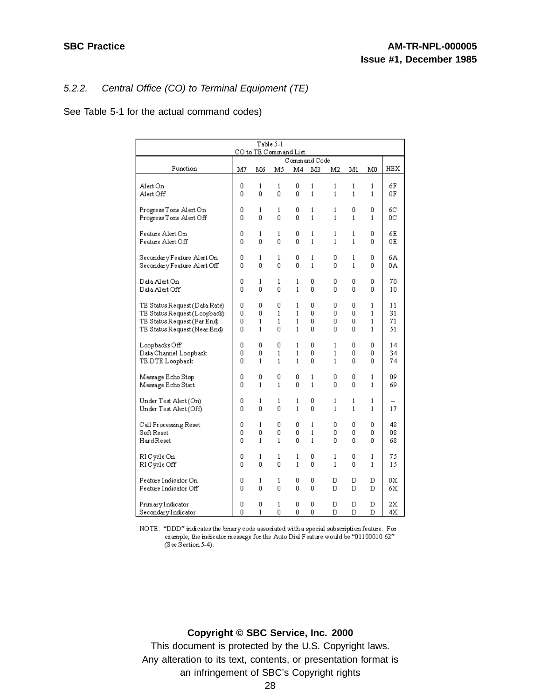### 5.2.2. Central Office (CO) to Terminal Equipment (TE)

See Table 5-1 for the actual command codes)

| Table 5-1<br>CO to TE Command List |    |              |    |    |              |              |              |    |     |
|------------------------------------|----|--------------|----|----|--------------|--------------|--------------|----|-----|
|                                    |    |              |    |    | Command Code |              |              |    |     |
| Function                           | M7 | M6           | M5 | M4 | M3           | M2           | M1           | M0 | HEX |
| Alert On                           | 0  | 1            | 1  | 0  | 1            | 1            | 1            | 1  | 6F  |
| Alert Off                          | 0  | 0            | 0  | 0  | 1            | $\mathbf{1}$ | $\mathbf{1}$ | 1  | 0F  |
| Progress Tone Alert On             | 0  | 1            | 1  | 0  | 1            | 1            | 0            | 0  | 6C  |
| Progress Tone Alert Off            | ۵  | 0            | 0  | 0  | $\mathbf{1}$ | $\mathbf{1}$ | 1            | 1  | ОC  |
| Feature Alert On                   | ۵  | 1            | 1  | 0  | 1            | 1            | 1            | 0  | 6Е  |
| Feature Alert Off                  | 0  | 0            | 0  | 0  | 1            | 1            | 1            | ۵  | 0E  |
| SecondaryFeature Alert On          | 0  | 1            | 1  | 0  | 1            | 0            | 1            | 0  | бA  |
| Secondary Feature Alert Off        | ۵  | 0            | 0  | ۵  | 1            | ۵            | 1            | ۵  | 0A  |
| Data Alert On                      | 0  | 1            | 1  | 1  | 0            | 0            | 0            | 0  | 70  |
| Data Alert Off                     | 0  | 0            | 0  | 1  | 0            | 0            | 0            | 0  | 10  |
| TE Status Request (Data Rate)      | 0  | 0            | 0  | 1  | 0            | 0            | 0            | 1  | 11  |
| TE Status Request (Loopback)       | 0  | 0            | 1  | 1  | ۵            | 0            | 0            | 1  | 31  |
| TE Status Request (Far End)        | 0  | $\mathbf{1}$ | 1  | 1  | ۵            | ۵            | 0            | 1  | 71  |
| TE Status Request (Near End)       | 0  | 1            | 0  | 1  | 0            | ۵            | 0            | 1  | 51  |
| Loopbacks Off                      | ۵  | 0            | 0  | 1  | 0            | 1            | 0            | 0  | 14  |
| Data Channel Loopback              | 0  | 0            | 1  | 1  | 0            | 1            | 0            | 0  | 34  |
| TE DTE Loopback                    | ۵  | 1            | 1  | 1  | 0            | 1            | 0            | 0  | 74  |
| Message Echo Stop                  | 0  | 0            | 0  | 0  | 1            | 0            | 0            | 1  | 09  |
| Message Echo Start                 | 0  | $\mathbf 1$  | 1  | 0  | 1            | 0            | 0            | 1  | 69  |
| Under Test Alert (On)              | 0  | 1            | 1  | 1  | 0            | 1            | 1            | 1  | 17  |
| Under Test Alert (Off)             | 0  | 0            | 0  | 1  | 0            | 1            | 1            | 1  |     |
| C all Processing Reset             | 0  | 1            | 0  | 0  | 1            | 0            | 0            | 0  | 48  |
| Soft Reset                         | 0  | 0            | 0  | 0  | 1            | 0            | 0            | 0  | 08  |
| HardReset                          | 0  | 1            | 1  | 0  | 1            | 0            | Ū.           | 0  | 68  |
| RI Cycle On                        | 0  | 1            | 1  | 1  | 0            | 1            | 0            | 1  | 75  |
| RI Cycle Off                       | 0  | 0            | 0  | 1  | 0            | 1            | 0            | 1  | 15  |
| Feature Indicator On               | 0  | 1            | 1  | 0  | 0            | D            | D            | D  | 0Х  |
| Feature Indicator Off              | 0  | 0            | 0  | 0  | 0            | D            | D            | D  | 6X  |
| PrimaryIndicator                   | 0  | 0            | 1  | 0  | 0            | D            | D            | D  | 2X  |
| SecondaryIndicator                 | 0  | $\mathbf{1}$ | 0  | 0  | 0            | D            | D            | D  | 4Χ  |

NOTE: "DDD" indicates the binary code associated with a special subscription feature. For example, the indicator message for the Auto Dial Feature would be "01100010 62" (See Section 5-4).

### **Copyright © SBC Service, Inc. 2000**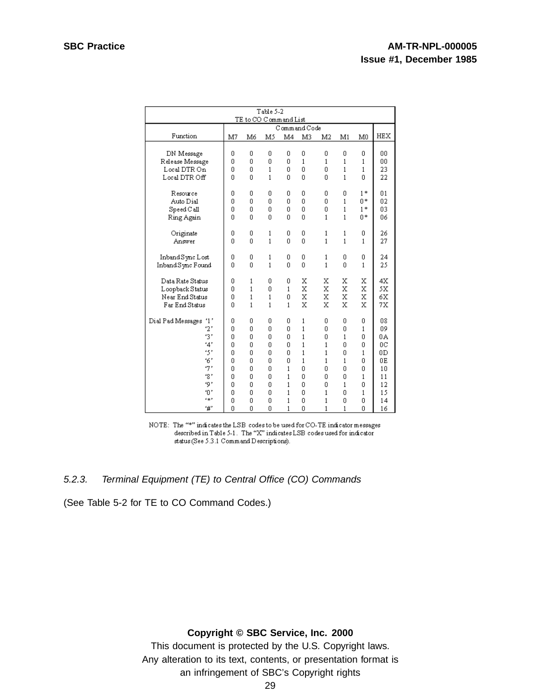| Table 5-2                          |          |              |              |              |              |              |              |                |            |
|------------------------------------|----------|--------------|--------------|--------------|--------------|--------------|--------------|----------------|------------|
| TE to CO Command List              |          |              |              |              |              |              |              |                |            |
|                                    |          |              |              |              | Command Code |              |              |                |            |
| Function                           | M7       | Mб           | M5           | M4           | M3           | M2           | M1           | M <sub>0</sub> | <b>HEX</b> |
|                                    |          |              |              |              |              |              |              |                |            |
| DN Message                         | 0        | 0            | 0            | 0            | 0            | 0            | 0            | 0              | 00         |
| Release Message                    | 0        | 0            | 0            | 0            | $\mathbf{1}$ | $\mathbf{1}$ | $\mathbf{1}$ | 1              | 00         |
| Local DTR On                       | 0        | 0            | $\mathbf{1}$ | 0            | 0            | 0            | $\mathbf{1}$ | $\mathbf{1}$   | 23         |
| Local DTR Off                      | 0        | 0            | $\mathbf{1}$ | 0            | O            | 0            | $\mathbf{1}$ | 0              | 22         |
| Resource                           | 0        | 0            | 0            | 0            | 0            | 0            | 0            | $1*$           | 01         |
| Auto Dial                          | $\Omega$ | 0            | 0            | 0            | 0            | 0            | $\mathbf{1}$ | 0*             | 02         |
| $Speed$ $C$ all                    | 0        | 0            | 0            | 0            | 0            | 0            | 1            | $1*$           | 03         |
| Ring Again                         | 0        | 0            | O            | 0            | O            | $\mathbf{1}$ | $\mathbf{1}$ | 0*             | 06         |
|                                    |          |              |              |              |              |              |              |                |            |
| Originate                          | 0        | 0            | 1            | 0            | 0            | 1            | 1            | 0              | 26         |
| Answer                             | 0        | $\Omega$     | $\mathbf{1}$ | 0            | $\Omega$     | $\mathbf{1}$ | $\mathbf{1}$ | 1              | 27         |
|                                    |          |              |              |              |              |              |              |                |            |
| Inband Sync Lost                   | 0        | 0            | 1            | 0            | 0            | 1            | 0            | 0              | 24         |
| Inband Sync Found                  | 0        | Ū            | $\mathbf{1}$ | 0            | Ō            | $\mathbf{1}$ | 0            | 1              | 25         |
| Data Rate Status                   | 0        | 1            | 0            | 0            | х            | х            | х            | х              | 4X         |
| Loopback Status                    | 0        | 1            | 0            | 1            | X            | X            | X            | X              | 5X         |
| Near End Status                    | 0        | $\mathbf{1}$ | 1            | 0            | X            | X            | X            | x              | 6X         |
| Far End Status                     | 0        | $\mathbf{1}$ | $\mathbf{1}$ | $\mathbf{1}$ | X            | X            | X            | х              | 7X         |
|                                    |          |              |              |              |              |              |              |                |            |
| <sup>*1</sup><br>Dial Pad Messages | 0        | 0            | 0            | 0            | 1            | 0            | 0            | 0              | 08         |
| 2'                                 | 0        | 0            | 0            | 0            | $\mathbf{1}$ | 0            | 0            | 1              | 09         |
| 31                                 | 0        | n            | 0            | 0            | $\mathbf{1}$ | 0            | $\mathbf{1}$ | 0              | 0A         |
| '4'                                | 0        | n            | 0            | 0            | $\mathbf{1}$ | 1            | 0            | 0              | ОC         |
| ٠5'                                | 0        | 0            | 0            | 0            | $\mathbf{1}$ | 1            | 0            | 1              | 0D         |
| 6'                                 | 0        | 0            | 0            | 0            | $\mathbf{1}$ | 1            | $\mathbf{1}$ | 0              | 0E         |
| '7'                                | 0        | 0            | 0            | 1            | 0            | 0            | 0            | 0              | 10         |
| .8,                                | 0        | 0            | 0            | 1            | Ō            | 0            | 0            | 1              | 11         |
| ۰ ټ                                | 0        | 0            | 0            | 1            | 0            | 0            | 1            | 0              | 12         |
| ٠ο,                                | 0        | 0            | 0            | 1            | 0            | 1            | 0            | 1              | 15         |
| c:p                                | 0        | 0            | 0            | 1            | 0            | 1            | 0            | 0              | 14         |
| '#′                                | 0        | 0            | 0            | 1            | Ō            | 1            | 1            | 0              | 16         |

NOTE: The "\*" indicates the LSB codes to be used for CO-TE indicator messages described in Table 5-1. The "X" indicates LSB codes used for indicator status (See 5.3.1 Command Descriptions).

#### 5.2.3. Terminal Equipment (TE) to Central Office (CO) Commands

(See Table 5-2 for TE to CO Command Codes.)

#### **Copyright © SBC Service, Inc. 2000**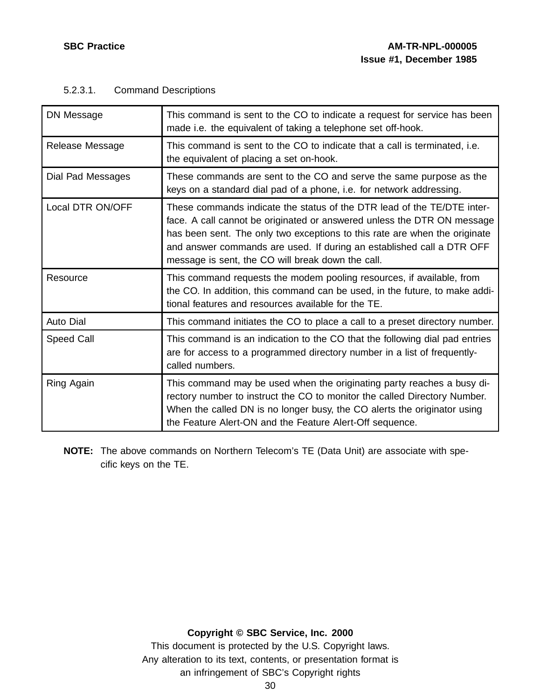| DN Message        | This command is sent to the CO to indicate a request for service has been<br>made i.e. the equivalent of taking a telephone set off-hook.                                                                                                                                                                                                                      |
|-------------------|----------------------------------------------------------------------------------------------------------------------------------------------------------------------------------------------------------------------------------------------------------------------------------------------------------------------------------------------------------------|
| Release Message   | This command is sent to the CO to indicate that a call is terminated, i.e.<br>the equivalent of placing a set on-hook.                                                                                                                                                                                                                                         |
| Dial Pad Messages | These commands are sent to the CO and serve the same purpose as the<br>keys on a standard dial pad of a phone, i.e. for network addressing.                                                                                                                                                                                                                    |
| Local DTR ON/OFF  | These commands indicate the status of the DTR lead of the TE/DTE inter-<br>face. A call cannot be originated or answered unless the DTR ON message<br>has been sent. The only two exceptions to this rate are when the originate<br>and answer commands are used. If during an established call a DTR OFF<br>message is sent, the CO will break down the call. |
| Resource          | This command requests the modem pooling resources, if available, from<br>the CO. In addition, this command can be used, in the future, to make addi-<br>tional features and resources available for the TE.                                                                                                                                                    |
| <b>Auto Dial</b>  | This command initiates the CO to place a call to a preset directory number.                                                                                                                                                                                                                                                                                    |
| Speed Call        | This command is an indication to the CO that the following dial pad entries<br>are for access to a programmed directory number in a list of frequently-<br>called numbers.                                                                                                                                                                                     |
| Ring Again        | This command may be used when the originating party reaches a busy di-<br>rectory number to instruct the CO to monitor the called Directory Number.<br>When the called DN is no longer busy, the CO alerts the originator using<br>the Feature Alert-ON and the Feature Alert-Off sequence.                                                                    |

# 5.2.3.1. Command Descriptions

**NOTE:** The above commands on Northern Telecom's TE (Data Unit) are associate with specific keys on the TE.

# **Copyright © SBC Service, Inc. 2000**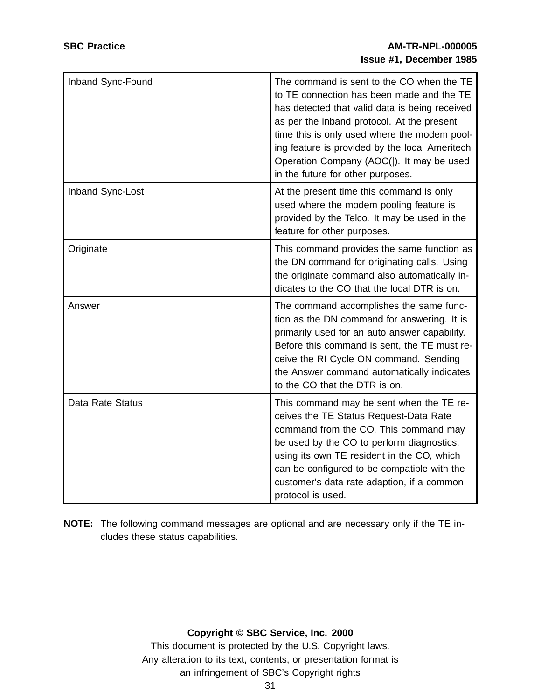| Inband Sync-Found | The command is sent to the CO when the TE<br>to TE connection has been made and the TE<br>has detected that valid data is being received<br>as per the inband protocol. At the present<br>time this is only used where the modem pool-<br>ing feature is provided by the local Ameritech<br>Operation Company (AOC( ). It may be used<br>in the future for other purposes. |
|-------------------|----------------------------------------------------------------------------------------------------------------------------------------------------------------------------------------------------------------------------------------------------------------------------------------------------------------------------------------------------------------------------|
| Inband Sync-Lost  | At the present time this command is only<br>used where the modem pooling feature is<br>provided by the Telco. It may be used in the<br>feature for other purposes.                                                                                                                                                                                                         |
| Originate         | This command provides the same function as<br>the DN command for originating calls. Using<br>the originate command also automatically in-<br>dicates to the CO that the local DTR is on.                                                                                                                                                                                   |
| Answer            | The command accomplishes the same func-<br>tion as the DN command for answering. It is<br>primarily used for an auto answer capability.<br>Before this command is sent, the TE must re-<br>ceive the RI Cycle ON command. Sending<br>the Answer command automatically indicates<br>to the CO that the DTR is on.                                                           |
| Data Rate Status  | This command may be sent when the TE re-<br>ceives the TE Status Request-Data Rate<br>command from the CO. This command may<br>be used by the CO to perform diagnostics,<br>using its own TE resident in the CO, which<br>can be configured to be compatible with the<br>customer's data rate adaption, if a common<br>protocol is used.                                   |

**NOTE:** The following command messages are optional and are necessary only if the TE includes these status capabilities.

### **Copyright © SBC Service, Inc. 2000**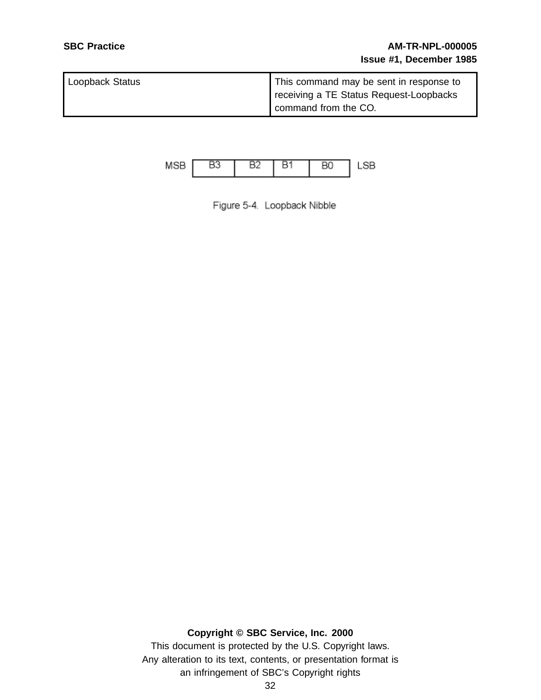| Loopback Status | This command may be sent in response to |
|-----------------|-----------------------------------------|
|                 | receiving a TE Status Request-Loopbacks |
|                 | command from the CO.                    |



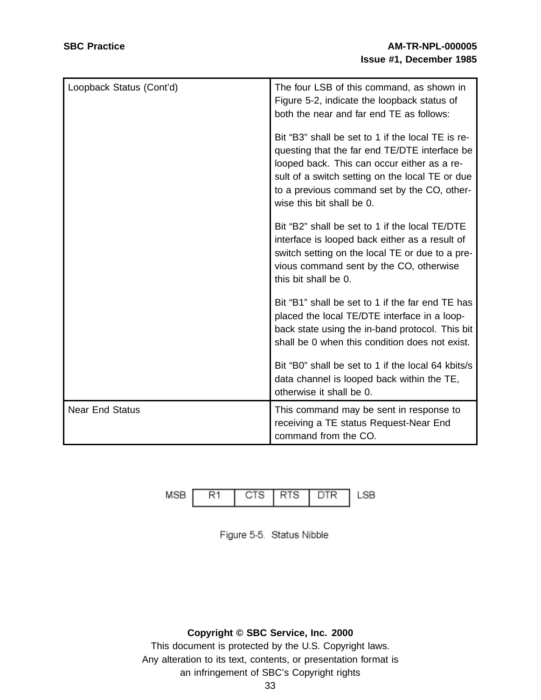| Loopback Status (Cont'd) | The four LSB of this command, as shown in<br>Figure 5-2, indicate the loopback status of<br>both the near and far end TE as follows:                                                                                                                                             |
|--------------------------|----------------------------------------------------------------------------------------------------------------------------------------------------------------------------------------------------------------------------------------------------------------------------------|
|                          | Bit "B3" shall be set to 1 if the local TE is re-<br>questing that the far end TE/DTE interface be<br>looped back. This can occur either as a re-<br>sult of a switch setting on the local TE or due<br>to a previous command set by the CO, other-<br>wise this bit shall be 0. |
|                          | Bit "B2" shall be set to 1 if the local TE/DTE<br>interface is looped back either as a result of<br>switch setting on the local TE or due to a pre-<br>vious command sent by the CO, otherwise<br>this bit shall be 0.                                                           |
|                          | Bit "B1" shall be set to 1 if the far end TE has<br>placed the local TE/DTE interface in a loop-<br>back state using the in-band protocol. This bit<br>shall be 0 when this condition does not exist.                                                                            |
|                          | Bit "B0" shall be set to 1 if the local 64 kbits/s<br>data channel is looped back within the TE,<br>otherwise it shall be 0.                                                                                                                                                     |
| <b>Near End Status</b>   | This command may be sent in response to<br>receiving a TE status Request-Near End<br>command from the CO.                                                                                                                                                                        |





# **Copyright © SBC Service, Inc. 2000**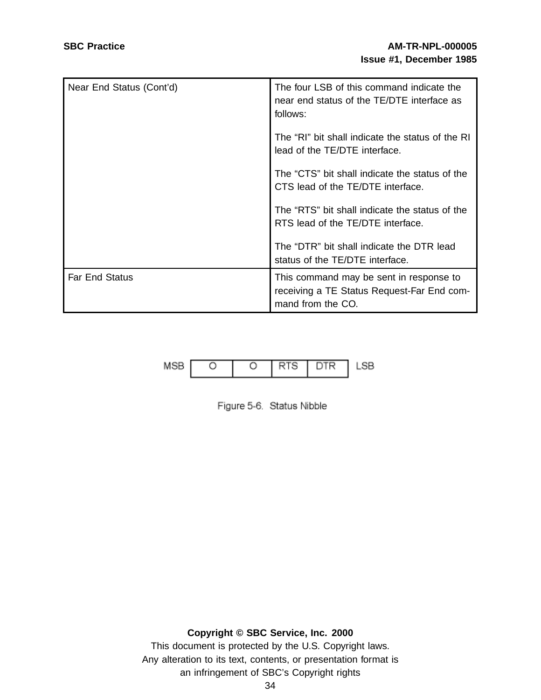| Near End Status (Cont'd) | The four LSB of this command indicate the<br>near end status of the TE/DTE interface as<br>follows:        |
|--------------------------|------------------------------------------------------------------------------------------------------------|
|                          | The "RI" bit shall indicate the status of the RI<br>lead of the TE/DTE interface.                          |
|                          | The "CTS" bit shall indicate the status of the<br>CTS lead of the TE/DTE interface.                        |
|                          | The "RTS" bit shall indicate the status of the<br>RTS lead of the TE/DTE interface.                        |
|                          | The "DTR" bit shall indicate the DTR lead<br>status of the TE/DTE interface.                               |
| <b>Far End Status</b>    | This command may be sent in response to<br>receiving a TE Status Request-Far End com-<br>mand from the CO. |



Figure 5-6. Status Nibble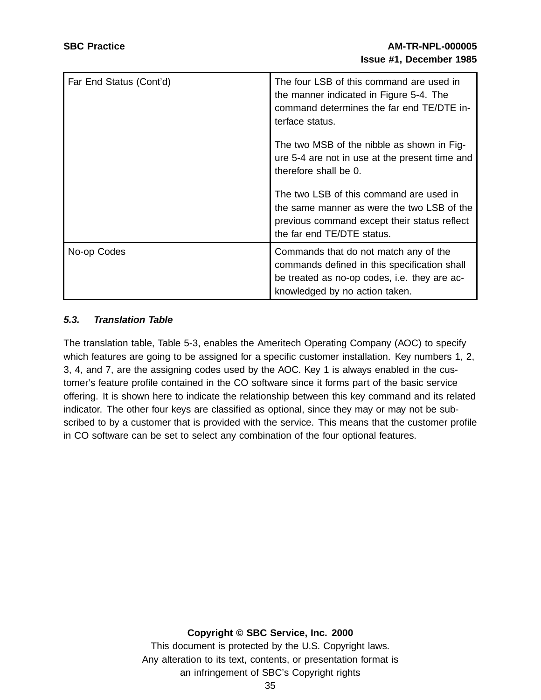| Far End Status (Cont'd) | The four LSB of this command are used in<br>the manner indicated in Figure 5-4. The<br>command determines the far end TE/DTE in-<br>terface status.                     |
|-------------------------|-------------------------------------------------------------------------------------------------------------------------------------------------------------------------|
|                         | The two MSB of the nibble as shown in Fig-<br>ure 5-4 are not in use at the present time and<br>therefore shall be 0.                                                   |
|                         | The two LSB of this command are used in<br>the same manner as were the two LSB of the<br>previous command except their status reflect<br>the far end TE/DTE status.     |
| No-op Codes             | Commands that do not match any of the<br>commands defined in this specification shall<br>be treated as no-op codes, i.e. they are ac-<br>knowledged by no action taken. |

# **5.3. Translation Table**

The translation table, Table 5-3, enables the Ameritech Operating Company (AOC) to specify which features are going to be assigned for a specific customer installation. Key numbers 1, 2, 3, 4, and 7, are the assigning codes used by the AOC. Key 1 is always enabled in the customer's feature profile contained in the CO software since it forms part of the basic service offering. It is shown here to indicate the relationship between this key command and its related indicator. The other four keys are classified as optional, since they may or may not be subscribed to by a customer that is provided with the service. This means that the customer profile in CO software can be set to select any combination of the four optional features.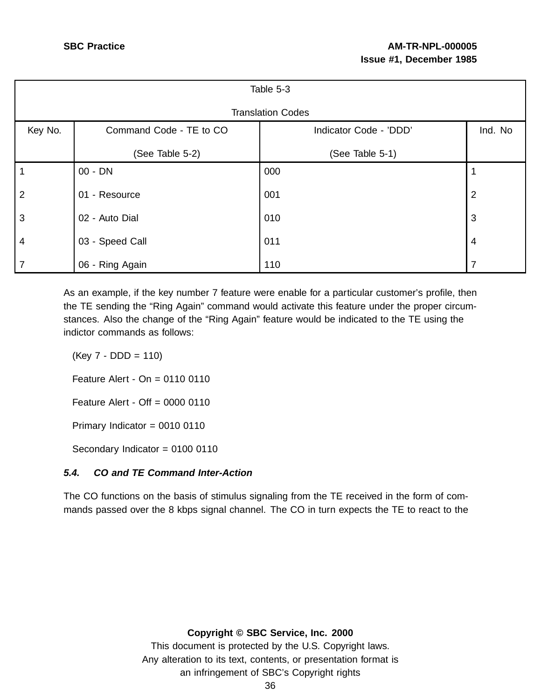| Table 5-3      |                         |                          |                |  |  |
|----------------|-------------------------|--------------------------|----------------|--|--|
|                |                         | <b>Translation Codes</b> |                |  |  |
| Key No.        | Command Code - TE to CO | Indicator Code - 'DDD'   | Ind. No        |  |  |
|                | (See Table 5-2)         | (See Table 5-1)          |                |  |  |
| $\mathbf 1$    | 00 - DN                 | 000                      |                |  |  |
| 2              | 01 - Resource           | 001                      | $\overline{2}$ |  |  |
| 3              | 02 - Auto Dial          | 010                      | 3              |  |  |
| $\overline{4}$ | 03 - Speed Call         | 011                      | $\overline{4}$ |  |  |
| $\overline{7}$ | 06 - Ring Again         | 110                      | ⇁              |  |  |

As an example, if the key number 7 feature were enable for a particular customer's profile, then the TE sending the "Ring Again" command would activate this feature under the proper circumstances. Also the change of the "Ring Again" feature would be indicated to the TE using the indictor commands as follows:

 $(Key 7 - DDD = 110)$ 

Feature Alert - On = 0110 0110

Feature Alert - Off = 0000 0110

Primary Indicator = 0010 0110

Secondary Indicator = 0100 0110

# **5.4. CO and TE Command Inter-Action**

The CO functions on the basis of stimulus signaling from the TE received in the form of commands passed over the 8 kbps signal channel. The CO in turn expects the TE to react to the

**Copyright © SBC Service, Inc. 2000**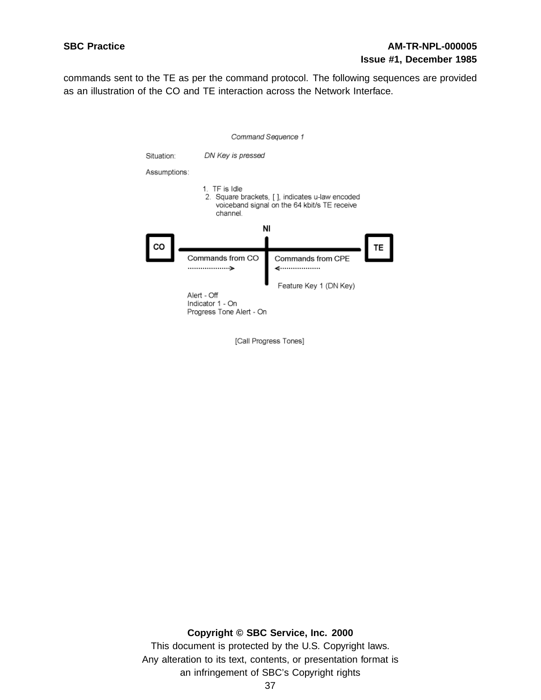commands sent to the TE as per the command protocol. The following sequences are provided as an illustration of the CO and TE interaction across the Network Interface.



[Call Progress Tones]

**Copyright © SBC Service, Inc. 2000** This document is protected by the U.S. Copyright laws. Any alteration to its text, contents, or presentation format is

an infringement of SBC's Copyright rights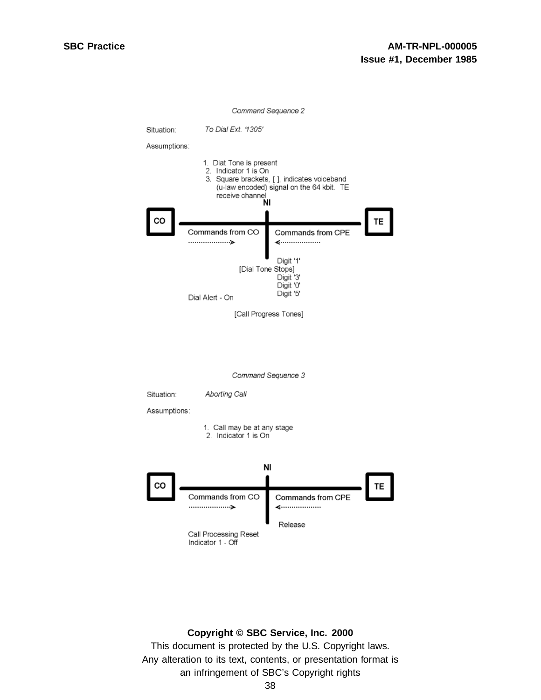

#### **Copyright © SBC Service, Inc. 2000**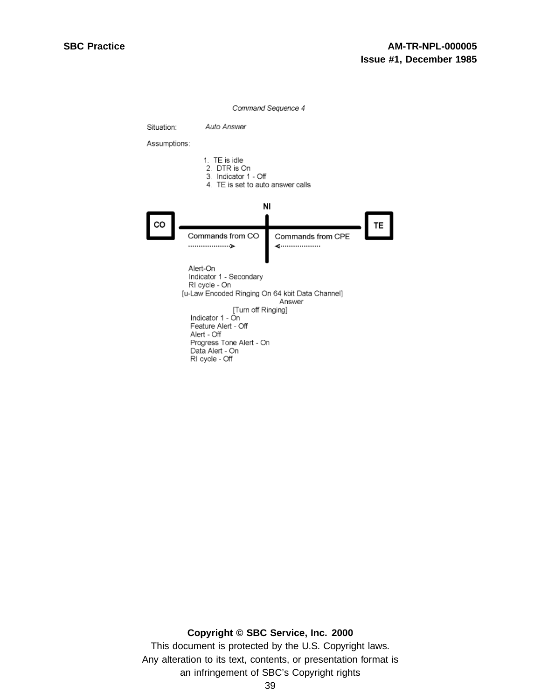

#### **Copyright © SBC Service, Inc. 2000**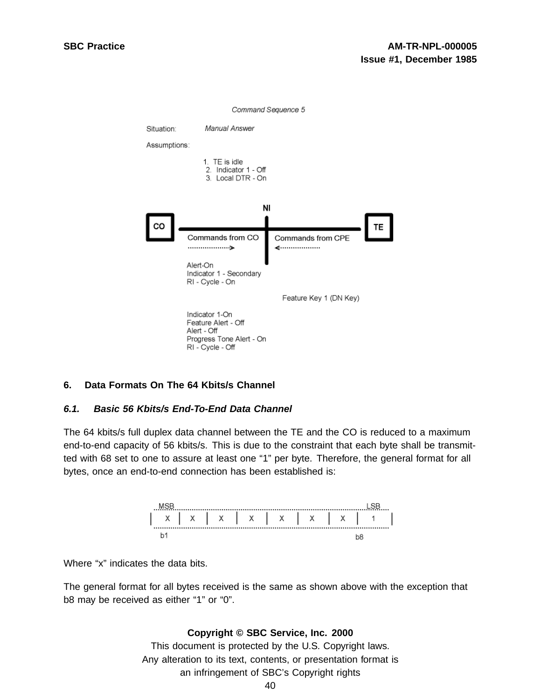

## **6. Data Formats On The 64 Kbits/s Channel**

#### **6.1. Basic 56 Kbits/s End-To-End Data Channel**

The 64 kbits/s full duplex data channel between the TE and the CO is reduced to a maximum end-to-end capacity of 56 kbits/s. This is due to the constraint that each byte shall be transmitted with 68 set to one to assure at least one "1" per byte. Therefore, the general format for all bytes, once an end-to-end connection has been established is:



Where "x" indicates the data bits.

The general format for all bytes received is the same as shown above with the exception that b8 may be received as either "1" or "0".

#### **Copyright © SBC Service, Inc. 2000**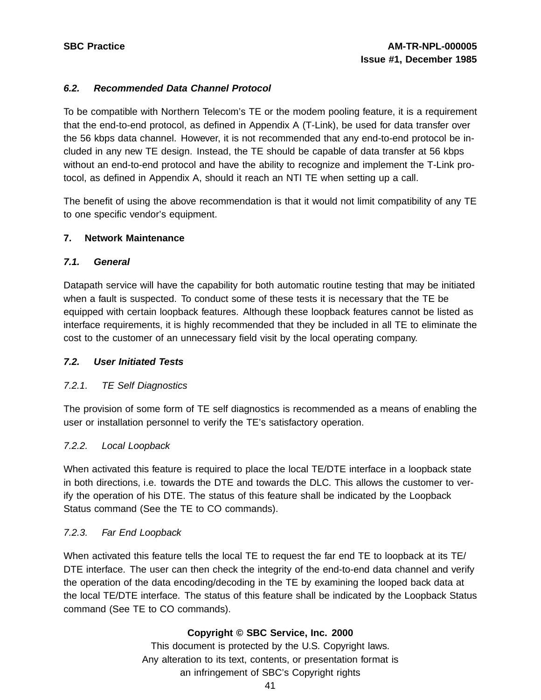# **6.2. Recommended Data Channel Protocol**

To be compatible with Northern Telecom's TE or the modem pooling feature, it is a requirement that the end-to-end protocol, as defined in Appendix A (T-Link), be used for data transfer over the 56 kbps data channel. However, it is not recommended that any end-to-end protocol be included in any new TE design. Instead, the TE should be capable of data transfer at 56 kbps without an end-to-end protocol and have the ability to recognize and implement the T-Link protocol, as defined in Appendix A, should it reach an NTI TE when setting up a call.

The benefit of using the above recommendation is that it would not limit compatibility of any TE to one specific vendor's equipment.

## **7. Network Maintenance**

# **7.1. General**

Datapath service will have the capability for both automatic routine testing that may be initiated when a fault is suspected. To conduct some of these tests it is necessary that the TE be equipped with certain loopback features. Although these loopback features cannot be listed as interface requirements, it is highly recommended that they be included in all TE to eliminate the cost to the customer of an unnecessary field visit by the local operating company.

## **7.2. User Initiated Tests**

# 7.2.1. TE Self Diagnostics

The provision of some form of TE self diagnostics is recommended as a means of enabling the user or installation personnel to verify the TE's satisfactory operation.

## 7.2.2. Local Loopback

When activated this feature is required to place the local TE/DTE interface in a loopback state in both directions, i.e. towards the DTE and towards the DLC. This allows the customer to verify the operation of his DTE. The status of this feature shall be indicated by the Loopback Status command (See the TE to CO commands).

# 7.2.3. Far End Loopback

When activated this feature tells the local TE to request the far end TE to loopback at its TE/ DTE interface. The user can then check the integrity of the end-to-end data channel and verify the operation of the data encoding/decoding in the TE by examining the looped back data at the local TE/DTE interface. The status of this feature shall be indicated by the Loopback Status command (See TE to CO commands).

# **Copyright © SBC Service, Inc. 2000**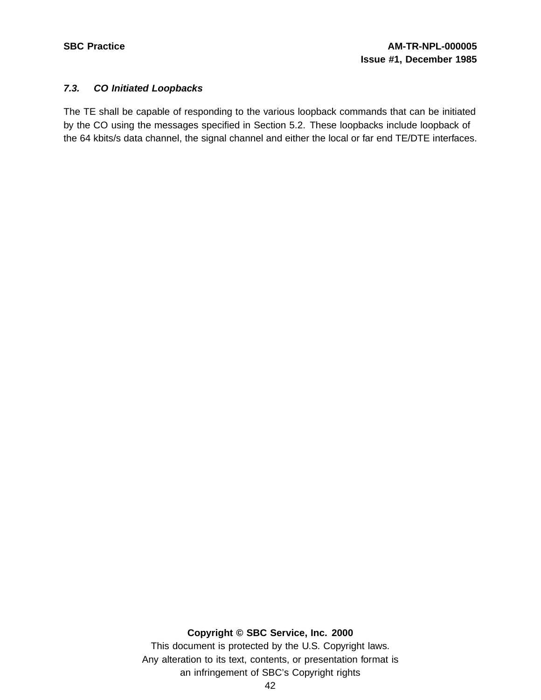## **7.3. CO Initiated Loopbacks**

The TE shall be capable of responding to the various loopback commands that can be initiated by the CO using the messages specified in Section 5.2. These loopbacks include loopback of the 64 kbits/s data channel, the signal channel and either the local or far end TE/DTE interfaces.

## **Copyright © SBC Service, Inc. 2000**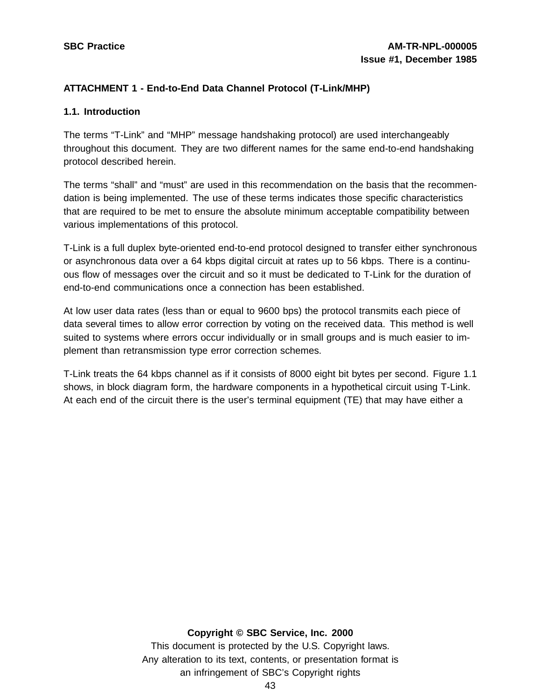# **ATTACHMENT 1 - End-to-End Data Channel Protocol (T-Link/MHP)**

#### **1.1. Introduction**

The terms "T-Link" and "MHP" message handshaking protocol) are used interchangeably throughout this document. They are two different names for the same end-to-end handshaking protocol described herein.

The terms "shall" and "must" are used in this recommendation on the basis that the recommendation is being implemented. The use of these terms indicates those specific characteristics that are required to be met to ensure the absolute minimum acceptable compatibility between various implementations of this protocol.

T-Link is a full duplex byte-oriented end-to-end protocol designed to transfer either synchronous or asynchronous data over a 64 kbps digital circuit at rates up to 56 kbps. There is a continuous flow of messages over the circuit and so it must be dedicated to T-Link for the duration of end-to-end communications once a connection has been established.

At low user data rates (less than or equal to 9600 bps) the protocol transmits each piece of data several times to allow error correction by voting on the received data. This method is well suited to systems where errors occur individually or in small groups and is much easier to implement than retransmission type error correction schemes.

T-Link treats the 64 kbps channel as if it consists of 8000 eight bit bytes per second. Figure 1.1 shows, in block diagram form, the hardware components in a hypothetical circuit using T-Link. At each end of the circuit there is the user's terminal equipment (TE) that may have either a

## **Copyright © SBC Service, Inc. 2000**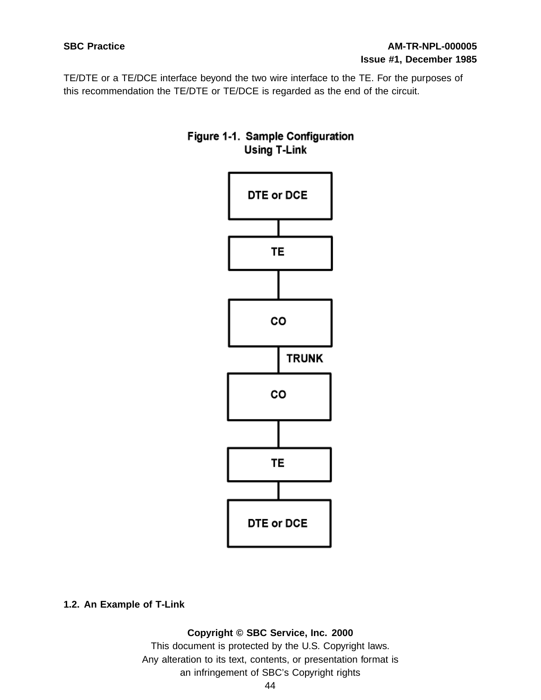TE/DTE or a TE/DCE interface beyond the two wire interface to the TE. For the purposes of this recommendation the TE/DTE or TE/DCE is regarded as the end of the circuit.





## **1.2. An Example of T-Link**

#### **Copyright © SBC Service, Inc. 2000**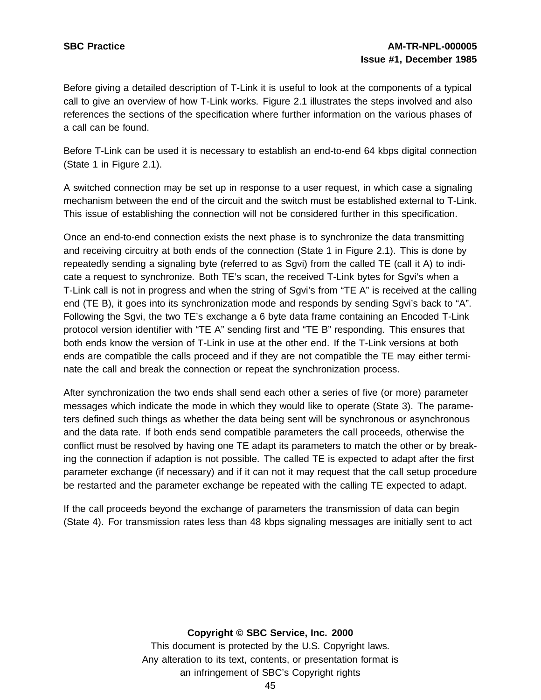Before giving a detailed description of T-Link it is useful to look at the components of a typical call to give an overview of how T-Link works. Figure 2.1 illustrates the steps involved and also references the sections of the specification where further information on the various phases of a call can be found.

Before T-Link can be used it is necessary to establish an end-to-end 64 kbps digital connection (State 1 in Figure 2.1).

A switched connection may be set up in response to a user request, in which case a signaling mechanism between the end of the circuit and the switch must be established external to T-Link. This issue of establishing the connection will not be considered further in this specification.

Once an end-to-end connection exists the next phase is to synchronize the data transmitting and receiving circuitry at both ends of the connection (State 1 in Figure 2.1). This is done by repeatedly sending a signaling byte (referred to as Sgvi) from the called TE (call it A) to indicate a request to synchronize. Both TE's scan, the received T-Link bytes for Sgvi's when a T-Link call is not in progress and when the string of Sgvi's from "TE A" is received at the calling end (TE B), it goes into its synchronization mode and responds by sending Sgvi's back to "A". Following the Sgvi, the two TE's exchange a 6 byte data frame containing an Encoded T-Link protocol version identifier with "TE A" sending first and "TE B" responding. This ensures that both ends know the version of T-Link in use at the other end. If the T-Link versions at both ends are compatible the calls proceed and if they are not compatible the TE may either terminate the call and break the connection or repeat the synchronization process.

After synchronization the two ends shall send each other a series of five (or more) parameter messages which indicate the mode in which they would like to operate (State 3). The parameters defined such things as whether the data being sent will be synchronous or asynchronous and the data rate. If both ends send compatible parameters the call proceeds, otherwise the conflict must be resolved by having one TE adapt its parameters to match the other or by breaking the connection if adaption is not possible. The called TE is expected to adapt after the first parameter exchange (if necessary) and if it can not it may request that the call setup procedure be restarted and the parameter exchange be repeated with the calling TE expected to adapt.

If the call proceeds beyond the exchange of parameters the transmission of data can begin (State 4). For transmission rates less than 48 kbps signaling messages are initially sent to act

#### **Copyright © SBC Service, Inc. 2000**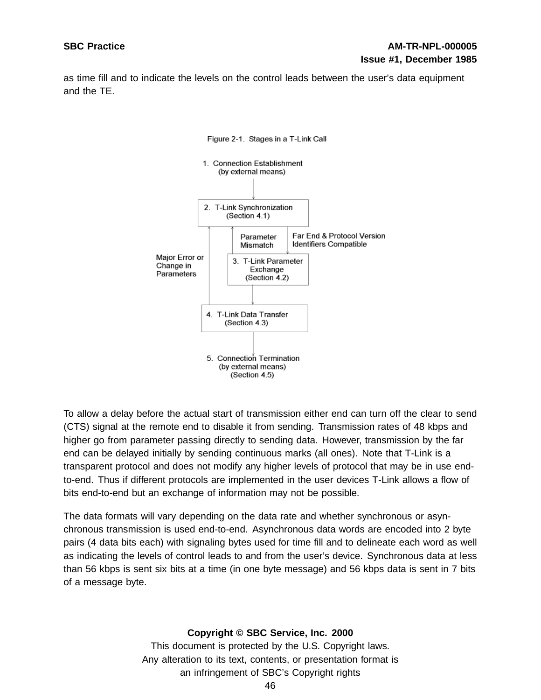as time fill and to indicate the levels on the control leads between the user's data equipment and the TE.



#### Figure 2-1. Stages in a T-Link Call

To allow a delay before the actual start of transmission either end can turn off the clear to send (CTS) signal at the remote end to disable it from sending. Transmission rates of 48 kbps and higher go from parameter passing directly to sending data. However, transmission by the far end can be delayed initially by sending continuous marks (all ones). Note that T-Link is a transparent protocol and does not modify any higher levels of protocol that may be in use endto-end. Thus if different protocols are implemented in the user devices T-Link allows a flow of bits end-to-end but an exchange of information may not be possible.

The data formats will vary depending on the data rate and whether synchronous or asynchronous transmission is used end-to-end. Asynchronous data words are encoded into 2 byte pairs (4 data bits each) with signaling bytes used for time fill and to delineate each word as well as indicating the levels of control leads to and from the user's device. Synchronous data at less than 56 kbps is sent six bits at a time (in one byte message) and 56 kbps data is sent in 7 bits of a message byte.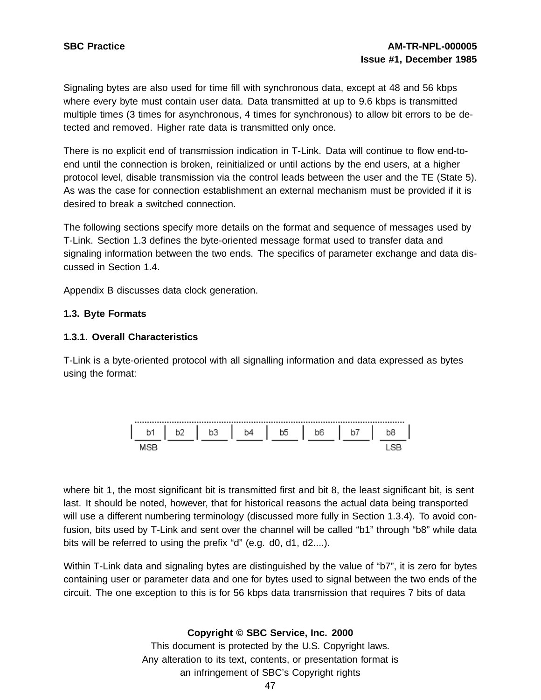Signaling bytes are also used for time fill with synchronous data, except at 48 and 56 kbps where every byte must contain user data. Data transmitted at up to 9.6 kbps is transmitted multiple times (3 times for asynchronous, 4 times for synchronous) to allow bit errors to be detected and removed. Higher rate data is transmitted only once.

There is no explicit end of transmission indication in T-Link. Data will continue to flow end-toend until the connection is broken, reinitialized or until actions by the end users, at a higher protocol level, disable transmission via the control leads between the user and the TE (State 5). As was the case for connection establishment an external mechanism must be provided if it is desired to break a switched connection.

The following sections specify more details on the format and sequence of messages used by T-Link. Section 1.3 defines the byte-oriented message format used to transfer data and signaling information between the two ends. The specifics of parameter exchange and data discussed in Section 1.4.

Appendix B discusses data clock generation.

## **1.3. Byte Formats**

## **1.3.1. Overall Characteristics**

T-Link is a byte-oriented protocol with all signalling information and data expressed as bytes using the format:



where bit 1, the most significant bit is transmitted first and bit 8, the least significant bit, is sent last. It should be noted, however, that for historical reasons the actual data being transported will use a different numbering terminology (discussed more fully in Section 1.3.4). To avoid confusion, bits used by T-Link and sent over the channel will be called "b1" through "b8" while data bits will be referred to using the prefix "d" (e.g. d0, d1, d2....).

Within T-Link data and signaling bytes are distinguished by the value of "b7", it is zero for bytes containing user or parameter data and one for bytes used to signal between the two ends of the circuit. The one exception to this is for 56 kbps data transmission that requires 7 bits of data

# **Copyright © SBC Service, Inc. 2000**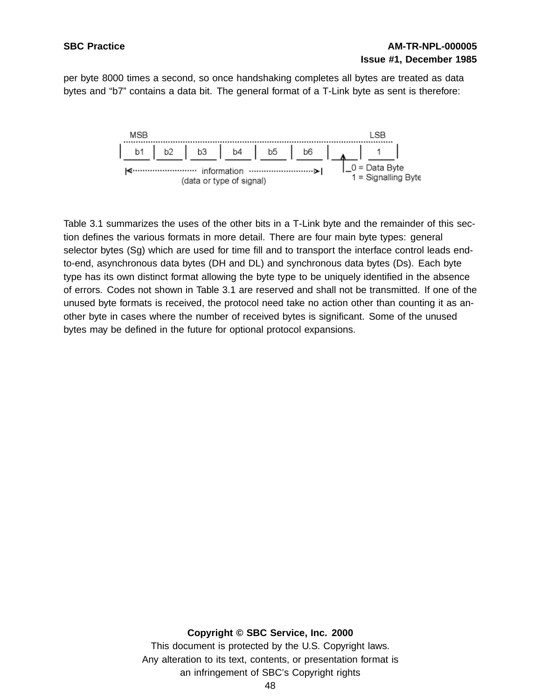per byte 8000 times a second, so once handshaking completes all bytes are treated as data bytes and "b7" contains a data bit. The general format of a T-Link byte as sent is therefore:



Table 3.1 summarizes the uses of the other bits in a T-Link byte and the remainder of this section defines the various formats in more detail. There are four main byte types: general selector bytes (Sg) which are used for time fill and to transport the interface control leads endto-end, asynchronous data bytes (DH and DL) and synchronous data bytes (Ds). Each byte type has its own distinct format allowing the byte type to be uniquely identified in the absence of errors. Codes not shown in Table 3.1 are reserved and shall not be transmitted. If one of the unused byte formats is received, the protocol need take no action other than counting it as another byte in cases where the number of received bytes is significant. Some of the unused bytes may be defined in the future for optional protocol expansions.

#### **Copyright © SBC Service, Inc. 2000**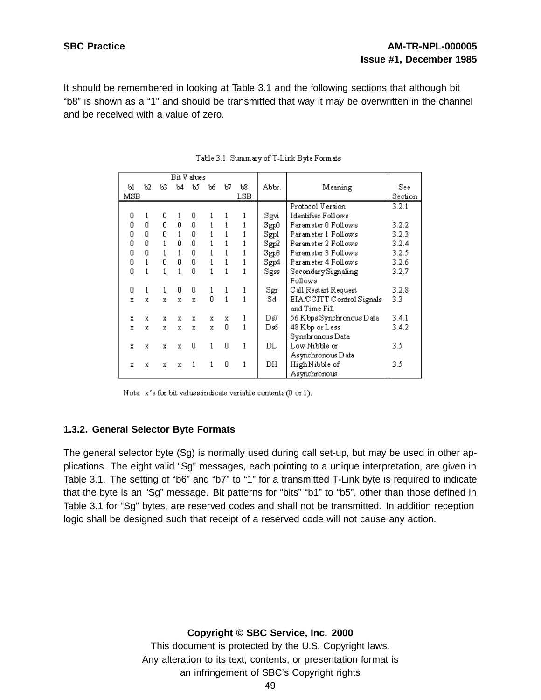It should be remembered in looking at Table 3.1 and the following sections that although bit "b8" is shown as a "1" and should be transmitted that way it may be overwritten in the channel and be received with a value of zero.

|     |    |     | Bit V alues |     |     |    |     |       |                           |         |
|-----|----|-----|-------------|-----|-----|----|-----|-------|---------------------------|---------|
| ы   | Ь2 | ЪЗ. | ъ4          | b5. | 166 | Ъ7 | Ъ8  | Abbr. | Meaning                   | See     |
| MSB |    |     |             |     |     |    | LSB |       |                           | Section |
|     |    |     |             |     |     |    |     |       | Protocol Version          | 3.2.1   |
| 0   |    | 0   | 1           | 0   |     |    |     | Sgvi  | Identifier Follows        |         |
| 0   | 0  | 0   | n.          | 0   |     |    |     | Sgp0  | Parameter 0 Follows       | 3.2.2   |
| ۵   | n  | 0   | 1           | 0   |     |    |     | Sgpl  | Parameter 1 Follows       | 3.2.3   |
| 0   | 0  |     | n           | 0   |     |    |     | Sgp2  | Parameter 2 Follows       | 3.2.4   |
| 0   | 0  |     | 1           | 0   |     |    |     | Sgp3  | Parameter 3 Follows       | 3.2.5   |
| 0   |    | 0.  | n           | 0   |     |    |     | Sgp4  | Parameter 4 Follows       | 3.2.6   |
| n   |    |     |             | n.  |     |    |     | Sgss  | Secondary Signaling       | 3.2.7   |
|     |    |     |             |     |     |    |     |       | Follows                   |         |
| 0   |    | 1.  | n           | 0   |     |    |     | Sgr   | C all Restart Request     | 3.2.8   |
| x   | x  | x   | x           | x   | n   |    |     | Sd    | EIA/CCITT Control Signals | 3.3     |
|     |    |     |             |     |     |    |     |       | and Time Fill             |         |
| x   | x  | x   | x           | x   | x   | x  |     | Ds7.  | 56 K bps Synchronous Data | 3.4.1   |
| x   | x  | x   | x           | x   | x   | 0  |     | Ds6⊣  | 48 K bp or Less           | 3.4.2   |
|     |    |     |             |     |     |    |     |       | Synchronous Data          |         |
| x   | x  | x   | x           | 0.  | 1   | 0  |     | DL    | Low Nibble or             | 3.5     |
|     |    |     |             |     |     |    |     |       | Asynchronous D ata        |         |
| x   | x  | x   | x           | 1   | 1   | 0  | 1   | DH    | High Nibble of            | 3.5     |
|     |    |     |             |     |     |    |     |       | Asynchronous              |         |

| Table 3.1 Summary of T-Link Byte Formats |
|------------------------------------------|
|                                          |

Note: x's for bit values indicate variable contents (0 or 1).

#### **1.3.2. General Selector Byte Formats**

The general selector byte (Sg) is normally used during call set-up, but may be used in other applications. The eight valid "Sg" messages, each pointing to a unique interpretation, are given in Table 3.1. The setting of "b6" and "b7" to "1" for a transmitted T-Link byte is required to indicate that the byte is an "Sg" message. Bit patterns for "bits" "b1" to "b5", other than those defined in Table 3.1 for "Sg" bytes, are reserved codes and shall not be transmitted. In addition reception logic shall be designed such that receipt of a reserved code will not cause any action.

#### **Copyright © SBC Service, Inc. 2000**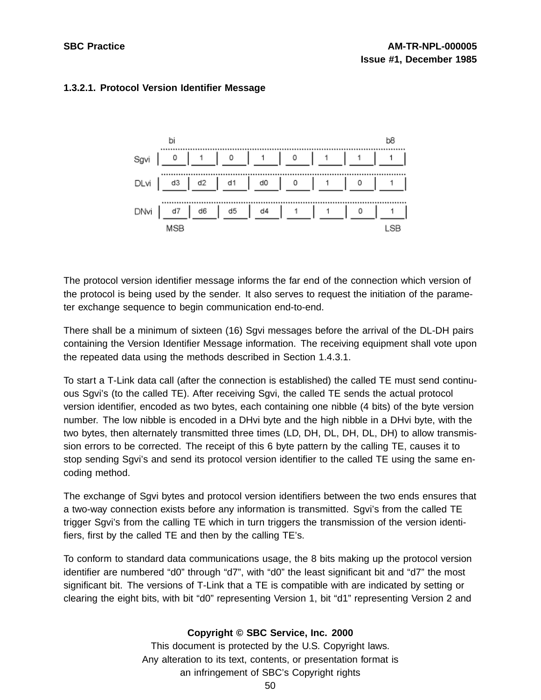

# **1.3.2.1. Protocol Version Identifier Message**

The protocol version identifier message informs the far end of the connection which version of the protocol is being used by the sender. It also serves to request the initiation of the parameter exchange sequence to begin communication end-to-end.

There shall be a minimum of sixteen (16) Sgvi messages before the arrival of the DL-DH pairs containing the Version Identifier Message information. The receiving equipment shall vote upon the repeated data using the methods described in Section 1.4.3.1.

To start a T-Link data call (after the connection is established) the called TE must send continuous Sgvi's (to the called TE). After receiving Sgvi, the called TE sends the actual protocol version identifier, encoded as two bytes, each containing one nibble (4 bits) of the byte version number. The low nibble is encoded in a DHvi byte and the high nibble in a DHvi byte, with the two bytes, then alternately transmitted three times (LD, DH, DL, DH, DL, DH) to allow transmission errors to be corrected. The receipt of this 6 byte pattern by the calling TE, causes it to stop sending Sgvi's and send its protocol version identifier to the called TE using the same encoding method.

The exchange of Sgvi bytes and protocol version identifiers between the two ends ensures that a two-way connection exists before any information is transmitted. Sgvi's from the called TE trigger Sgvi's from the calling TE which in turn triggers the transmission of the version identifiers, first by the called TE and then by the calling TE's.

To conform to standard data communications usage, the 8 bits making up the protocol version identifier are numbered "d0" through "d7", with "d0" the least significant bit and "d7" the most significant bit. The versions of T-Link that a TE is compatible with are indicated by setting or clearing the eight bits, with bit "d0" representing Version 1, bit "d1" representing Version 2 and

## **Copyright © SBC Service, Inc. 2000**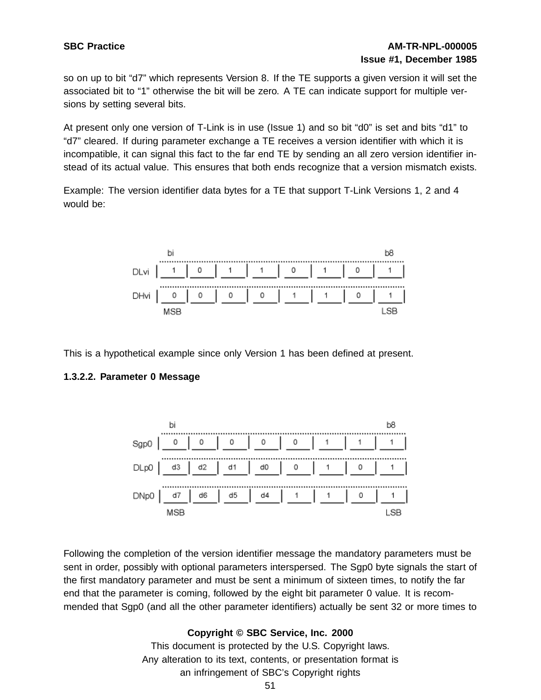so on up to bit "d7" which represents Version 8. If the TE supports a given version it will set the associated bit to "1" otherwise the bit will be zero. A TE can indicate support for multiple versions by setting several bits.

At present only one version of T-Link is in use (Issue 1) and so bit "d0" is set and bits "d1" to "d7" cleared. If during parameter exchange a TE receives a version identifier with which it is incompatible, it can signal this fact to the far end TE by sending an all zero version identifier instead of its actual value. This ensures that both ends recognize that a version mismatch exists.

Example: The version identifier data bytes for a TE that support T-Link Versions 1, 2 and 4 would be:



This is a hypothetical example since only Version 1 has been defined at present.

# **1.3.2.2. Parameter 0 Message**



Following the completion of the version identifier message the mandatory parameters must be sent in order, possibly with optional parameters interspersed. The Sgp0 byte signals the start of the first mandatory parameter and must be sent a minimum of sixteen times, to notify the far end that the parameter is coming, followed by the eight bit parameter 0 value. It is recommended that Sgp0 (and all the other parameter identifiers) actually be sent 32 or more times to

# **Copyright © SBC Service, Inc. 2000**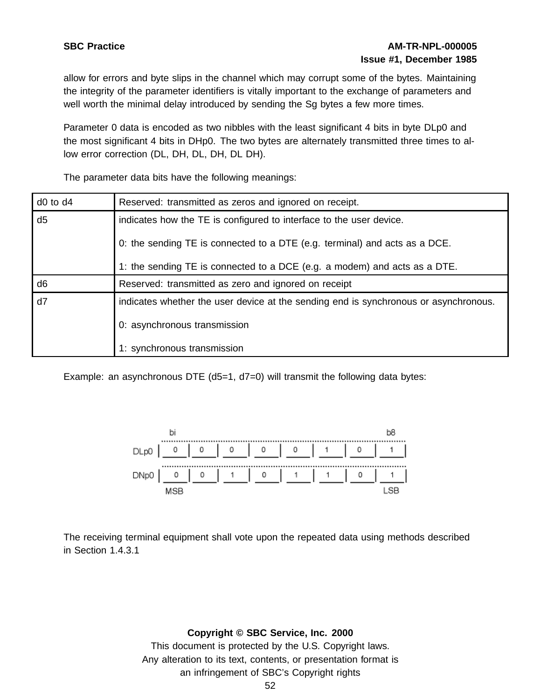# **SBC Practice AM-TR-NPL-000005 Issue #1, December 1985**

allow for errors and byte slips in the channel which may corrupt some of the bytes. Maintaining the integrity of the parameter identifiers is vitally important to the exchange of parameters and well worth the minimal delay introduced by sending the Sg bytes a few more times.

Parameter 0 data is encoded as two nibbles with the least significant 4 bits in byte DLp0 and the most significant 4 bits in DHp0. The two bytes are alternately transmitted three times to allow error correction (DL, DH, DL, DH, DL DH).

The parameter data bits have the following meanings:

| $d0$ to $d4$   | Reserved: transmitted as zeros and ignored on receipt.                               |
|----------------|--------------------------------------------------------------------------------------|
| d <sub>5</sub> | indicates how the TE is configured to interface to the user device.                  |
|                | 0: the sending TE is connected to a DTE (e.g. terminal) and acts as a DCE.           |
|                | 1: the sending TE is connected to a DCE (e.g. a modem) and acts as a DTE.            |
| d <sub>6</sub> | Reserved: transmitted as zero and ignored on receipt                                 |
| d7             | indicates whether the user device at the sending end is synchronous or asynchronous. |
|                | 0: asynchronous transmission                                                         |
|                | 1: synchronous transmission                                                          |

Example: an asynchronous DTE (d5=1, d7=0) will transmit the following data bytes:



The receiving terminal equipment shall vote upon the repeated data using methods described in Section 1.4.3.1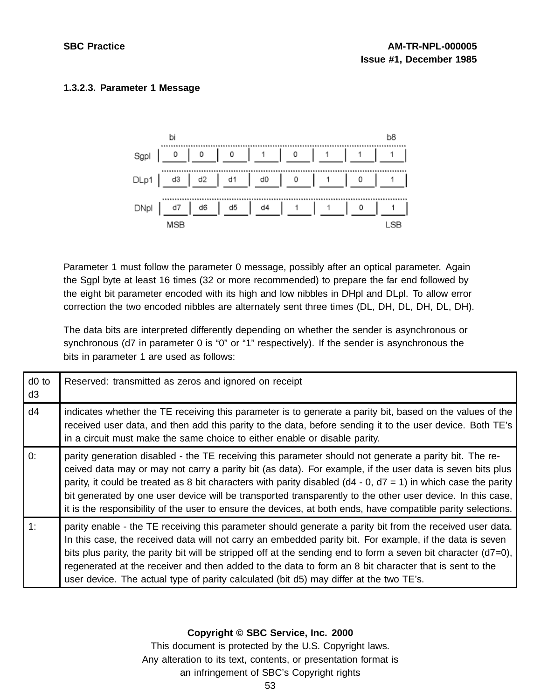# **1.3.2.3. Parameter 1 Message**



Parameter 1 must follow the parameter 0 message, possibly after an optical parameter. Again the Sgpl byte at least 16 times (32 or more recommended) to prepare the far end followed by the eight bit parameter encoded with its high and low nibbles in DHpl and DLpl. To allow error correction the two encoded nibbles are alternately sent three times (DL, DH, DL, DH, DL, DH).

The data bits are interpreted differently depending on whether the sender is asynchronous or synchronous (d7 in parameter 0 is "0" or "1" respectively). If the sender is asynchronous the bits in parameter 1 are used as follows:

| d <sub>0</sub> to<br>d <sub>3</sub> | Reserved: transmitted as zeros and ignored on receipt                                                                                                                                                                                                                                                                                                                                                                                                                                                                                                                      |
|-------------------------------------|----------------------------------------------------------------------------------------------------------------------------------------------------------------------------------------------------------------------------------------------------------------------------------------------------------------------------------------------------------------------------------------------------------------------------------------------------------------------------------------------------------------------------------------------------------------------------|
| d4                                  | indicates whether the TE receiving this parameter is to generate a parity bit, based on the values of the<br>received user data, and then add this parity to the data, before sending it to the user device. Both TE's<br>in a circuit must make the same choice to either enable or disable parity.                                                                                                                                                                                                                                                                       |
| 0:                                  | parity generation disabled - the TE receiving this parameter should not generate a parity bit. The re-<br>ceived data may or may not carry a parity bit (as data). For example, if the user data is seven bits plus<br>parity, it could be treated as 8 bit characters with parity disabled ( $d4 - 0$ , $d7 = 1$ ) in which case the parity<br>bit generated by one user device will be transported transparently to the other user device. In this case,<br>it is the responsibility of the user to ensure the devices, at both ends, have compatible parity selections. |
| 1:                                  | parity enable - the TE receiving this parameter should generate a parity bit from the received user data.<br>In this case, the received data will not carry an embedded parity bit. For example, if the data is seven<br>bits plus parity, the parity bit will be stripped off at the sending end to form a seven bit character (d7=0),<br>regenerated at the receiver and then added to the data to form an 8 bit character that is sent to the<br>user device. The actual type of parity calculated (bit d5) may differ at the two TE's.                                 |

# **Copyright © SBC Service, Inc. 2000**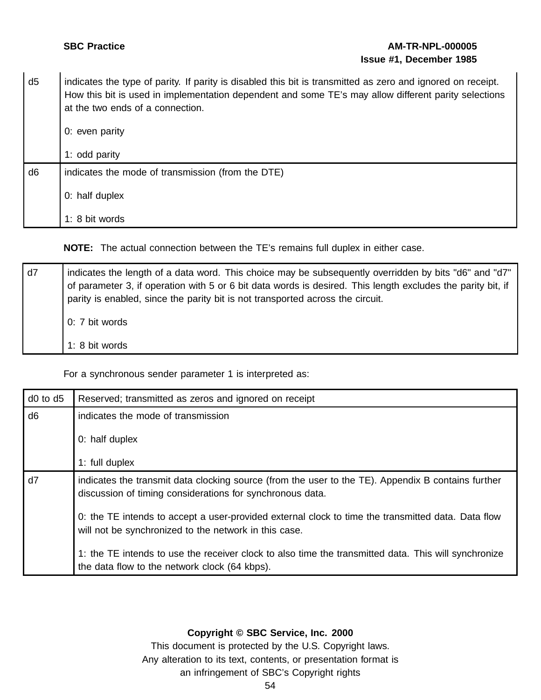# **SBC Practice AM-TR-NPL-000005 Issue #1, December 1985**

d5 indicates the type of parity. If parity is disabled this bit is transmitted as zero and ignored on receipt. How this bit is used in implementation dependent and some TE's may allow different parity selections at the two ends of a connection. 0: even parity 1: odd parity d6 indicates the mode of transmission (from the DTE) 0: half duplex 1: 8 bit words

**NOTE:** The actual connection between the TE's remains full duplex in either case.

| d7 | indicates the length of a data word. This choice may be subsequently overridden by bits "d6" and "d7"<br>of parameter 3, if operation with 5 or 6 bit data words is desired. This length excludes the parity bit, if<br>parity is enabled, since the parity bit is not transported across the circuit. |
|----|--------------------------------------------------------------------------------------------------------------------------------------------------------------------------------------------------------------------------------------------------------------------------------------------------------|
|    | 0: 7 bit words                                                                                                                                                                                                                                                                                         |
|    | 1: 8 bit words                                                                                                                                                                                                                                                                                         |

For a synchronous sender parameter 1 is interpreted as:

| $d0$ to $d5$   | Reserved; transmitted as zeros and ignored on receipt                                                                                                           |
|----------------|-----------------------------------------------------------------------------------------------------------------------------------------------------------------|
| d <sub>6</sub> | indicates the mode of transmission                                                                                                                              |
|                | 0: half duplex                                                                                                                                                  |
|                | 1: full duplex                                                                                                                                                  |
| d7             | indicates the transmit data clocking source (from the user to the TE). Appendix B contains further<br>discussion of timing considerations for synchronous data. |
|                | 0: the TE intends to accept a user-provided external clock to time the transmitted data. Data flow<br>will not be synchronized to the network in this case.     |
|                | 1: the TE intends to use the receiver clock to also time the transmitted data. This will synchronize<br>the data flow to the network clock (64 kbps).           |

# **Copyright © SBC Service, Inc. 2000**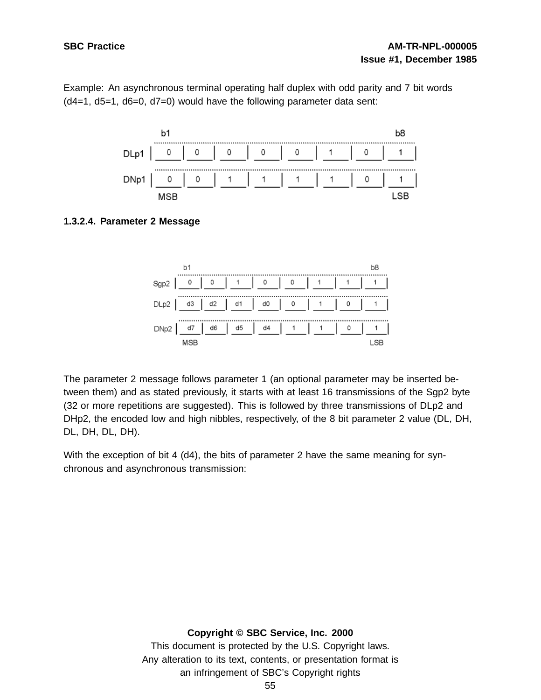Example: An asynchronous terminal operating half duplex with odd parity and 7 bit words (d4=1, d5=1, d6=0, d7=0) would have the following parameter data sent:



# **1.3.2.4. Parameter 2 Message**



The parameter 2 message follows parameter 1 (an optional parameter may be inserted between them) and as stated previously, it starts with at least 16 transmissions of the Sgp2 byte (32 or more repetitions are suggested). This is followed by three transmissions of DLp2 and DHp2, the encoded low and high nibbles, respectively, of the 8 bit parameter 2 value (DL, DH, DL, DH, DL, DH).

With the exception of bit 4 (d4), the bits of parameter 2 have the same meaning for synchronous and asynchronous transmission:

#### **Copyright © SBC Service, Inc. 2000**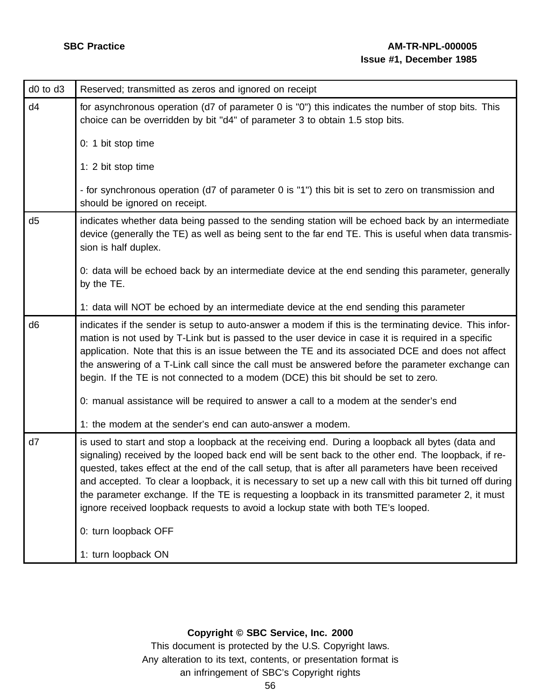| d0 to d3       | Reserved; transmitted as zeros and ignored on receipt                                                                                                                                                                                                                                                                                                                                                                                                                                                                                                                                                               |
|----------------|---------------------------------------------------------------------------------------------------------------------------------------------------------------------------------------------------------------------------------------------------------------------------------------------------------------------------------------------------------------------------------------------------------------------------------------------------------------------------------------------------------------------------------------------------------------------------------------------------------------------|
| d4             | for asynchronous operation (d7 of parameter 0 is "0") this indicates the number of stop bits. This<br>choice can be overridden by bit "d4" of parameter 3 to obtain 1.5 stop bits.                                                                                                                                                                                                                                                                                                                                                                                                                                  |
|                | 0: 1 bit stop time                                                                                                                                                                                                                                                                                                                                                                                                                                                                                                                                                                                                  |
|                | 1: 2 bit stop time                                                                                                                                                                                                                                                                                                                                                                                                                                                                                                                                                                                                  |
|                | - for synchronous operation (d7 of parameter 0 is "1") this bit is set to zero on transmission and<br>should be ignored on receipt.                                                                                                                                                                                                                                                                                                                                                                                                                                                                                 |
| d <sub>5</sub> | indicates whether data being passed to the sending station will be echoed back by an intermediate<br>device (generally the TE) as well as being sent to the far end TE. This is useful when data transmis-<br>sion is half duplex.                                                                                                                                                                                                                                                                                                                                                                                  |
|                | 0: data will be echoed back by an intermediate device at the end sending this parameter, generally<br>by the TE.                                                                                                                                                                                                                                                                                                                                                                                                                                                                                                    |
|                | 1: data will NOT be echoed by an intermediate device at the end sending this parameter                                                                                                                                                                                                                                                                                                                                                                                                                                                                                                                              |
| d <sub>6</sub> | indicates if the sender is setup to auto-answer a modem if this is the terminating device. This infor-<br>mation is not used by T-Link but is passed to the user device in case it is required in a specific<br>application. Note that this is an issue between the TE and its associated DCE and does not affect<br>the answering of a T-Link call since the call must be answered before the parameter exchange can<br>begin. If the TE is not connected to a modem (DCE) this bit should be set to zero.                                                                                                         |
|                | 0: manual assistance will be required to answer a call to a modem at the sender's end                                                                                                                                                                                                                                                                                                                                                                                                                                                                                                                               |
|                | 1: the modem at the sender's end can auto-answer a modem.                                                                                                                                                                                                                                                                                                                                                                                                                                                                                                                                                           |
| d7             | is used to start and stop a loopback at the receiving end. During a loopback all bytes (data and<br>signaling) received by the looped back end will be sent back to the other end. The loopback, if re-<br>quested, takes effect at the end of the call setup, that is after all parameters have been received<br>and accepted. To clear a loopback, it is necessary to set up a new call with this bit turned off during<br>the parameter exchange. If the TE is requesting a loopback in its transmitted parameter 2, it must<br>ignore received loopback requests to avoid a lockup state with both TE's looped. |
|                | 0: turn loopback OFF                                                                                                                                                                                                                                                                                                                                                                                                                                                                                                                                                                                                |
|                | 1: turn loopback ON                                                                                                                                                                                                                                                                                                                                                                                                                                                                                                                                                                                                 |

# **Copyright © SBC Service, Inc. 2000**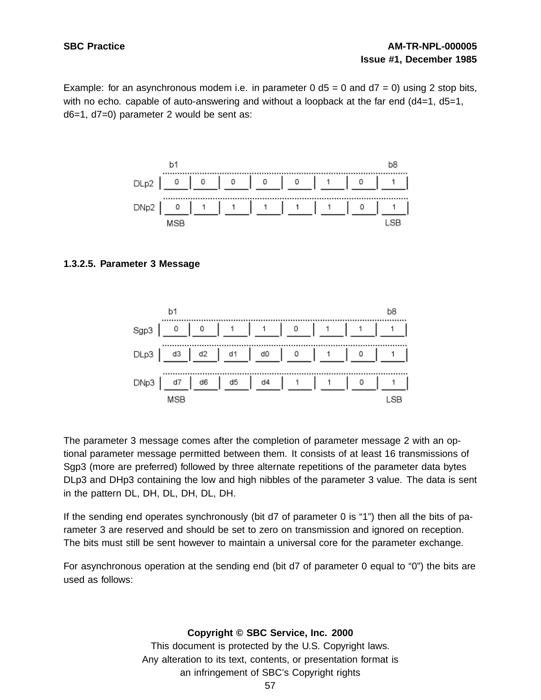Example: for an asynchronous modem i.e. in parameter  $0$  d5 = 0 and  $d7 = 0$ ) using 2 stop bits, with no echo. capable of auto-answering and without a loopback at the far end (d4=1, d5=1, d6=1, d7=0) parameter 2 would be sent as:



## **1.3.2.5. Parameter 3 Message**



The parameter 3 message comes after the completion of parameter message 2 with an optional parameter message permitted between them. It consists of at least 16 transmissions of Sgp3 (more are preferred) followed by three alternate repetitions of the parameter data bytes DLp3 and DHp3 containing the low and high nibbles of the parameter 3 value. The data is sent in the pattern DL, DH, DL, DH, DL, DH.

If the sending end operates synchronously (bit d7 of parameter 0 is "1") then all the bits of parameter 3 are reserved and should be set to zero on transmission and ignored on reception. The bits must still be sent however to maintain a universal core for the parameter exchange.

For asynchronous operation at the sending end (bit d7 of parameter 0 equal to "0") the bits are used as follows: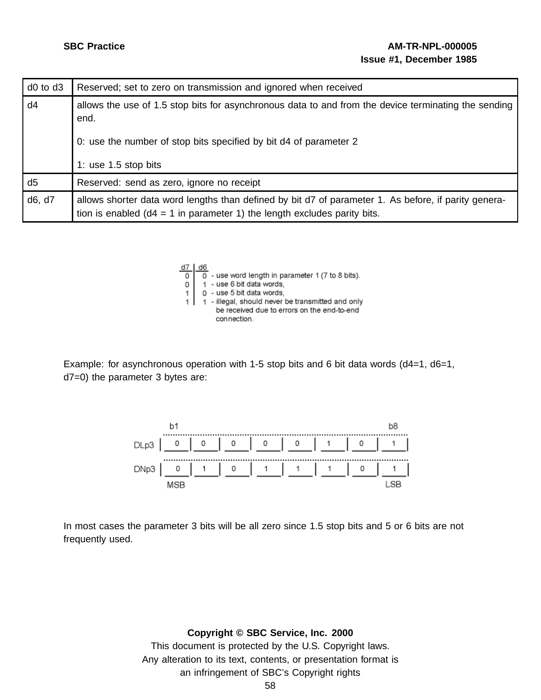| $d0$ to $d3$   | Reserved; set to zero on transmission and ignored when received                                                                                                                     |
|----------------|-------------------------------------------------------------------------------------------------------------------------------------------------------------------------------------|
| d4             | allows the use of 1.5 stop bits for asynchronous data to and from the device terminating the sending<br>end.<br>0: use the number of stop bits specified by bit d4 of parameter 2   |
|                | 1: use $1.5$ stop bits                                                                                                                                                              |
| d <sub>5</sub> | Reserved: send as zero, ignore no receipt                                                                                                                                           |
| d6, d7         | allows shorter data word lengths than defined by bit d7 of parameter 1. As before, if parity genera-<br>tion is enabled ( $d4 = 1$ in parameter 1) the length excludes parity bits. |



Example: for asynchronous operation with 1-5 stop bits and 6 bit data words (d4=1, d6=1, d7=0) the parameter 3 bytes are:



In most cases the parameter 3 bits will be all zero since 1.5 stop bits and 5 or 6 bits are not frequently used.

**Copyright © SBC Service, Inc. 2000**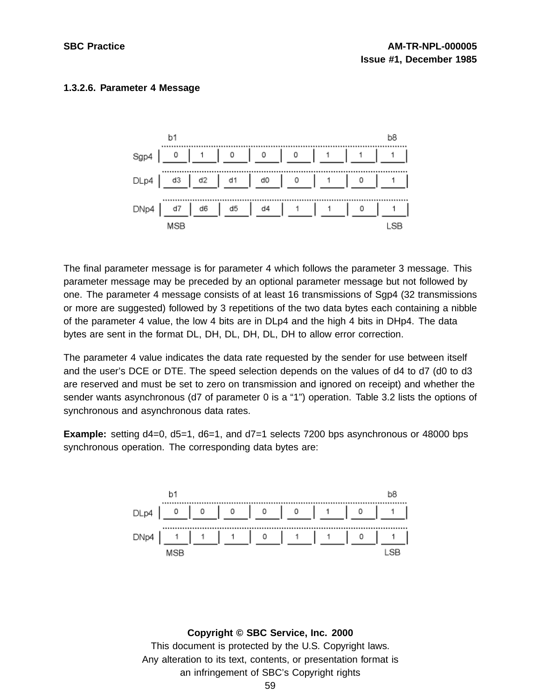# **1.3.2.6. Parameter 4 Message**



The final parameter message is for parameter 4 which follows the parameter 3 message. This parameter message may be preceded by an optional parameter message but not followed by one. The parameter 4 message consists of at least 16 transmissions of Sgp4 (32 transmissions or more are suggested) followed by 3 repetitions of the two data bytes each containing a nibble of the parameter 4 value, the low 4 bits are in DLp4 and the high 4 bits in DHp4. The data bytes are sent in the format DL, DH, DL, DH, DL, DH to allow error correction.

The parameter 4 value indicates the data rate requested by the sender for use between itself and the user's DCE or DTE. The speed selection depends on the values of d4 to d7 (d0 to d3 are reserved and must be set to zero on transmission and ignored on receipt) and whether the sender wants asynchronous (d7 of parameter 0 is a "1") operation. Table 3.2 lists the options of synchronous and asynchronous data rates.

**Example:** setting d4=0, d5=1, d6=1, and d7=1 selects 7200 bps asynchronous or 48000 bps synchronous operation. The corresponding data bytes are:

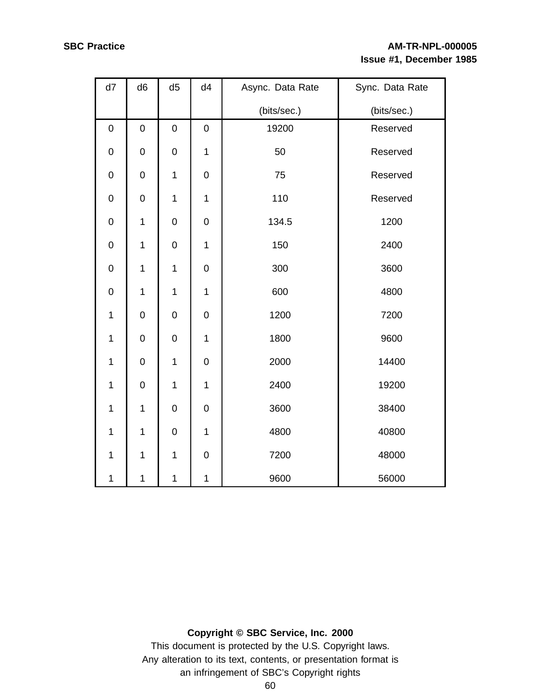# **SBC Practice AM-TR-NPL-000005 Issue #1, December 1985**

| d7               | d <sub>6</sub> | d <sub>5</sub> | d4               | Async. Data Rate | Sync. Data Rate |  |
|------------------|----------------|----------------|------------------|------------------|-----------------|--|
|                  |                |                |                  | (bits/sec.)      | (bits/sec.)     |  |
| $\mathbf 0$      | $\mathbf 0$    | $\mathbf 0$    | 0                | 19200            | Reserved        |  |
| $\boldsymbol{0}$ | $\pmb{0}$      | $\mathbf 0$    | 1                | 50               | Reserved        |  |
| $\mathbf 0$      | $\mathbf 0$    | $\mathbf 1$    | 0                | 75               | Reserved        |  |
| $\mathbf 0$      | $\mathbf 0$    | 1              | 1                | 110              | Reserved        |  |
| $\mathbf 0$      | $\mathbf 1$    | $\mathbf 0$    | 0                | 134.5            | 1200            |  |
| $\pmb{0}$        | $\mathbf 1$    | $\mathbf 0$    | $\mathbf 1$      | 150              | 2400            |  |
| $\mathbf 0$      | $\mathbf 1$    | $\mathbf 1$    | $\boldsymbol{0}$ | 300              | 3600            |  |
| $\mathbf 0$      | $\mathbf 1$    | $\mathbf 1$    | $\mathbf 1$      | 600              | 4800            |  |
| $\mathbf 1$      | $\mathbf 0$    | $\mathbf 0$    | 0                | 1200             | 7200            |  |
| 1                | $\mathbf 0$    | $\mathbf 0$    | 1                | 1800             | 9600            |  |
| 1                | $\mathbf 0$    | 1              | 0                | 2000             | 14400           |  |
| $\mathbf 1$      | $\mathbf 0$    | $\mathbf 1$    | 1                | 2400             | 19200           |  |
| $\mathbf 1$      | $\mathbf 1$    | $\pmb{0}$      | 0                | 3600             | 38400           |  |
| $\mathbf 1$      | $\mathbf 1$    | $\mathbf 0$    | $\mathbf 1$      | 4800             | 40800           |  |
| $\mathbf 1$      | $\mathbf 1$    | $\mathbf 1$    | $\mathbf 0$      | 7200             | 48000           |  |
| $\mathbf 1$      | $\mathbf{1}$   | $\mathbf 1$    | $\mathbf 1$      | 9600             | 56000           |  |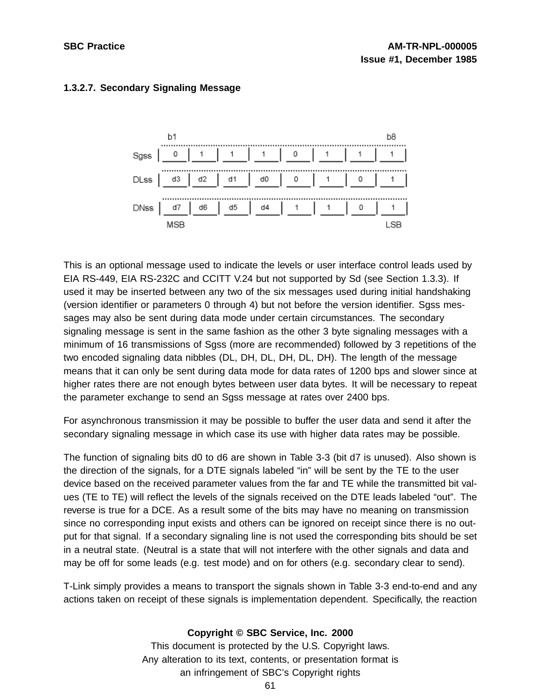

# **1.3.2.7. Secondary Signaling Message**

This is an optional message used to indicate the levels or user interface control leads used by EIA RS-449, EIA RS-232C and CCITT V.24 but not supported by Sd (see Section 1.3.3). If used it may be inserted between any two of the six messages used during initial handshaking (version identifier or parameters 0 through 4) but not before the version identifier. Sgss messages may also be sent during data mode under certain circumstances. The secondary signaling message is sent in the same fashion as the other 3 byte signaling messages with a minimum of 16 transmissions of Sgss (more are recommended) followed by 3 repetitions of the two encoded signaling data nibbles (DL, DH, DL, DH, DL, DH). The length of the message means that it can only be sent during data mode for data rates of 1200 bps and slower since at higher rates there are not enough bytes between user data bytes. It will be necessary to repeat the parameter exchange to send an Sgss message at rates over 2400 bps.

For asynchronous transmission it may be possible to buffer the user data and send it after the secondary signaling message in which case its use with higher data rates may be possible.

The function of signaling bits d0 to d6 are shown in Table 3-3 (bit d7 is unused). Also shown is the direction of the signals, for a DTE signals labeled "in" will be sent by the TE to the user device based on the received parameter values from the far and TE while the transmitted bit values (TE to TE) will reflect the levels of the signals received on the DTE leads labeled "out". The reverse is true for a DCE. As a result some of the bits may have no meaning on transmission since no corresponding input exists and others can be ignored on receipt since there is no output for that signal. If a secondary signaling line is not used the corresponding bits should be set in a neutral state. (Neutral is a state that will not interfere with the other signals and data and may be off for some leads (e.g. test mode) and on for others (e.g. secondary clear to send).

T-Link simply provides a means to transport the signals shown in Table 3-3 end-to-end and any actions taken on receipt of these signals is implementation dependent. Specifically, the reaction

# **Copyright © SBC Service, Inc. 2000**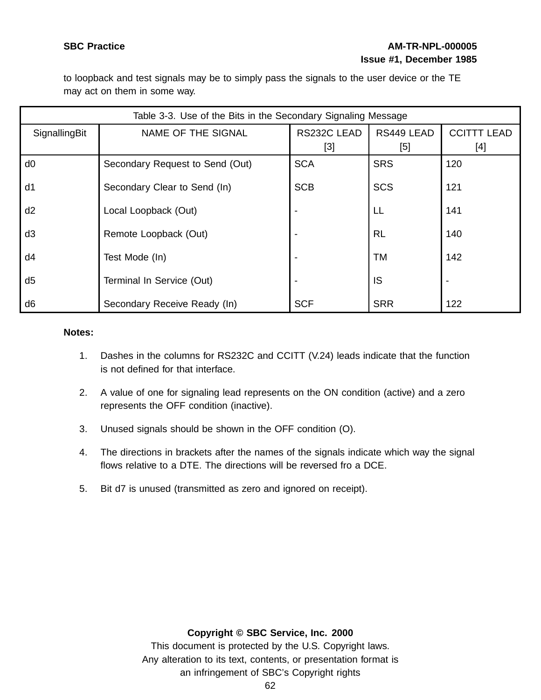# **SBC Practice AM-TR-NPL-000005 Issue #1, December 1985**

to loopback and test signals may be to simply pass the signals to the user device or the TE may act on them in some way.

|                | Table 3-3. Use of the Bits in the Secondary Signaling Message |                                                                                                                                                            |            |                          |  |
|----------------|---------------------------------------------------------------|------------------------------------------------------------------------------------------------------------------------------------------------------------|------------|--------------------------|--|
| SignallingBit  | NAME OF THE SIGNAL                                            |                                                                                                                                                            | RS449 LEAD | <b>CCITTT LEAD</b>       |  |
|                |                                                               | $[3] % \includegraphics[width=0.9\columnwidth]{figures/fig_1a} \caption{Schematic diagram of the top of the top of the top of the right.} \label{fig:1} %$ | [5]        | $[4]$                    |  |
| d <sub>0</sub> | Secondary Request to Send (Out)                               | <b>SCA</b>                                                                                                                                                 | <b>SRS</b> | 120                      |  |
| d1             | Secondary Clear to Send (In)                                  | <b>SCB</b>                                                                                                                                                 | <b>SCS</b> | 121                      |  |
| d2             | Local Loopback (Out)                                          |                                                                                                                                                            | LL         | 141                      |  |
| d <sub>3</sub> | Remote Loopback (Out)                                         |                                                                                                                                                            | <b>RL</b>  | 140                      |  |
| d4             | Test Mode (In)                                                |                                                                                                                                                            | TM         | 142                      |  |
| d <sub>5</sub> | Terminal In Service (Out)                                     |                                                                                                                                                            | IS         | $\overline{\phantom{a}}$ |  |
| d <sub>6</sub> | Secondary Receive Ready (In)                                  | <b>SCF</b>                                                                                                                                                 | <b>SRR</b> | 122                      |  |

#### **Notes:**

- 1. Dashes in the columns for RS232C and CCITT (V.24) leads indicate that the function is not defined for that interface.
- 2. A value of one for signaling lead represents on the ON condition (active) and a zero represents the OFF condition (inactive).
- 3. Unused signals should be shown in the OFF condition (O).
- 4. The directions in brackets after the names of the signals indicate which way the signal flows relative to a DTE. The directions will be reversed fro a DCE.
- 5. Bit d7 is unused (transmitted as zero and ignored on receipt).

## **Copyright © SBC Service, Inc. 2000**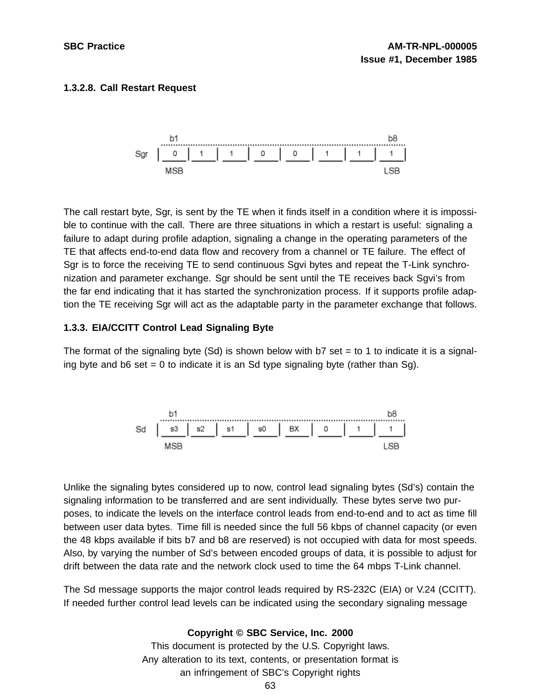# **1.3.2.8. Call Restart Request**



The call restart byte, Sgr, is sent by the TE when it finds itself in a condition where it is impossible to continue with the call. There are three situations in which a restart is useful: signaling a failure to adapt during profile adaption, signaling a change in the operating parameters of the TE that affects end-to-end data flow and recovery from a channel or TE failure. The effect of Sgr is to force the receiving TE to send continuous Sgvi bytes and repeat the T-Link synchronization and parameter exchange. Sgr should be sent until the TE receives back Sgvi's from the far end indicating that it has started the synchronization process. If it supports profile adaption the TE receiving Sgr will act as the adaptable party in the parameter exchange that follows.

# **1.3.3. EIA/CCITT Control Lead Signaling Byte**

The format of the signaling byte  $(Sd)$  is shown below with b7 set  $=$  to 1 to indicate it is a signaling byte and  $b6$  set = 0 to indicate it is an Sd type signaling byte (rather than Sg).



Unlike the signaling bytes considered up to now, control lead signaling bytes (Sd's) contain the signaling information to be transferred and are sent individually. These bytes serve two purposes, to indicate the levels on the interface control leads from end-to-end and to act as time fill between user data bytes. Time fill is needed since the full 56 kbps of channel capacity (or even the 48 kbps available if bits b7 and b8 are reserved) is not occupied with data for most speeds. Also, by varying the number of Sd's between encoded groups of data, it is possible to adjust for drift between the data rate and the network clock used to time the 64 mbps T-Link channel.

The Sd message supports the major control leads required by RS-232C (EIA) or V.24 (CCITT). If needed further control lead levels can be indicated using the secondary signaling message

# **Copyright © SBC Service, Inc. 2000**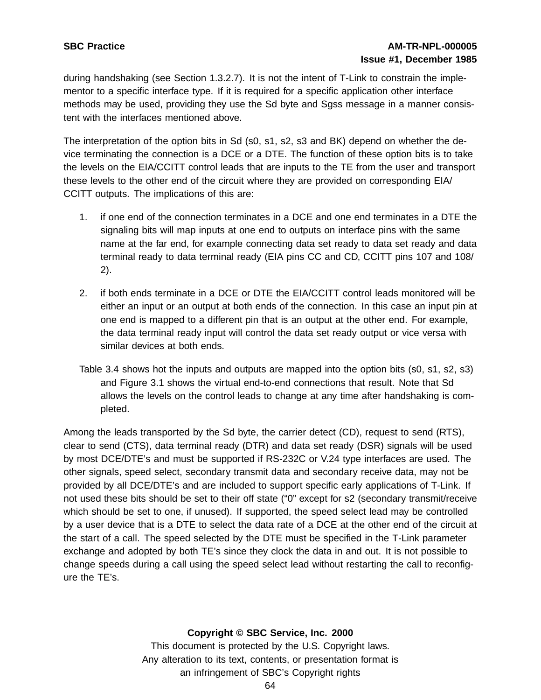during handshaking (see Section 1.3.2.7). It is not the intent of T-Link to constrain the implementor to a specific interface type. If it is required for a specific application other interface methods may be used, providing they use the Sd byte and Sgss message in a manner consistent with the interfaces mentioned above.

The interpretation of the option bits in Sd (s0, s1, s2, s3 and BK) depend on whether the device terminating the connection is a DCE or a DTE. The function of these option bits is to take the levels on the EIA/CCITT control leads that are inputs to the TE from the user and transport these levels to the other end of the circuit where they are provided on corresponding EIA/ CCITT outputs. The implications of this are:

- 1. if one end of the connection terminates in a DCE and one end terminates in a DTE the signaling bits will map inputs at one end to outputs on interface pins with the same name at the far end, for example connecting data set ready to data set ready and data terminal ready to data terminal ready (EIA pins CC and CD, CCITT pins 107 and 108/ 2).
- 2. if both ends terminate in a DCE or DTE the EIA/CCITT control leads monitored will be either an input or an output at both ends of the connection. In this case an input pin at one end is mapped to a different pin that is an output at the other end. For example, the data terminal ready input will control the data set ready output or vice versa with similar devices at both ends.
- Table 3.4 shows hot the inputs and outputs are mapped into the option bits (s0, s1, s2, s3) and Figure 3.1 shows the virtual end-to-end connections that result. Note that Sd allows the levels on the control leads to change at any time after handshaking is completed.

Among the leads transported by the Sd byte, the carrier detect (CD), request to send (RTS), clear to send (CTS), data terminal ready (DTR) and data set ready (DSR) signals will be used by most DCE/DTE's and must be supported if RS-232C or V.24 type interfaces are used. The other signals, speed select, secondary transmit data and secondary receive data, may not be provided by all DCE/DTE's and are included to support specific early applications of T-Link. If not used these bits should be set to their off state ("0" except for s2 (secondary transmit/receive which should be set to one, if unused). If supported, the speed select lead may be controlled by a user device that is a DTE to select the data rate of a DCE at the other end of the circuit at the start of a call. The speed selected by the DTE must be specified in the T-Link parameter exchange and adopted by both TE's since they clock the data in and out. It is not possible to change speeds during a call using the speed select lead without restarting the call to reconfigure the TE's.

## **Copyright © SBC Service, Inc. 2000**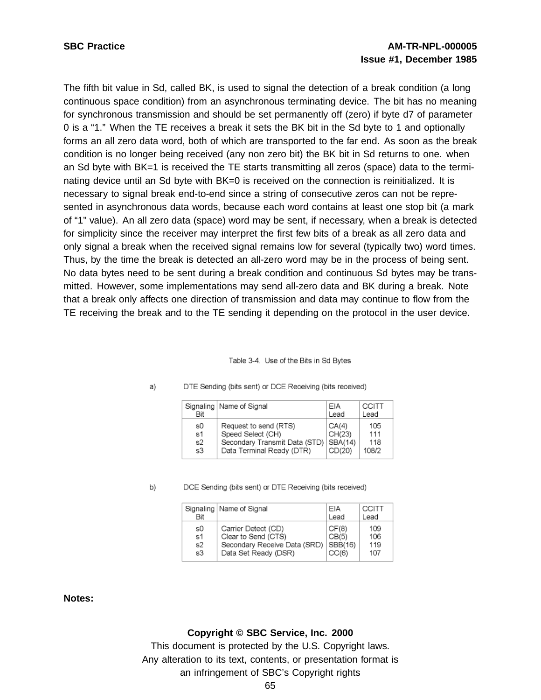The fifth bit value in Sd, called BK, is used to signal the detection of a break condition (a long continuous space condition) from an asynchronous terminating device. The bit has no meaning for synchronous transmission and should be set permanently off (zero) if byte d7 of parameter 0 is a "1." When the TE receives a break it sets the BK bit in the Sd byte to 1 and optionally forms an all zero data word, both of which are transported to the far end. As soon as the break condition is no longer being received (any non zero bit) the BK bit in Sd returns to one. when an Sd byte with BK=1 is received the TE starts transmitting all zeros (space) data to the terminating device until an Sd byte with BK=0 is received on the connection is reinitialized. It is necessary to signal break end-to-end since a string of consecutive zeros can not be represented in asynchronous data words, because each word contains at least one stop bit (a mark of "1" value). An all zero data (space) word may be sent, if necessary, when a break is detected for simplicity since the receiver may interpret the first few bits of a break as all zero data and only signal a break when the received signal remains low for several (typically two) word times. Thus, by the time the break is detected an all-zero word may be in the process of being sent. No data bytes need to be sent during a break condition and continuous Sd bytes may be transmitted. However, some implementations may send all-zero data and BK during a break. Note that a break only affects one direction of transmission and data may continue to flow from the TE receiving the break and to the TE sending it depending on the protocol in the user device.

#### Table 3-4. Use of the Bits in Sd Bytes

| Bit | Signaling   Name of Signal    | FIA<br>Lead | <b>CCITT</b><br>Lead |
|-----|-------------------------------|-------------|----------------------|
| s0  | Request to send (RTS)         | CA(4)       | 105                  |
| s1  | Speed Select (CH)             | CH(23)      | 111                  |
| s2  | Secondary Transmit Data (STD) | SBA(14)     | 118                  |
| s3  | Data Terminal Ready (DTR)     | CD(20)      | 108/2                |

#### DTE Sending (bits sent) or DCE Receiving (bits received) a)

b)

#### DCE Sending (bits sent) or DTE Receiving (bits received)

| Bit | Signaling   Name of Signal   | FIA<br>Lead | CCITT<br>Lead |
|-----|------------------------------|-------------|---------------|
| s0  | Carrier Detect (CD)          | CF(8)       | 109           |
| s1  | Clear to Send (CTS)          | CB(5)       | 106           |
| s2  | Secondary Receive Data (SRD) | SBB(16)     | 119           |
| s3  | Data Set Ready (DSR)         | CC(6)       | 107           |

#### **Notes:**

#### **Copyright © SBC Service, Inc. 2000**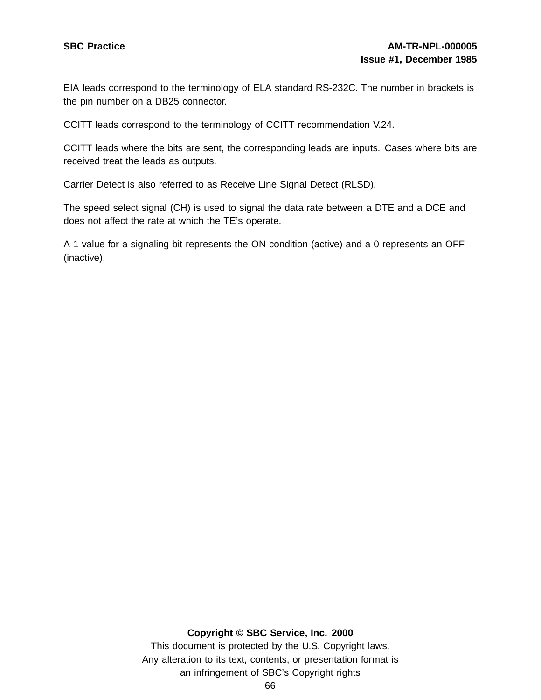EIA leads correspond to the terminology of ELA standard RS-232C. The number in brackets is the pin number on a DB25 connector.

CCITT leads correspond to the terminology of CCITT recommendation V.24.

CCITT leads where the bits are sent, the corresponding leads are inputs. Cases where bits are received treat the leads as outputs.

Carrier Detect is also referred to as Receive Line Signal Detect (RLSD).

The speed select signal (CH) is used to signal the data rate between a DTE and a DCE and does not affect the rate at which the TE's operate.

A 1 value for a signaling bit represents the ON condition (active) and a 0 represents an OFF (inactive).

#### **Copyright © SBC Service, Inc. 2000**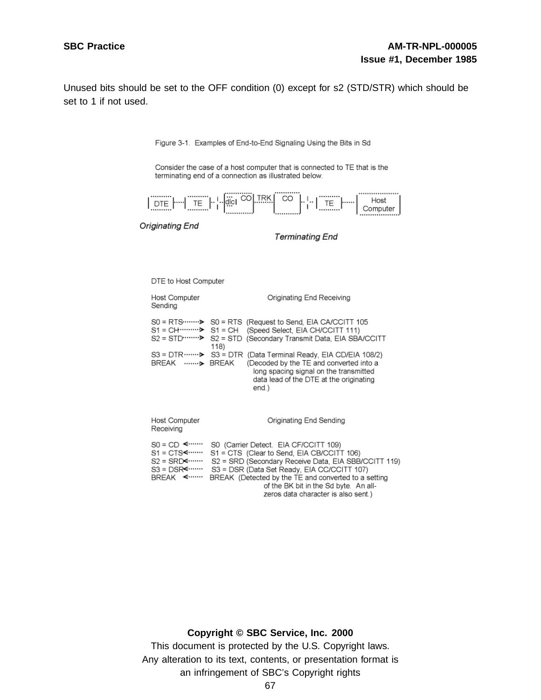Unused bits should be set to the OFF condition (0) except for s2 (STD/STR) which should be set to 1 if not used.

Figure 3-1. Examples of End-to-End Signaling Using the Bits in Sd

Consider the case of a host computer that is connected to TE that is the terminating end of a connection as illustrated below.



Originating End

**Terminating End** 

DTE to Host Computer

| Host Computer<br>Sending                                                        | Originating End Receiving                                                                                                                                                                                                                                                                                                                                                                                                                           |
|---------------------------------------------------------------------------------|-----------------------------------------------------------------------------------------------------------------------------------------------------------------------------------------------------------------------------------------------------------------------------------------------------------------------------------------------------------------------------------------------------------------------------------------------------|
| BREAK  BREAK                                                                    | $SO = RTS$ $\triangleright$ $SO = RTS$ (Request to Send, EIA CA/CCITT 105<br>S1 = CH ·········· > S1 = CH (Speed Select, EIA CH/CCITT 111)<br>S2 = STD  > S2 = STD (Secondary Transmit Data, EIA SBA/CCITT<br>118)<br>$SS = DTR$ $\cdots$ $\rightarrow$ $SS = DTR$ (Data Terminal Ready, EIA CD/EIA 108/2)<br>(Decoded by the TE and converted into a<br>long spacing signal on the transmitted<br>data lead of the DTE at the originating<br>end.) |
| Host Computer<br>Receiving                                                      | Originating End Sending                                                                                                                                                                                                                                                                                                                                                                                                                             |
| $SO = CD$ < $\leftarrow$<br>$S1 = CTS$<br>$S2 = SRD$<br>$SS = DSR$<br>BREAK <…… | S0 (Carrier Detect. EIA CF/CCITT 109)<br>S1 = CTS (Clear to Send, EIA CB/CCITT 106)<br>S2 = SRD (Secondary Receive Data, EIA SBB/CCITT 119)<br>S3 = DSR (Data Set Ready, EIA CC/CCITT 107)<br>BREAK (Detected by the TE and converted to a setting                                                                                                                                                                                                  |

of the BK bit in the Sd byte. An allzeros data character is also sent.)

#### **Copyright © SBC Service, Inc. 2000**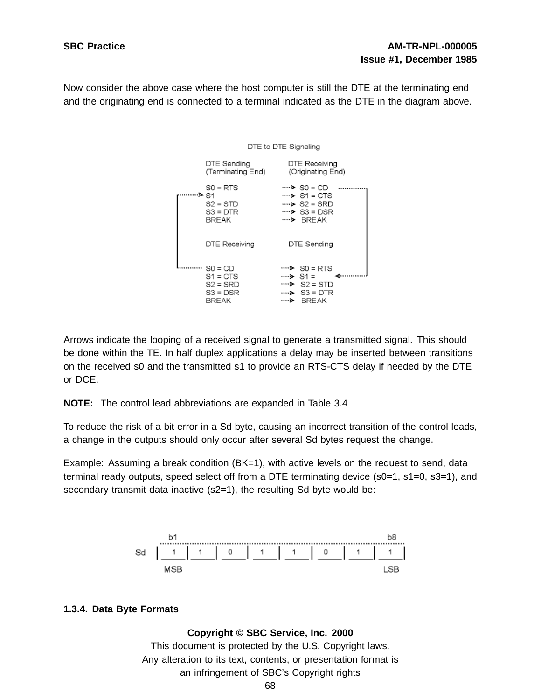Now consider the above case where the host computer is still the DTE at the terminating end and the originating end is connected to a terminal indicated as the DTE in the diagram above.



Arrows indicate the looping of a received signal to generate a transmitted signal. This should be done within the TE. In half duplex applications a delay may be inserted between transitions on the received s0 and the transmitted s1 to provide an RTS-CTS delay if needed by the DTE or DCE.

**NOTE:** The control lead abbreviations are expanded in Table 3.4

To reduce the risk of a bit error in a Sd byte, causing an incorrect transition of the control leads, a change in the outputs should only occur after several Sd bytes request the change.

Example: Assuming a break condition (BK=1), with active levels on the request to send, data terminal ready outputs, speed select off from a DTE terminating device (s0=1, s1=0, s3=1), and secondary transmit data inactive (s2=1), the resulting Sd byte would be:



# **1.3.4. Data Byte Formats**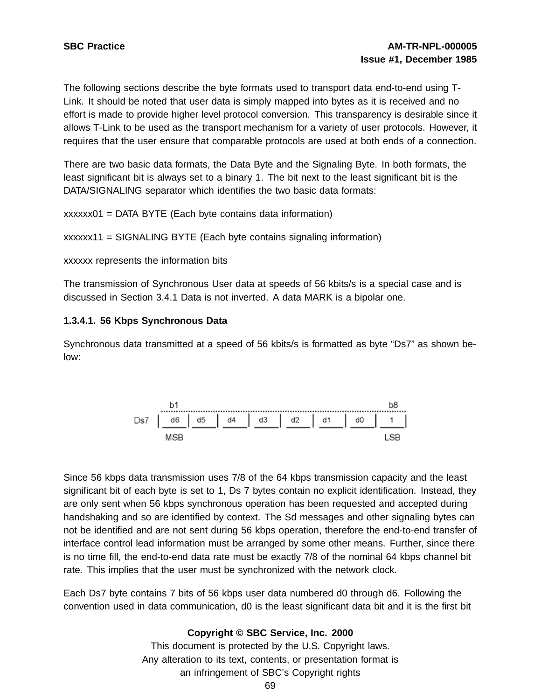The following sections describe the byte formats used to transport data end-to-end using T-Link. It should be noted that user data is simply mapped into bytes as it is received and no effort is made to provide higher level protocol conversion. This transparency is desirable since it allows T-Link to be used as the transport mechanism for a variety of user protocols. However, it requires that the user ensure that comparable protocols are used at both ends of a connection.

There are two basic data formats, the Data Byte and the Signaling Byte. In both formats, the least significant bit is always set to a binary 1. The bit next to the least significant bit is the DATA/SIGNALING separator which identifies the two basic data formats:

xxxxxx01 = DATA BYTE (Each byte contains data information)

```
xxxxxx11 = SIGNALING BYTE (Each byte contains signaling information)
```
xxxxxx represents the information bits

The transmission of Synchronous User data at speeds of 56 kbits/s is a special case and is discussed in Section 3.4.1 Data is not inverted. A data MARK is a bipolar one.

## **1.3.4.1. 56 Kbps Synchronous Data**

Synchronous data transmitted at a speed of 56 kbits/s is formatted as byte "Ds7" as shown below:



Since 56 kbps data transmission uses 7/8 of the 64 kbps transmission capacity and the least significant bit of each byte is set to 1, Ds 7 bytes contain no explicit identification. Instead, they are only sent when 56 kbps synchronous operation has been requested and accepted during handshaking and so are identified by context. The Sd messages and other signaling bytes can not be identified and are not sent during 56 kbps operation, therefore the end-to-end transfer of interface control lead information must be arranged by some other means. Further, since there is no time fill, the end-to-end data rate must be exactly 7/8 of the nominal 64 kbps channel bit rate. This implies that the user must be synchronized with the network clock.

Each Ds7 byte contains 7 bits of 56 kbps user data numbered d0 through d6. Following the convention used in data communication, d0 is the least significant data bit and it is the first bit

## **Copyright © SBC Service, Inc. 2000**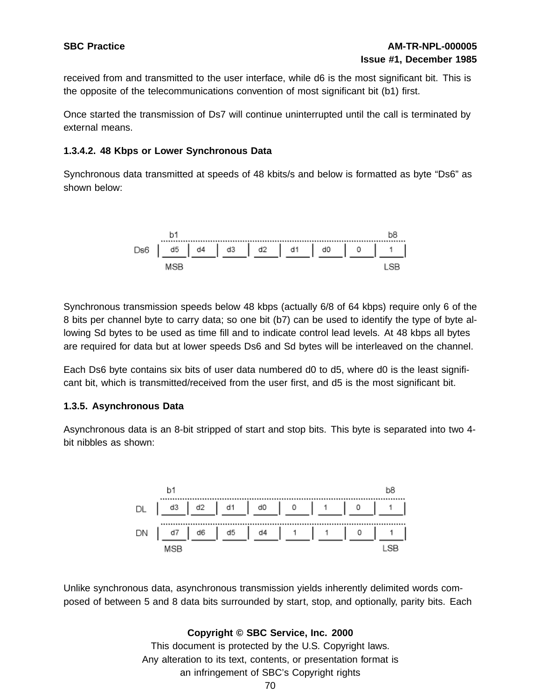received from and transmitted to the user interface, while d6 is the most significant bit. This is the opposite of the telecommunications convention of most significant bit (b1) first.

Once started the transmission of Ds7 will continue uninterrupted until the call is terminated by external means.

# **1.3.4.2. 48 Kbps or Lower Synchronous Data**

Synchronous data transmitted at speeds of 48 kbits/s and below is formatted as byte "Ds6" as shown below:



Synchronous transmission speeds below 48 kbps (actually 6/8 of 64 kbps) require only 6 of the 8 bits per channel byte to carry data; so one bit (b7) can be used to identify the type of byte allowing Sd bytes to be used as time fill and to indicate control lead levels. At 48 kbps all bytes are required for data but at lower speeds Ds6 and Sd bytes will be interleaved on the channel.

Each Ds6 byte contains six bits of user data numbered d0 to d5, where d0 is the least significant bit, which is transmitted/received from the user first, and d5 is the most significant bit.

# **1.3.5. Asynchronous Data**

Asynchronous data is an 8-bit stripped of start and stop bits. This byte is separated into two 4 bit nibbles as shown:



Unlike synchronous data, asynchronous transmission yields inherently delimited words composed of between 5 and 8 data bits surrounded by start, stop, and optionally, parity bits. Each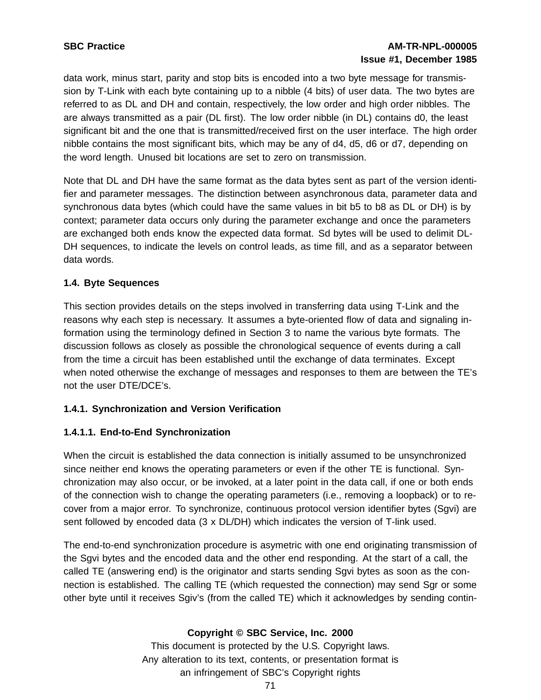# **SBC Practice AM-TR-NPL-000005 Issue #1, December 1985**

data work, minus start, parity and stop bits is encoded into a two byte message for transmission by T-Link with each byte containing up to a nibble (4 bits) of user data. The two bytes are referred to as DL and DH and contain, respectively, the low order and high order nibbles. The are always transmitted as a pair (DL first). The low order nibble (in DL) contains d0, the least significant bit and the one that is transmitted/received first on the user interface. The high order nibble contains the most significant bits, which may be any of d4, d5, d6 or d7, depending on the word length. Unused bit locations are set to zero on transmission.

Note that DL and DH have the same format as the data bytes sent as part of the version identifier and parameter messages. The distinction between asynchronous data, parameter data and synchronous data bytes (which could have the same values in bit b5 to b8 as DL or DH) is by context; parameter data occurs only during the parameter exchange and once the parameters are exchanged both ends know the expected data format. Sd bytes will be used to delimit DL-DH sequences, to indicate the levels on control leads, as time fill, and as a separator between data words.

# **1.4. Byte Sequences**

This section provides details on the steps involved in transferring data using T-Link and the reasons why each step is necessary. It assumes a byte-oriented flow of data and signaling information using the terminology defined in Section 3 to name the various byte formats. The discussion follows as closely as possible the chronological sequence of events during a call from the time a circuit has been established until the exchange of data terminates. Except when noted otherwise the exchange of messages and responses to them are between the TE's not the user DTE/DCE's.

## **1.4.1. Synchronization and Version Verification**

# **1.4.1.1. End-to-End Synchronization**

When the circuit is established the data connection is initially assumed to be unsynchronized since neither end knows the operating parameters or even if the other TE is functional. Synchronization may also occur, or be invoked, at a later point in the data call, if one or both ends of the connection wish to change the operating parameters (i.e., removing a loopback) or to recover from a major error. To synchronize, continuous protocol version identifier bytes (Sgvi) are sent followed by encoded data (3 x DL/DH) which indicates the version of T-link used.

The end-to-end synchronization procedure is asymetric with one end originating transmission of the Sgvi bytes and the encoded data and the other end responding. At the start of a call, the called TE (answering end) is the originator and starts sending Sgvi bytes as soon as the connection is established. The calling TE (which requested the connection) may send Sgr or some other byte until it receives Sgiv's (from the called TE) which it acknowledges by sending contin-

## **Copyright © SBC Service, Inc. 2000**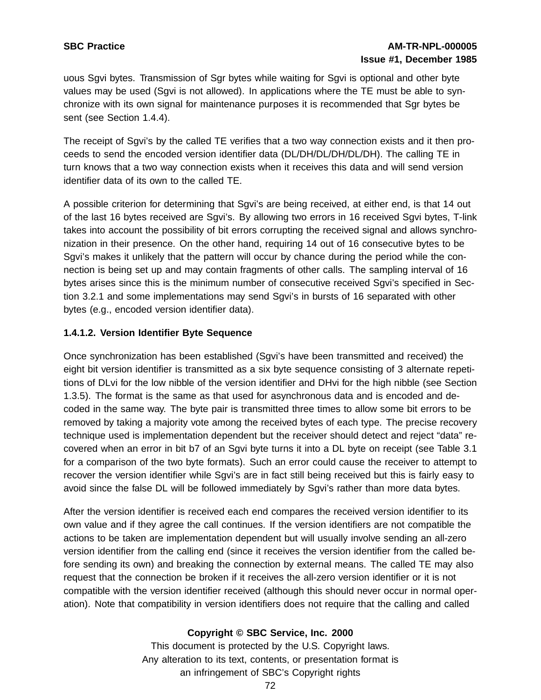# **SBC Practice AM-TR-NPL-000005 Issue #1, December 1985**

uous Sgvi bytes. Transmission of Sgr bytes while waiting for Sgvi is optional and other byte values may be used (Sgvi is not allowed). In applications where the TE must be able to synchronize with its own signal for maintenance purposes it is recommended that Sgr bytes be sent (see Section 1.4.4).

The receipt of Sgvi's by the called TE verifies that a two way connection exists and it then proceeds to send the encoded version identifier data (DL/DH/DL/DH/DL/DH). The calling TE in turn knows that a two way connection exists when it receives this data and will send version identifier data of its own to the called TE.

A possible criterion for determining that Sgvi's are being received, at either end, is that 14 out of the last 16 bytes received are Sgvi's. By allowing two errors in 16 received Sgvi bytes, T-link takes into account the possibility of bit errors corrupting the received signal and allows synchronization in their presence. On the other hand, requiring 14 out of 16 consecutive bytes to be Sgvi's makes it unlikely that the pattern will occur by chance during the period while the connection is being set up and may contain fragments of other calls. The sampling interval of 16 bytes arises since this is the minimum number of consecutive received Sgvi's specified in Section 3.2.1 and some implementations may send Sgvi's in bursts of 16 separated with other bytes (e.g., encoded version identifier data).

# **1.4.1.2. Version Identifier Byte Sequence**

Once synchronization has been established (Sgvi's have been transmitted and received) the eight bit version identifier is transmitted as a six byte sequence consisting of 3 alternate repetitions of DLvi for the low nibble of the version identifier and DHvi for the high nibble (see Section 1.3.5). The format is the same as that used for asynchronous data and is encoded and decoded in the same way. The byte pair is transmitted three times to allow some bit errors to be removed by taking a majority vote among the received bytes of each type. The precise recovery technique used is implementation dependent but the receiver should detect and reject "data" recovered when an error in bit b7 of an Sgvi byte turns it into a DL byte on receipt (see Table 3.1 for a comparison of the two byte formats). Such an error could cause the receiver to attempt to recover the version identifier while Sgvi's are in fact still being received but this is fairly easy to avoid since the false DL will be followed immediately by Sgvi's rather than more data bytes.

After the version identifier is received each end compares the received version identifier to its own value and if they agree the call continues. If the version identifiers are not compatible the actions to be taken are implementation dependent but will usually involve sending an all-zero version identifier from the calling end (since it receives the version identifier from the called before sending its own) and breaking the connection by external means. The called TE may also request that the connection be broken if it receives the all-zero version identifier or it is not compatible with the version identifier received (although this should never occur in normal operation). Note that compatibility in version identifiers does not require that the calling and called

# **Copyright © SBC Service, Inc. 2000**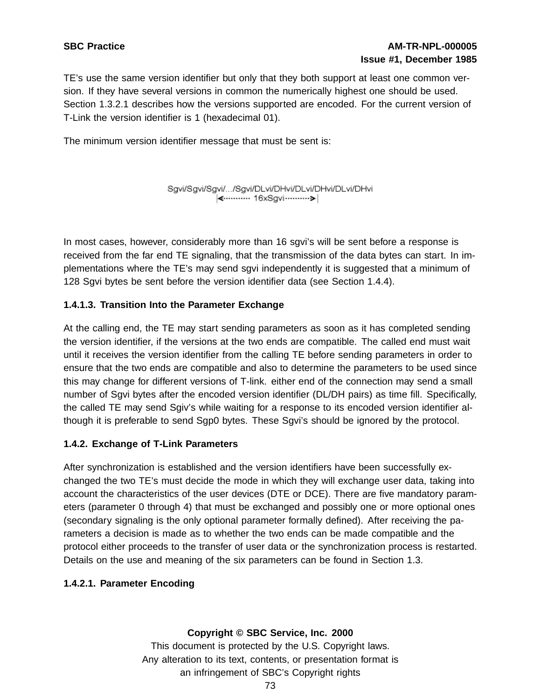TE's use the same version identifier but only that they both support at least one common version. If they have several versions in common the numerically highest one should be used. Section 1.3.2.1 describes how the versions supported are encoded. For the current version of T-Link the version identifier is 1 (hexadecimal 01).

The minimum version identifier message that must be sent is:

Sgvi/Sgvi/Sgvi/.../Sgvi/DLvi/DHvi/DLvi/DHvi/DLvi/DHvi 

In most cases, however, considerably more than 16 sgvi's will be sent before a response is received from the far end TE signaling, that the transmission of the data bytes can start. In implementations where the TE's may send sgvi independently it is suggested that a minimum of 128 Sgvi bytes be sent before the version identifier data (see Section 1.4.4).

# **1.4.1.3. Transition Into the Parameter Exchange**

At the calling end, the TE may start sending parameters as soon as it has completed sending the version identifier, if the versions at the two ends are compatible. The called end must wait until it receives the version identifier from the calling TE before sending parameters in order to ensure that the two ends are compatible and also to determine the parameters to be used since this may change for different versions of T-link. either end of the connection may send a small number of Sgvi bytes after the encoded version identifier (DL/DH pairs) as time fill. Specifically, the called TE may send Sgiv's while waiting for a response to its encoded version identifier although it is preferable to send Sgp0 bytes. These Sgvi's should be ignored by the protocol.

## **1.4.2. Exchange of T-Link Parameters**

After synchronization is established and the version identifiers have been successfully exchanged the two TE's must decide the mode in which they will exchange user data, taking into account the characteristics of the user devices (DTE or DCE). There are five mandatory parameters (parameter 0 through 4) that must be exchanged and possibly one or more optional ones (secondary signaling is the only optional parameter formally defined). After receiving the parameters a decision is made as to whether the two ends can be made compatible and the protocol either proceeds to the transfer of user data or the synchronization process is restarted. Details on the use and meaning of the six parameters can be found in Section 1.3.

# **1.4.2.1. Parameter Encoding**

# **Copyright © SBC Service, Inc. 2000**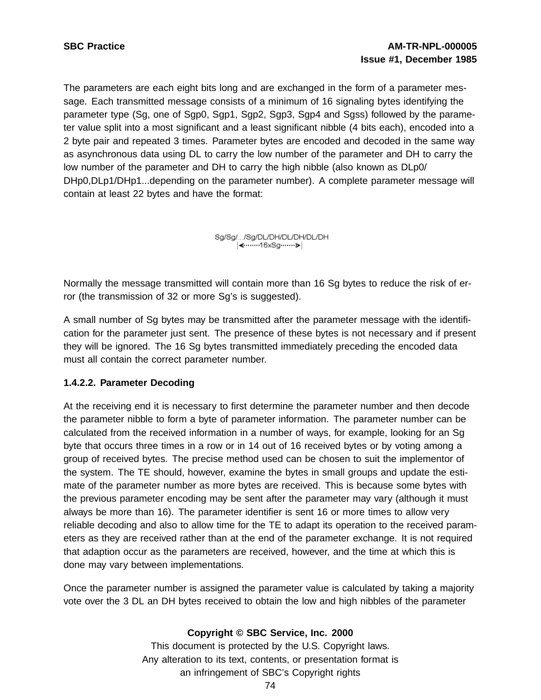The parameters are each eight bits long and are exchanged in the form of a parameter message. Each transmitted message consists of a minimum of 16 signaling bytes identifying the parameter type (Sg, one of Sgp0, Sgp1, Sgp2, Sgp3, Sgp4 and Sgss) followed by the parameter value split into a most significant and a least significant nibble (4 bits each), encoded into a 2 byte pair and repeated 3 times. Parameter bytes are encoded and decoded in the same way as asynchronous data using DL to carry the low number of the parameter and DH to carry the low number of the parameter and DH to carry the high nibble (also known as DLp0/ DHp0,DLp1/DHp1...depending on the parameter number). A complete parameter message will contain at least 22 bytes and have the format:

> Sg/Sg/.../Sg/DL/DH/DL/DH/DL/DH **K**www.16xSqwww.

Normally the message transmitted will contain more than 16 Sg bytes to reduce the risk of error (the transmission of 32 or more Sg's is suggested).

A small number of Sg bytes may be transmitted after the parameter message with the identification for the parameter just sent. The presence of these bytes is not necessary and if present they will be ignored. The 16 Sg bytes transmitted immediately preceding the encoded data must all contain the correct parameter number.

## **1.4.2.2. Parameter Decoding**

At the receiving end it is necessary to first determine the parameter number and then decode the parameter nibble to form a byte of parameter information. The parameter number can be calculated from the received information in a number of ways, for example, looking for an Sg byte that occurs three times in a row or in 14 out of 16 received bytes or by voting among a group of received bytes. The precise method used can be chosen to suit the implementor of the system. The TE should, however, examine the bytes in small groups and update the estimate of the parameter number as more bytes are received. This is because some bytes with the previous parameter encoding may be sent after the parameter may vary (although it must always be more than 16). The parameter identifier is sent 16 or more times to allow very reliable decoding and also to allow time for the TE to adapt its operation to the received parameters as they are received rather than at the end of the parameter exchange. It is not required that adaption occur as the parameters are received, however, and the time at which this is done may vary between implementations.

Once the parameter number is assigned the parameter value is calculated by taking a majority vote over the 3 DL an DH bytes received to obtain the low and high nibbles of the parameter

## **Copyright © SBC Service, Inc. 2000**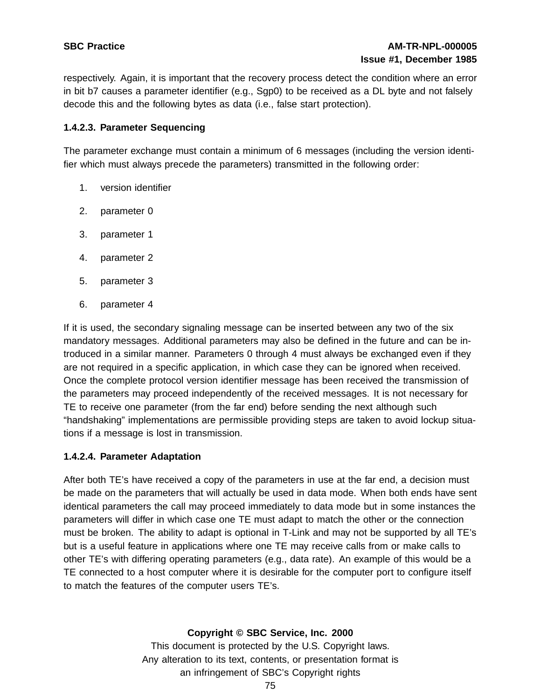respectively. Again, it is important that the recovery process detect the condition where an error in bit b7 causes a parameter identifier (e.g., Sgp0) to be received as a DL byte and not falsely decode this and the following bytes as data (i.e., false start protection).

# **1.4.2.3. Parameter Sequencing**

The parameter exchange must contain a minimum of 6 messages (including the version identifier which must always precede the parameters) transmitted in the following order:

- 1. version identifier
- 2. parameter 0
- 3. parameter 1
- 4. parameter 2
- 5. parameter 3
- 6. parameter 4

If it is used, the secondary signaling message can be inserted between any two of the six mandatory messages. Additional parameters may also be defined in the future and can be introduced in a similar manner. Parameters 0 through 4 must always be exchanged even if they are not required in a specific application, in which case they can be ignored when received. Once the complete protocol version identifier message has been received the transmission of the parameters may proceed independently of the received messages. It is not necessary for TE to receive one parameter (from the far end) before sending the next although such "handshaking" implementations are permissible providing steps are taken to avoid lockup situations if a message is lost in transmission.

# **1.4.2.4. Parameter Adaptation**

After both TE's have received a copy of the parameters in use at the far end, a decision must be made on the parameters that will actually be used in data mode. When both ends have sent identical parameters the call may proceed immediately to data mode but in some instances the parameters will differ in which case one TE must adapt to match the other or the connection must be broken. The ability to adapt is optional in T-Link and may not be supported by all TE's but is a useful feature in applications where one TE may receive calls from or make calls to other TE's with differing operating parameters (e.g., data rate). An example of this would be a TE connected to a host computer where it is desirable for the computer port to configure itself to match the features of the computer users TE's.

## **Copyright © SBC Service, Inc. 2000**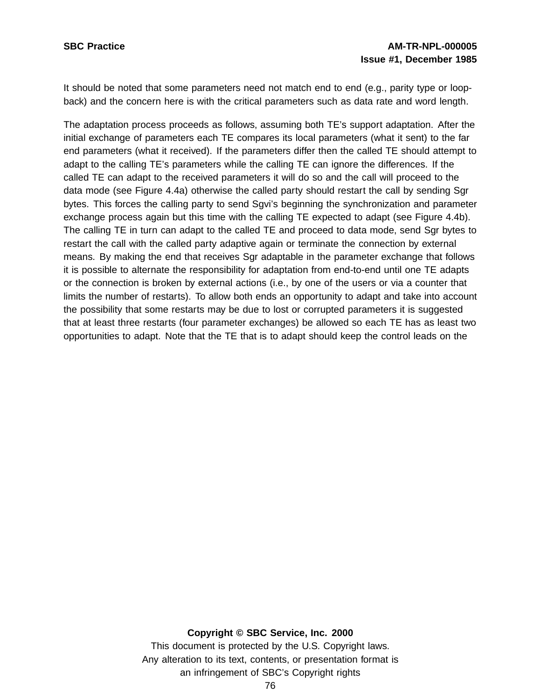It should be noted that some parameters need not match end to end (e.g., parity type or loopback) and the concern here is with the critical parameters such as data rate and word length.

The adaptation process proceeds as follows, assuming both TE's support adaptation. After the initial exchange of parameters each TE compares its local parameters (what it sent) to the far end parameters (what it received). If the parameters differ then the called TE should attempt to adapt to the calling TE's parameters while the calling TE can ignore the differences. If the called TE can adapt to the received parameters it will do so and the call will proceed to the data mode (see Figure 4.4a) otherwise the called party should restart the call by sending Sgr bytes. This forces the calling party to send Sgvi's beginning the synchronization and parameter exchange process again but this time with the calling TE expected to adapt (see Figure 4.4b). The calling TE in turn can adapt to the called TE and proceed to data mode, send Sgr bytes to restart the call with the called party adaptive again or terminate the connection by external means. By making the end that receives Sgr adaptable in the parameter exchange that follows it is possible to alternate the responsibility for adaptation from end-to-end until one TE adapts or the connection is broken by external actions (i.e., by one of the users or via a counter that limits the number of restarts). To allow both ends an opportunity to adapt and take into account the possibility that some restarts may be due to lost or corrupted parameters it is suggested that at least three restarts (four parameter exchanges) be allowed so each TE has as least two opportunities to adapt. Note that the TE that is to adapt should keep the control leads on the

#### **Copyright © SBC Service, Inc. 2000**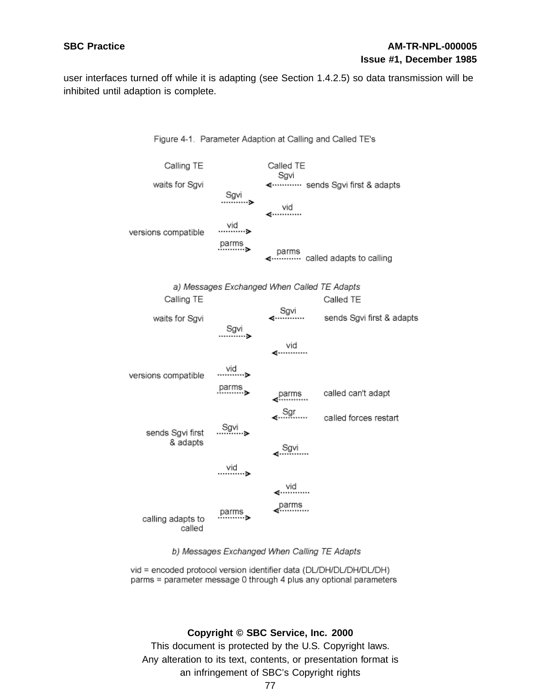user interfaces turned off while it is adapting (see Section 1.4.2.5) so data transmission will be inhibited until adaption is complete.



#### Figure 4-1. Parameter Adaption at Calling and Called TE's



vid = encoded protocol version identifier data (DL/DH/DL/DH/DL/DH) parms = parameter message 0 through 4 plus any optional parameters

#### **Copyright © SBC Service, Inc. 2000**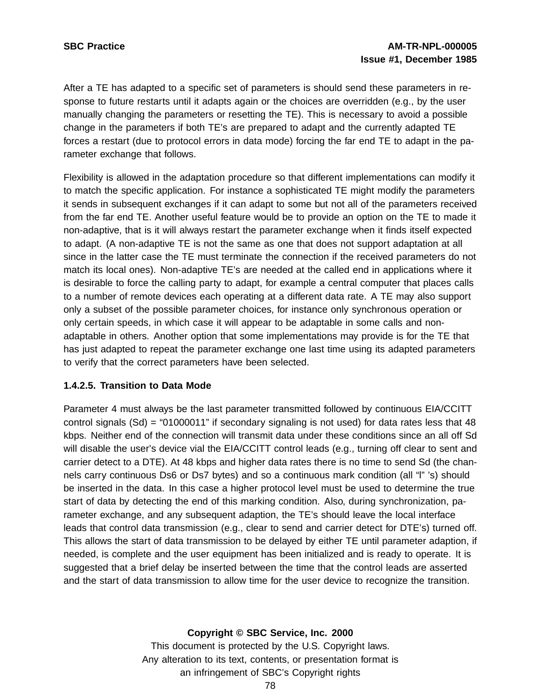After a TE has adapted to a specific set of parameters is should send these parameters in response to future restarts until it adapts again or the choices are overridden (e.g., by the user manually changing the parameters or resetting the TE). This is necessary to avoid a possible change in the parameters if both TE's are prepared to adapt and the currently adapted TE forces a restart (due to protocol errors in data mode) forcing the far end TE to adapt in the parameter exchange that follows.

Flexibility is allowed in the adaptation procedure so that different implementations can modify it to match the specific application. For instance a sophisticated TE might modify the parameters it sends in subsequent exchanges if it can adapt to some but not all of the parameters received from the far end TE. Another useful feature would be to provide an option on the TE to made it non-adaptive, that is it will always restart the parameter exchange when it finds itself expected to adapt. (A non-adaptive TE is not the same as one that does not support adaptation at all since in the latter case the TE must terminate the connection if the received parameters do not match its local ones). Non-adaptive TE's are needed at the called end in applications where it is desirable to force the calling party to adapt, for example a central computer that places calls to a number of remote devices each operating at a different data rate. A TE may also support only a subset of the possible parameter choices, for instance only synchronous operation or only certain speeds, in which case it will appear to be adaptable in some calls and nonadaptable in others. Another option that some implementations may provide is for the TE that has just adapted to repeat the parameter exchange one last time using its adapted parameters to verify that the correct parameters have been selected.

## **1.4.2.5. Transition to Data Mode**

Parameter 4 must always be the last parameter transmitted followed by continuous EIA/CCITT control signals (Sd) = "01000011" if secondary signaling is not used) for data rates less that 48 kbps. Neither end of the connection will transmit data under these conditions since an all off Sd will disable the user's device vial the EIA/CCITT control leads (e.g., turning off clear to sent and carrier detect to a DTE). At 48 kbps and higher data rates there is no time to send Sd (the channels carry continuous Ds6 or Ds7 bytes) and so a continuous mark condition (all "l" 's) should be inserted in the data. In this case a higher protocol level must be used to determine the true start of data by detecting the end of this marking condition. Also, during synchronization, parameter exchange, and any subsequent adaption, the TE's should leave the local interface leads that control data transmission (e.g., clear to send and carrier detect for DTE's) turned off. This allows the start of data transmission to be delayed by either TE until parameter adaption, if needed, is complete and the user equipment has been initialized and is ready to operate. It is suggested that a brief delay be inserted between the time that the control leads are asserted and the start of data transmission to allow time for the user device to recognize the transition.

#### **Copyright © SBC Service, Inc. 2000**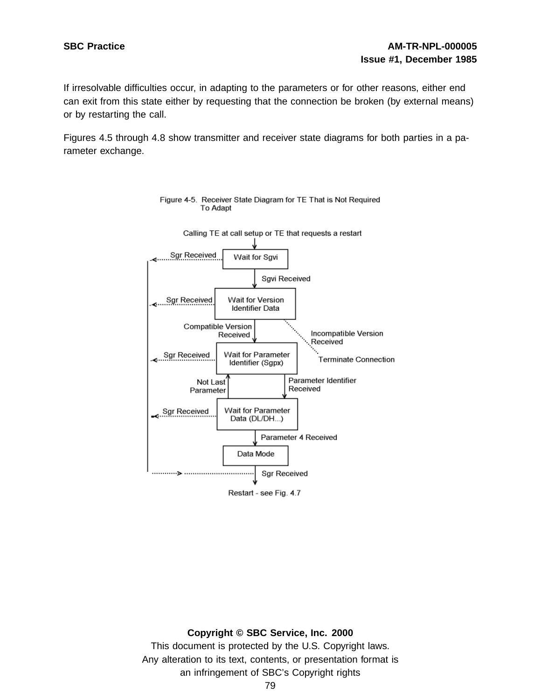If irresolvable difficulties occur, in adapting to the parameters or for other reasons, either end can exit from this state either by requesting that the connection be broken (by external means) or by restarting the call.

Figures 4.5 through 4.8 show transmitter and receiver state diagrams for both parties in a parameter exchange.



Figure 4-5. Receiver State Diagram for TE That is Not Required **To Adapt** 

## **Copyright © SBC Service, Inc. 2000**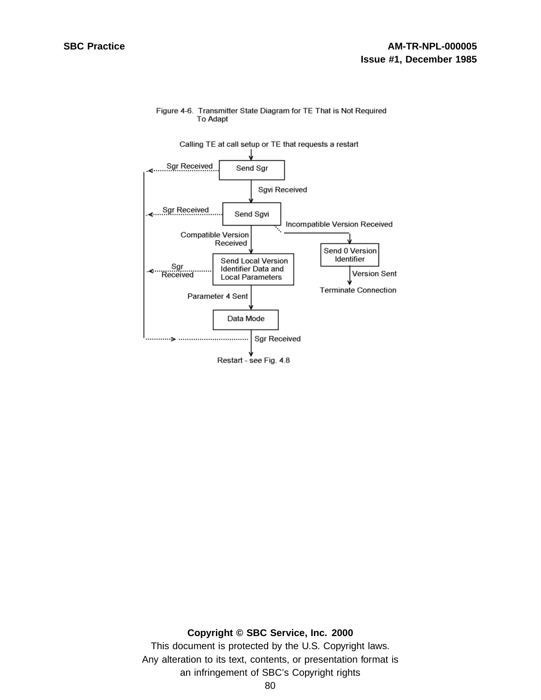

#### Figure 4-6. Transmitter State Diagram for TE That is Not Required **To Adapt**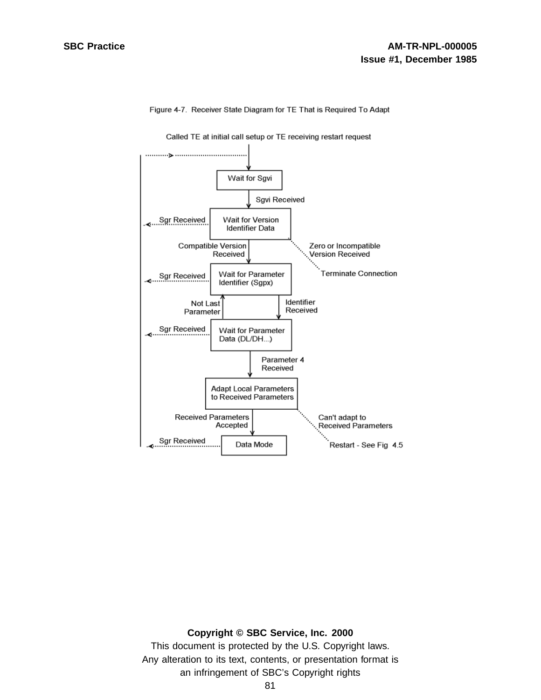

Figure 4-7. Receiver State Diagram for TE That is Required To Adapt

#### **Copyright © SBC Service, Inc. 2000**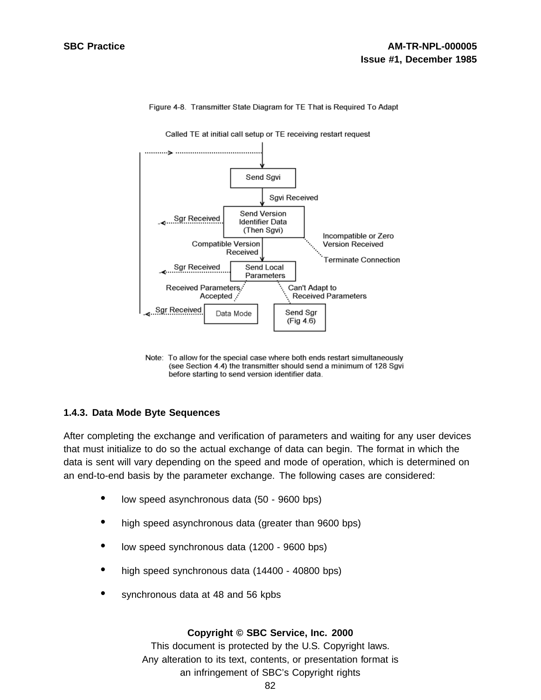

Figure 4-8. Transmitter State Diagram for TE That is Required To Adapt

Note: To allow for the special case where both ends restart simultaneously (see Section 4.4) the transmitter should send a minimum of 128 Sgvi before starting to send version identifier data.

## **1.4.3. Data Mode Byte Sequences**

After completing the exchange and verification of parameters and waiting for any user devices that must initialize to do so the actual exchange of data can begin. The format in which the data is sent will vary depending on the speed and mode of operation, which is determined on an end-to-end basis by the parameter exchange. The following cases are considered:

- low speed asynchronous data (50 <sup>9600</sup> bps)
- high speed asynchronous data (greater than 9600 bps)
- low speed synchronous data (1200 <sup>9600</sup> bps)
- high speed synchronous data (14400 40800 bps)
- synchronous data at 48 and 56 kpbs

#### **Copyright © SBC Service, Inc. 2000**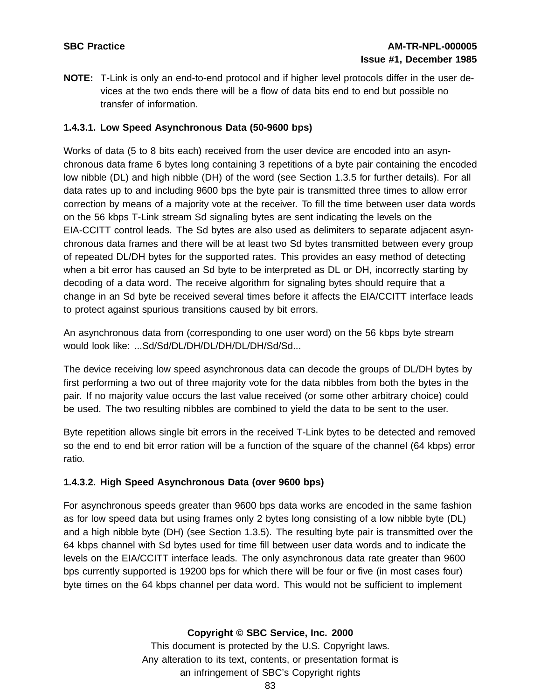**NOTE:** T-Link is only an end-to-end protocol and if higher level protocols differ in the user devices at the two ends there will be a flow of data bits end to end but possible no transfer of information.

# **1.4.3.1. Low Speed Asynchronous Data (50-9600 bps)**

Works of data (5 to 8 bits each) received from the user device are encoded into an asynchronous data frame 6 bytes long containing 3 repetitions of a byte pair containing the encoded low nibble (DL) and high nibble (DH) of the word (see Section 1.3.5 for further details). For all data rates up to and including 9600 bps the byte pair is transmitted three times to allow error correction by means of a majority vote at the receiver. To fill the time between user data words on the 56 kbps T-Link stream Sd signaling bytes are sent indicating the levels on the EIA-CCITT control leads. The Sd bytes are also used as delimiters to separate adjacent asynchronous data frames and there will be at least two Sd bytes transmitted between every group of repeated DL/DH bytes for the supported rates. This provides an easy method of detecting when a bit error has caused an Sd byte to be interpreted as DL or DH, incorrectly starting by decoding of a data word. The receive algorithm for signaling bytes should require that a change in an Sd byte be received several times before it affects the EIA/CCITT interface leads to protect against spurious transitions caused by bit errors.

An asynchronous data from (corresponding to one user word) on the 56 kbps byte stream would look like: ...Sd/Sd/DL/DH/DL/DH/DL/DH/Sd/Sd...

The device receiving low speed asynchronous data can decode the groups of DL/DH bytes by first performing a two out of three majority vote for the data nibbles from both the bytes in the pair. If no majority value occurs the last value received (or some other arbitrary choice) could be used. The two resulting nibbles are combined to yield the data to be sent to the user.

Byte repetition allows single bit errors in the received T-Link bytes to be detected and removed so the end to end bit error ration will be a function of the square of the channel (64 kbps) error ratio.

# **1.4.3.2. High Speed Asynchronous Data (over 9600 bps)**

For asynchronous speeds greater than 9600 bps data works are encoded in the same fashion as for low speed data but using frames only 2 bytes long consisting of a low nibble byte (DL) and a high nibble byte (DH) (see Section 1.3.5). The resulting byte pair is transmitted over the 64 kbps channel with Sd bytes used for time fill between user data words and to indicate the levels on the EIA/CCITT interface leads. The only asynchronous data rate greater than 9600 bps currently supported is 19200 bps for which there will be four or five (in most cases four) byte times on the 64 kbps channel per data word. This would not be sufficient to implement

## **Copyright © SBC Service, Inc. 2000**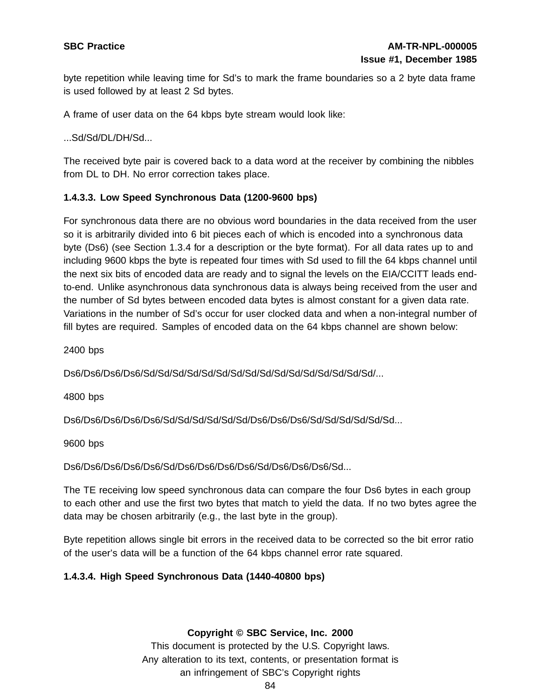byte repetition while leaving time for Sd's to mark the frame boundaries so a 2 byte data frame is used followed by at least 2 Sd bytes.

A frame of user data on the 64 kbps byte stream would look like:

...Sd/Sd/DL/DH/Sd...

The received byte pair is covered back to a data word at the receiver by combining the nibbles from DL to DH. No error correction takes place.

# **1.4.3.3. Low Speed Synchronous Data (1200-9600 bps)**

For synchronous data there are no obvious word boundaries in the data received from the user so it is arbitrarily divided into 6 bit pieces each of which is encoded into a synchronous data byte (Ds6) (see Section 1.3.4 for a description or the byte format). For all data rates up to and including 9600 kbps the byte is repeated four times with Sd used to fill the 64 kbps channel until the next six bits of encoded data are ready and to signal the levels on the EIA/CCITT leads endto-end. Unlike asynchronous data synchronous data is always being received from the user and the number of Sd bytes between encoded data bytes is almost constant for a given data rate. Variations in the number of Sd's occur for user clocked data and when a non-integral number of fill bytes are required. Samples of encoded data on the 64 kbps channel are shown below:

2400 bps

Ds6/Ds6/Ds6/Ds6/Sd/Sd/Sd/Sd/Sd/Sd/Sd/Sd/Sd/Sd/Sd/Sd/Sd/Sd/Sd/Sd/...

4800 bps

Ds6/Ds6/Ds6/Ds6/Ds6/Sd/Sd/Sd/Sd/Sd/Sd/Ds6/Ds6/Ds6/Sd/Sd/Sd/Sd/Sd/Sd...

9600 bps

Ds6/Ds6/Ds6/Ds6/Ds6/Sd/Ds6/Ds6/Ds6/Ds6/Sd/Ds6/Ds6/Ds6/Sd...

The TE receiving low speed synchronous data can compare the four Ds6 bytes in each group to each other and use the first two bytes that match to yield the data. If no two bytes agree the data may be chosen arbitrarily (e.g., the last byte in the group).

Byte repetition allows single bit errors in the received data to be corrected so the bit error ratio of the user's data will be a function of the 64 kbps channel error rate squared.

## **1.4.3.4. High Speed Synchronous Data (1440-40800 bps)**

**Copyright © SBC Service, Inc. 2000**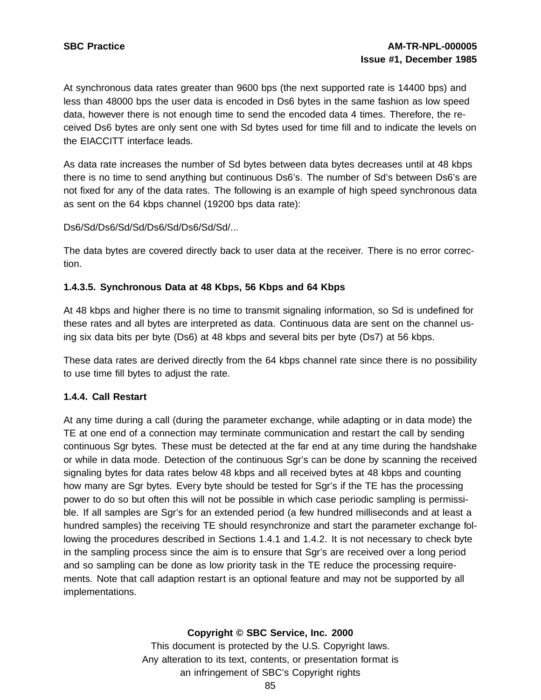At synchronous data rates greater than 9600 bps (the next supported rate is 14400 bps) and less than 48000 bps the user data is encoded in Ds6 bytes in the same fashion as low speed data, however there is not enough time to send the encoded data 4 times. Therefore, the received Ds6 bytes are only sent one with Sd bytes used for time fill and to indicate the levels on the EIACCITT interface leads.

As data rate increases the number of Sd bytes between data bytes decreases until at 48 kbps there is no time to send anything but continuous Ds6's. The number of Sd's between Ds6's are not fixed for any of the data rates. The following is an example of high speed synchronous data as sent on the 64 kbps channel (19200 bps data rate):

Ds6/Sd/Ds6/Sd/Sd/Ds6/Sd/Ds6/Sd/Sd/...

The data bytes are covered directly back to user data at the receiver. There is no error correction.

## **1.4.3.5. Synchronous Data at 48 Kbps, 56 Kbps and 64 Kbps**

At 48 kbps and higher there is no time to transmit signaling information, so Sd is undefined for these rates and all bytes are interpreted as data. Continuous data are sent on the channel using six data bits per byte (Ds6) at 48 kbps and several bits per byte (Ds7) at 56 kbps.

These data rates are derived directly from the 64 kbps channel rate since there is no possibility to use time fill bytes to adjust the rate.

## **1.4.4. Call Restart**

At any time during a call (during the parameter exchange, while adapting or in data mode) the TE at one end of a connection may terminate communication and restart the call by sending continuous Sgr bytes. These must be detected at the far end at any time during the handshake or while in data mode. Detection of the continuous Sgr's can be done by scanning the received signaling bytes for data rates below 48 kbps and all received bytes at 48 kbps and counting how many are Sgr bytes. Every byte should be tested for Sgr's if the TE has the processing power to do so but often this will not be possible in which case periodic sampling is permissible. If all samples are Sgr's for an extended period (a few hundred milliseconds and at least a hundred samples) the receiving TE should resynchronize and start the parameter exchange following the procedures described in Sections 1.4.1 and 1.4.2. It is not necessary to check byte in the sampling process since the aim is to ensure that Sgr's are received over a long period and so sampling can be done as low priority task in the TE reduce the processing requirements. Note that call adaption restart is an optional feature and may not be supported by all implementations.

## **Copyright © SBC Service, Inc. 2000**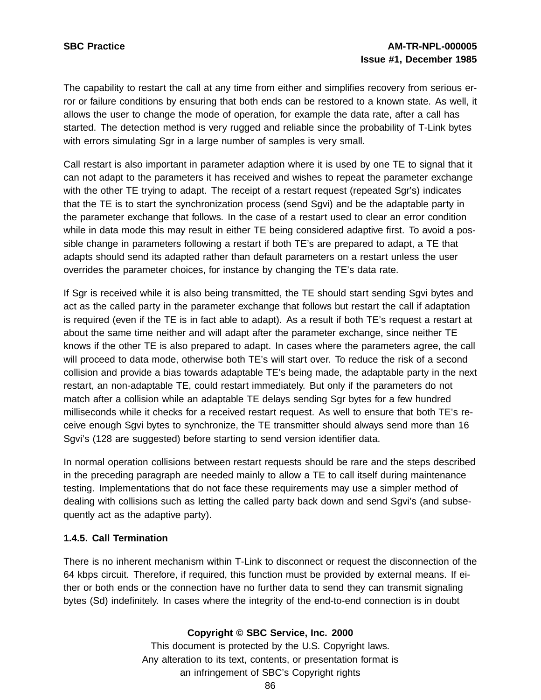The capability to restart the call at any time from either and simplifies recovery from serious error or failure conditions by ensuring that both ends can be restored to a known state. As well, it allows the user to change the mode of operation, for example the data rate, after a call has started. The detection method is very rugged and reliable since the probability of T-Link bytes with errors simulating Sgr in a large number of samples is very small.

Call restart is also important in parameter adaption where it is used by one TE to signal that it can not adapt to the parameters it has received and wishes to repeat the parameter exchange with the other TE trying to adapt. The receipt of a restart request (repeated Sgr's) indicates that the TE is to start the synchronization process (send Sgvi) and be the adaptable party in the parameter exchange that follows. In the case of a restart used to clear an error condition while in data mode this may result in either TE being considered adaptive first. To avoid a possible change in parameters following a restart if both TE's are prepared to adapt, a TE that adapts should send its adapted rather than default parameters on a restart unless the user overrides the parameter choices, for instance by changing the TE's data rate.

If Sgr is received while it is also being transmitted, the TE should start sending Sgvi bytes and act as the called party in the parameter exchange that follows but restart the call if adaptation is required (even if the TE is in fact able to adapt). As a result if both TE's request a restart at about the same time neither and will adapt after the parameter exchange, since neither TE knows if the other TE is also prepared to adapt. In cases where the parameters agree, the call will proceed to data mode, otherwise both TE's will start over. To reduce the risk of a second collision and provide a bias towards adaptable TE's being made, the adaptable party in the next restart, an non-adaptable TE, could restart immediately. But only if the parameters do not match after a collision while an adaptable TE delays sending Sgr bytes for a few hundred milliseconds while it checks for a received restart request. As well to ensure that both TE's receive enough Sgvi bytes to synchronize, the TE transmitter should always send more than 16 Sgvi's (128 are suggested) before starting to send version identifier data.

In normal operation collisions between restart requests should be rare and the steps described in the preceding paragraph are needed mainly to allow a TE to call itself during maintenance testing. Implementations that do not face these requirements may use a simpler method of dealing with collisions such as letting the called party back down and send Sgvi's (and subsequently act as the adaptive party).

## **1.4.5. Call Termination**

There is no inherent mechanism within T-Link to disconnect or request the disconnection of the 64 kbps circuit. Therefore, if required, this function must be provided by external means. If either or both ends or the connection have no further data to send they can transmit signaling bytes (Sd) indefinitely. In cases where the integrity of the end-to-end connection is in doubt

## **Copyright © SBC Service, Inc. 2000**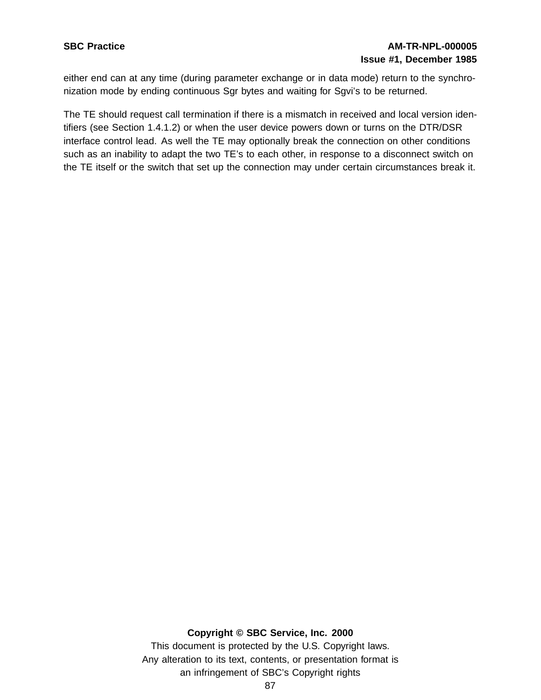# **SBC Practice AM-TR-NPL-000005 Issue #1, December 1985**

either end can at any time (during parameter exchange or in data mode) return to the synchronization mode by ending continuous Sgr bytes and waiting for Sgvi's to be returned.

The TE should request call termination if there is a mismatch in received and local version identifiers (see Section 1.4.1.2) or when the user device powers down or turns on the DTR/DSR interface control lead. As well the TE may optionally break the connection on other conditions such as an inability to adapt the two TE's to each other, in response to a disconnect switch on the TE itself or the switch that set up the connection may under certain circumstances break it.

#### **Copyright © SBC Service, Inc. 2000**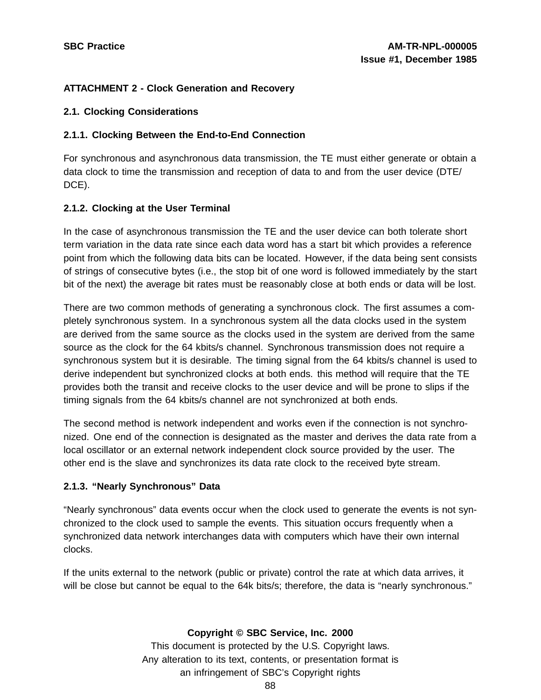# **ATTACHMENT 2 - Clock Generation and Recovery**

## **2.1. Clocking Considerations**

# **2.1.1. Clocking Between the End-to-End Connection**

For synchronous and asynchronous data transmission, the TE must either generate or obtain a data clock to time the transmission and reception of data to and from the user device (DTE/ DCE).

# **2.1.2. Clocking at the User Terminal**

In the case of asynchronous transmission the TE and the user device can both tolerate short term variation in the data rate since each data word has a start bit which provides a reference point from which the following data bits can be located. However, if the data being sent consists of strings of consecutive bytes (i.e., the stop bit of one word is followed immediately by the start bit of the next) the average bit rates must be reasonably close at both ends or data will be lost.

There are two common methods of generating a synchronous clock. The first assumes a completely synchronous system. In a synchronous system all the data clocks used in the system are derived from the same source as the clocks used in the system are derived from the same source as the clock for the 64 kbits/s channel. Synchronous transmission does not require a synchronous system but it is desirable. The timing signal from the 64 kbits/s channel is used to derive independent but synchronized clocks at both ends. this method will require that the TE provides both the transit and receive clocks to the user device and will be prone to slips if the timing signals from the 64 kbits/s channel are not synchronized at both ends.

The second method is network independent and works even if the connection is not synchronized. One end of the connection is designated as the master and derives the data rate from a local oscillator or an external network independent clock source provided by the user. The other end is the slave and synchronizes its data rate clock to the received byte stream.

# **2.1.3. "Nearly Synchronous" Data**

"Nearly synchronous" data events occur when the clock used to generate the events is not synchronized to the clock used to sample the events. This situation occurs frequently when a synchronized data network interchanges data with computers which have their own internal clocks.

If the units external to the network (public or private) control the rate at which data arrives, it will be close but cannot be equal to the 64k bits/s; therefore, the data is "nearly synchronous."

**Copyright © SBC Service, Inc. 2000**